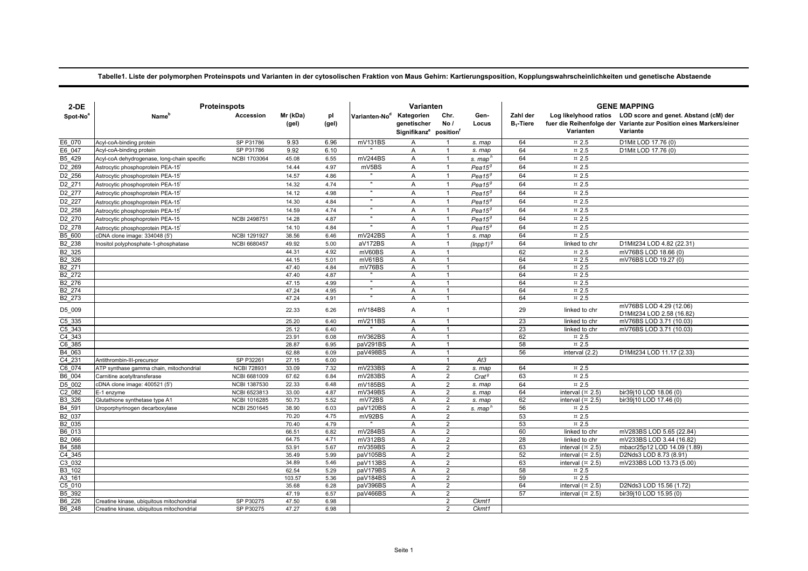## **Tabelle1. Liste der polymorphen Proteinspots und Varianten in der cytosolischen Fraktion von Maus Gehirn: Kartierungsposition, Kopplungswahrscheinlichkeiten und genetische Abstaende**

| $2-DE$               | <b>Proteinspots</b>                           |                                     |                   |              | Varianten                 |                                                                             |                                  |                     |                          | <b>GENE MAPPING</b>                       |                                                                                                                                               |  |  |
|----------------------|-----------------------------------------------|-------------------------------------|-------------------|--------------|---------------------------|-----------------------------------------------------------------------------|----------------------------------|---------------------|--------------------------|-------------------------------------------|-----------------------------------------------------------------------------------------------------------------------------------------------|--|--|
| Spot-No <sup>a</sup> | Name <sup>t</sup>                             | Accession                           | Mr (kDa)<br>(gel) | pl<br>(gel)  | Varianten-No <sup>d</sup> | Kategorien<br>genetischer<br>Signifikanz <sup>e</sup> position <sup>f</sup> | Chr.<br>No/                      | Gen-<br>Locus       | Zahl der<br>$B_1$ -Tiere | Varianten                                 | Log likelyhood ratios LOD score and genet. Abstand (cM) der<br>fuer die Reihenfolge der Variante zur Position eines Markers/einer<br>Variante |  |  |
| E6 070               | Acyl-coA-binding protein                      | SP P31786                           | 9.93              | 6.96         | mV131BS                   | A                                                                           |                                  | s. map              | 64                       | $\,\pi$ 2.5                               | D1Mit LOD 17.76 (0)                                                                                                                           |  |  |
| E6 047               | Acyl-coA-binding protein                      | SP P31786                           | 9.92              | 6.10         |                           | Α                                                                           | $\mathbf{1}$                     | s. map              | 64                       | $\,\pi$ 2.5                               | D1Mit LOD 17.76 (0)                                                                                                                           |  |  |
| B5 429               | Acyl-coA dehydrogenase, long-chain specific   | <b>NCBI 1703064</b>                 | 45.08             | 6.55         | mV244BS                   | Α                                                                           | $\mathbf{1}$                     | s. map'             | 64                       | $\,\pi$ 2.5                               |                                                                                                                                               |  |  |
| D2 269               | Astrocytic phosphoprotein PEA-15 <sup>i</sup> |                                     | 14.44             | 4.97         | mV5BS                     | A                                                                           | $\mathbf{1}$                     | $Pea15^g$           | 64                       | $\,\pi$ 2.5                               |                                                                                                                                               |  |  |
| D2 256               | Astrocytic phosphoprotein PEA-15'             |                                     | 14.57             | 4.86         |                           | A                                                                           | $\mathbf{1}$                     | $Pea15^g$           | 64                       | $\text{m}$ 2.5                            |                                                                                                                                               |  |  |
| D2 271               | Astrocytic phosphoprotein PEA-15'             |                                     | 14.32             | 4.74         | $\mathbf{u}$              | A                                                                           | $\mathbf{1}$                     | $Pea15^g$           | 64                       | $\,\pi$ 2.5                               |                                                                                                                                               |  |  |
| D2 277               | Astrocytic phosphoprotein PEA-15              |                                     | 14.12             | 4.98         | $\mathbf{u}$              | A                                                                           | $\mathbf{1}$                     | $Pea15^g$           | 64                       | $\,\pi$ 2.5                               |                                                                                                                                               |  |  |
| D2 227               | Astrocytic phosphoprotein PEA-15 <sup>1</sup> |                                     | 14.30             | 4.84         | $\mathbf{u}$              | Α                                                                           | $\mathbf{1}$                     | $Pea15^g$           | 64                       | $\overline{2.5}$                          |                                                                                                                                               |  |  |
| D2 258               | Astrocytic phosphoprotein PEA-15              |                                     | 14.59             | 4.74         | $\mathbf{u}$              | A                                                                           | $\mathbf{1}$                     | $Pea15^g$           | 64                       | $\overline{2.5}$                          |                                                                                                                                               |  |  |
| D <sub>2_270</sub>   | Astrocytic phosphoprotein PEA-15              | <b>NCBI 2498751</b>                 | 14.28             | 4.87         | $\mathbf{u}$              | Α                                                                           | $\mathbf{1}$                     | $Pea15^g$           | 64                       | ¤ 2.5                                     |                                                                                                                                               |  |  |
| D2 278               | Astrocytic phosphoprotein PEA-15              |                                     | 14.10             | 4.84         | $\mathbf{u}$              | A                                                                           | 1                                | $Pea15^g$           | 64                       | $\overline{2.5}$                          |                                                                                                                                               |  |  |
| B5 600               | :DNA clone image: 334048 (5')                 | <b>NCBI 1291927</b>                 | 38.56             | 6.46         | mV242BS                   | Α                                                                           | $\overline{1}$                   | s. map              | 64                       | $\,\pi$ 2.5                               |                                                                                                                                               |  |  |
| B2 238               | Inositol polyphosphate-1-phosphatase          | <b>NCBI 6680457</b>                 | 49.92             | 5.00         | aV172BS                   | $\overline{A}$                                                              | $\mathbf{1}$                     | $(lnpp1)^9$         | 64                       | linked to chr                             | D1Mit234 LOD 4.82 (22.31)                                                                                                                     |  |  |
| B <sub>2_325</sub>   |                                               |                                     | 44.31             | 4.92         | mV60BS                    | A                                                                           | $\mathbf{1}$                     |                     | 62                       | $\overline{2.5}$                          | mV76BS LOD 18.66 (0)                                                                                                                          |  |  |
| B2 326               |                                               |                                     | 44.15             | 5.01         | mV61BS                    | A                                                                           | $\mathbf{1}$                     |                     | 64                       | $\,\pi$ 2.5                               | mV76BS LOD 19.27 (0)                                                                                                                          |  |  |
| B <sub>2</sub> 271   |                                               |                                     | 47.40             | 4.84         | mV76BS                    | A                                                                           | 1                                |                     | 64                       | $\text{m}$ 2.5                            |                                                                                                                                               |  |  |
| B2 272               |                                               |                                     | 47.40             | 4.87         |                           | Α                                                                           | $\mathbf{1}$                     |                     | 64                       | $\text{m}$ 2.5                            |                                                                                                                                               |  |  |
| B2 276               |                                               |                                     | 47.15             | 4.99         |                           | A                                                                           | $\overline{1}$                   |                     | 64                       | $\overline{2.5}$                          |                                                                                                                                               |  |  |
| B2 274               |                                               |                                     | 47.24             | 4.95         |                           | Α                                                                           | $\mathbf{1}$                     |                     | 64                       | $\approx 2.5$                             |                                                                                                                                               |  |  |
| B2 273               |                                               |                                     | 47.24             | 4.91         |                           | A                                                                           | $\mathbf{1}$                     |                     | 64                       | $\overline{2.5}$                          |                                                                                                                                               |  |  |
| D5_009               |                                               |                                     | 22.33             | 6.26         | mV184BS                   | Α                                                                           | $\mathbf{1}$                     |                     | 29                       | linked to chr                             | mV76BS LOD 4.29 (12.06)<br>D1Mit234 LOD 2.58 (16.82)                                                                                          |  |  |
| $C5$ 335             |                                               |                                     | 25.20             | 6.40         | mV211BS                   | A                                                                           | 1                                |                     | 23                       | linked to chr                             | mV76BS LOD 3.71 (10.03)                                                                                                                       |  |  |
| C5 343               |                                               |                                     | 25.12             | 6.40         |                           | Α                                                                           | $\mathbf{1}$                     |                     | 23                       | linked to chr                             | mV76BS LOD 3.71 (10.03)                                                                                                                       |  |  |
| C4 343               |                                               |                                     | 23.91             | 6.08         | mV362BS                   | A                                                                           | $\mathbf{1}$                     |                     | 62                       | $\approx 2.5$                             |                                                                                                                                               |  |  |
| C6 385               |                                               |                                     | 28.87             | 6.95         | paV291BS                  | A                                                                           | $\mathbf{1}$                     |                     | 58                       | $\,\pi$ 2.5                               |                                                                                                                                               |  |  |
| B4 063               |                                               |                                     | 62.88             | 6.09         | paV498BS                  | Α                                                                           | $\mathbf{1}$                     |                     | 56                       | interval (2.2)                            | D1Mit234 LOD 11.17 (2.33)                                                                                                                     |  |  |
| C4 231               | Antithrombin-III-precursor                    | SP P32261                           | 27.15             | 6.00         |                           |                                                                             | $\overline{1}$                   | At3                 |                          |                                           |                                                                                                                                               |  |  |
| C6 074               | ATP synthase gamma chain, mitochondrial       | <b>NCBI 728931</b>                  | 33.09             | 7.32         | mV233BS                   | Α                                                                           | $\overline{2}$                   | s. map              | 64                       | $\text{m}$ 2.5                            |                                                                                                                                               |  |  |
| B6 004<br>D5 002     | Carnitine acetyltransferase                   | NCBI 6681009                        | 67.62             | 6.84         | mV283BS                   | A                                                                           | $\overline{2}$                   | Crat <sup>g</sup>   | 63                       | $\text{m}$ 2.5                            |                                                                                                                                               |  |  |
| C2 082               | cDNA clone image: 400521 (5')<br>E-1 enzyme   | <b>NCBI 1387530</b><br>NCBI 6523813 | 22.33<br>33.00    | 6.48<br>4.87 | mV185BS<br>mV349BS        | A<br>$\overline{A}$                                                         | $\overline{2}$<br>$\overline{2}$ | s. map<br>s. map    | 64<br>64                 | $\text{m}$ 2.5<br>interval $(\times 2.5)$ | bir39j10 LOD 18.06 (0)                                                                                                                        |  |  |
| B3 326               | Glutathione synthetase type A1                | NCBI 1016285                        | 50.73             | 5.52         | mV72BS                    | A                                                                           | $\overline{2}$                   | s. map              | 62                       | interval $(\times 2.5)$                   | bir39j10 LOD 17.46 (0)                                                                                                                        |  |  |
| B4 591               | Uroporphyrinogen decarboxylase                | NCBI 2501645                        | 38.90             | 6.03         | paV120BS                  | A                                                                           | $\overline{2}$                   | s. map <sup>h</sup> | 56                       | $\approx 2.5$                             |                                                                                                                                               |  |  |
| B2 037               |                                               |                                     | 70.20             | 4.75         | mV92BS                    | Α                                                                           | 2                                |                     | 53                       | $\,\pi$ 2.5                               |                                                                                                                                               |  |  |
| B2 035               |                                               |                                     | 70.40             | 4.79         |                           | Α                                                                           | $\overline{2}$                   |                     | 53                       | $\overline{2.5}$                          |                                                                                                                                               |  |  |
| B6 013               |                                               |                                     | 66.51             | 6.82         | mV284BS                   | A                                                                           | $\overline{2}$                   |                     | 60                       | linked to chr                             | mV283BS LOD 5.65 (22.84)                                                                                                                      |  |  |
| B2 066               |                                               |                                     | 64.75             | 4.71         | mV312BS                   | $\overline{A}$                                                              | $\overline{2}$                   |                     | 28                       | linked to chr                             | mV233BS LOD 3.44 (16.82)                                                                                                                      |  |  |
| B <sub>4_588</sub>   |                                               |                                     | 53.91             | 5.67         | mV359BS                   | A                                                                           | $\overline{2}$                   |                     | 63                       | interval $($ $\overline{2}$ .5)           | mbacr25p12 LOD 14.09 (1.89)                                                                                                                   |  |  |
| C4 345               |                                               |                                     | 35.49             | 5.99         | paV105BS                  | Α                                                                           | $\overline{2}$                   |                     | 52                       | interval $(\times 2.5)$                   | D2Nds3 LOD 8.73 (8.91)                                                                                                                        |  |  |
| C3 032               |                                               |                                     | 34.89             | 5.46         | paV113BS                  | Α                                                                           | $\overline{\mathbf{c}}$          |                     | 63                       | interval $(\times 2.5)$                   | mV233BS LOD 13.73 (5.00)                                                                                                                      |  |  |
| B3 102               |                                               |                                     | 62.54             | 5.29         | paV179BS                  | $\overline{A}$                                                              | $\overline{2}$                   |                     | 58                       | $\text{m}$ 2.5                            |                                                                                                                                               |  |  |
| A3 161               |                                               |                                     | 103.57            | 5.36         | paV184BS                  | A                                                                           | $\overline{2}$                   |                     | 59                       | $\,\pi$ 2.5                               |                                                                                                                                               |  |  |
| C5 010               |                                               |                                     | 35.68             | 6.28         | paV396BS                  | Α                                                                           | $\overline{2}$                   |                     | 64                       | interval $(\times 2.5)$                   | D2Nds3 LOD 15.56 (1.72)                                                                                                                       |  |  |
| B5 392               |                                               |                                     | 47.19             | 6.57         | paV466BS                  | Α                                                                           | $\overline{2}$                   |                     | 57                       | interval $($ $\overline{2}$ .5)           | bir39j10 LOD 15.95 (0)                                                                                                                        |  |  |
| B6 226               | Creatine kinase, ubiquitous mitochondrial     | SP P30275                           | 47.50             | 6.98         |                           |                                                                             | $\overline{2}$                   | Ckmt1               |                          |                                           |                                                                                                                                               |  |  |
| B6 248               | Creatine kinase, ubiquitous mitochondrial     | SP P30275                           | 47.27             | 6.98         |                           |                                                                             | $\overline{2}$                   | Ckmt1               |                          |                                           |                                                                                                                                               |  |  |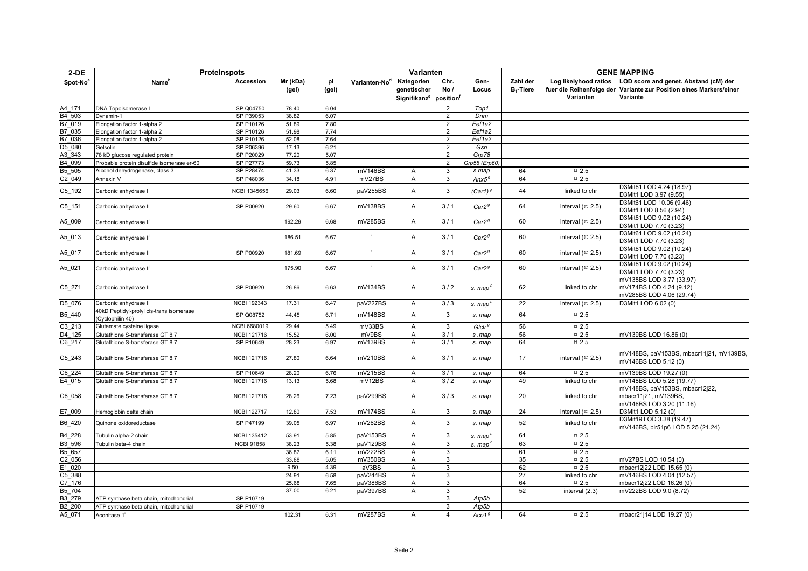| $2-DE$           | <b>Proteinspots</b>                                         |                        | Varianten         |              |                           |                                                                             |                                  | <b>GENE MAPPING</b> |                          |                                 |                                                                                                                                               |
|------------------|-------------------------------------------------------------|------------------------|-------------------|--------------|---------------------------|-----------------------------------------------------------------------------|----------------------------------|---------------------|--------------------------|---------------------------------|-----------------------------------------------------------------------------------------------------------------------------------------------|
| Spot-No          | Name <sup>®</sup>                                           | Accession              | Mr (kDa)<br>(gel) | pl<br>(gel)  | Varianten-No <sup>d</sup> | Kategorien<br>genetischer<br>Signifikanz <sup>e</sup> position <sup>t</sup> | Chr.<br>No/                      | Gen-<br>Locus       | Zahl der<br>$B_1$ -Tiere | Varianten                       | Log likelyhood ratios LOD score and genet. Abstand (cM) der<br>fuer die Reihenfolge der Variante zur Position eines Markers/einer<br>Variante |
|                  |                                                             |                        |                   |              |                           |                                                                             |                                  |                     |                          |                                 |                                                                                                                                               |
| A4 171<br>B4 503 | DNA Topoisomerase I<br>Dynamin-1                            | SP Q04750<br>SP P39053 | 78.40<br>38.82    | 6.04<br>6.07 |                           |                                                                             | $\overline{2}$<br>$\overline{2}$ | Top1<br>Dnm         |                          |                                 |                                                                                                                                               |
| B7_019           | Elongation factor 1-alpha 2                                 | SP P10126              | 51.89             | 7.80         |                           |                                                                             | $\overline{2}$                   | Eef1a2              |                          |                                 |                                                                                                                                               |
| B7 035           | Elongation factor 1-alpha 2                                 | SP P10126              | 51.98             | 7.74         |                           |                                                                             | $\overline{2}$                   | Eef1a2              |                          |                                 |                                                                                                                                               |
| B7 036           | Elongation factor 1-alpha 2                                 | SP P10126              | 52.08             | 7.64         |                           |                                                                             | $\overline{2}$                   | Eef1a2              |                          |                                 |                                                                                                                                               |
| D5 080           | Gelsolin                                                    | SP P06396              | 17.13             | 6.21         |                           |                                                                             | $\overline{2}$                   | Gsn                 |                          |                                 |                                                                                                                                               |
| A3 343           | 78 kD glucose regulated protein                             | SP P20029              | 77.20             | 5.07         |                           |                                                                             | $\overline{2}$                   | Grp78               |                          |                                 |                                                                                                                                               |
| B4 099           | Probable protein disulfide isomerase er-60                  | SP P27773              | 59.73             | 5.85         |                           |                                                                             | $\overline{2}$                   | Grp58 (Erp60)       |                          |                                 |                                                                                                                                               |
| B5 505           | Alcohol dehydrogenase, class 3                              | SP P28474              | 41.33             | 6.37         | mV146BS                   | A                                                                           | 3                                | s map               | 64                       | $\,\pi$ 2.5                     |                                                                                                                                               |
| C2 049           | Annexin V                                                   | SP P48036              | 34.18             | 4.91         | mV27BS                    | Α                                                                           | 3                                | Ans5 <sup>g</sup>   | 64                       | $\,\pi$ 2.5                     |                                                                                                                                               |
| $C5$ _192        | Carbonic anhydrase I                                        | <b>NCBI 1345656</b>    | 29.03             | 6.60         | paV255BS                  | Α                                                                           | 3                                | $(Car1)^{g}$        | 44                       | linked to chr                   | D3Mit61 LOD 4.24 (18.97)<br>D3Mit1 LOD 3.97 (9.55)                                                                                            |
| $C5 - 151$       | Carbonic anhydrase II                                       | SP P00920              | 29.60             | 6.67         | mV138BS                   | A                                                                           | 3/1                              | Car2 <sup>g</sup>   | 64                       | interval $(x 2.5)$              | D3Mit61 LOD 10.06 (9.46)<br>D3Mit1 LOD 8.56 (2.94)                                                                                            |
| A5_009           | Carbonic anhydrase II'                                      |                        | 192.29            | 6.68         | mV285BS                   | A                                                                           | 3/1                              | Car2 <sup>g</sup>   | 60                       | interval $(x 2.5)$              | D3Mit61 LOD 9.02 (10.24)<br>D3Mit1 LOD 7.70 (3.23)                                                                                            |
| A5_013           | Carbonic anhydrase II'                                      |                        | 186.51            | 6.67         |                           | $\overline{A}$                                                              | 3/1                              | Car2 <sup>g</sup>   | 60                       | interval $($ $\overline{2}$ .5) | D3Mit61 LOD 9.02 (10.24)<br>D3Mit1 LOD 7.70 (3.23)                                                                                            |
| A5_017           | Carbonic anhydrase II                                       | SP P00920              | 181.69            | 6.67         | $\mathbf{u}$              | A                                                                           | 3/1                              | Car2 <sup>g</sup>   | 60                       | interval $($ $\overline{2}$ .5) | D3Mit61 LOD 9.02 (10.24)<br>D3Mit1 LOD 7.70 (3.23)                                                                                            |
| A5_021           | Carbonic anhydrase II <sup>I</sup>                          |                        | 175.90            | 6.67         | $\mathbf{u}$              | A                                                                           | 3/1                              | Car2 <sup>g</sup>   | 60                       | interval $($ $\overline{2}$ .5) | D3Mit61 LOD 9.02 (10.24)<br>D3Mit1 LOD 7.70 (3.23)                                                                                            |
| $C5_271$         | Carbonic anhydrase II                                       | SP P00920              | 26.86             | 6.63         | mV134BS                   | Α                                                                           | 3/2                              | s. map'             | 62                       | linked to chr                   | mV138BS LOD 3.77 (33.97)<br>mV174BS LOD 4.24 (9.12)<br>mV285BS LOD 4.06 (29.74)                                                               |
| D5_076           | Carbonic anhydrase II                                       | <b>NCBI 192343</b>     | 17.31             | 6.47         | paV227BS                  | A                                                                           | 3/3                              | s. map'             | 22                       | interval $($ $\overline{2}$ .5) | D3Mit1 LOD 6.02 (0)                                                                                                                           |
| B5_440           | 40kD Peptidyl-prolyl cis-trans isomerase<br>Cyclophilin 40) | SP Q08752              | 44.45             | 6.71         | mV148BS                   | A                                                                           | 3                                | s. map              | 64                       | $\,\pi$ 2.5                     |                                                                                                                                               |
| C3 213           | Glutamate cysteine ligase                                   | NCBI 6680019           | 29.44             | 5.49         | mV33BS                    | $\mathsf{A}$                                                                | 3                                | $G$ Iclr $g$        | 56                       | $\text{m}$ 2.5                  |                                                                                                                                               |
| D4 125           | Glutathione S-transferase GT 8.7                            | <b>NCBI 121716</b>     | 15.52             | 6.00         | mV9BS                     | Α                                                                           | 3/1                              | s .map              | 56                       | $\overline{2.5}$                | mV139BS LOD 16.86 (0)                                                                                                                         |
| C6 217           | Glutathione S-transferase GT 8.7                            | SP P10649              | 28.23             | 6.97         | mV139BS                   | $\overline{A}$                                                              | 3/1                              | s. map              | 64                       | $\,\pi$ 2.5                     |                                                                                                                                               |
| C5 243           | Glutathione S-transferase GT 8.7                            | <b>NCBI 121716</b>     | 27.80             | 6.64         | mV210BS                   | $\mathsf{A}$                                                                | 3/1                              | s. map              | 17                       | interval $(x 2.5)$              | mV148BS, paV153BS, mbacr11j21, mV139BS,<br>mV146BS LOD 5.12 (0)                                                                               |
| C6 224           | Glutathione S-transferase GT 8.7                            | SP P10649              | 28.20             | 6.76         | mV215BS                   | Α                                                                           | 3/1                              | s. map              | 64                       | $\,\pi$ 2.5                     | mV139BS LOD 19.27 (0)                                                                                                                         |
| E4 015           | Glutathione S-transferase GT 8.7                            | <b>NCBI 121716</b>     | 13.13             | 5.68         | mV12BS                    | A                                                                           | 3/2                              | s. map              | 49                       | linked to chr                   | mV148BS LOD 5.28 (19.77)                                                                                                                      |
| C6_058           | Glutathione S-transferase GT 8.7                            | <b>NCBI 121716</b>     | 28.26             | 7.23         | paV299BS                  | A                                                                           | 3/3                              | s. map              | 20                       | linked to chr                   | mV148BS, paV153BS, mbacr12j22,<br>mbacr11j21, mV139BS,<br>mV146BS LOD 3.20 (11.16)                                                            |
| E7 009           | Hemoglobin delta chain                                      | <b>NCBI 122717</b>     | 12.80             | 7.53         | mV174BS                   | A                                                                           | 3                                | s. map              | 24                       | interval $($ ¤ 2.5)             | D3Mit1 LOD 5.12 (0)                                                                                                                           |
| B6_420           | Quinone oxidoreductase                                      | SP P47199              | 39.05             | 6.97         | mV262BS                   | Α                                                                           | 3                                | s. map              | 52                       | linked to chr                   | D3Mit19 LOD 3.38 (19.47)<br>mV146BS, bir51p6 LOD 5.25 (21.24)                                                                                 |
| B4 228           | Tubulin alpha-2 chain                                       | <b>NCBI 135412</b>     | 53.91             | 5.85         | paV153BS                  | $\overline{A}$                                                              | 3                                | s. map'             | 61                       | $\approx 2.5$                   |                                                                                                                                               |
| B3 596           | Tubulin beta-4 chain                                        | <b>NCBI 91858</b>      | 38.23             | 5.38         | paV129BS                  | A                                                                           | 3                                | s. map'             | 63                       | $\text{m}$ 2.5                  |                                                                                                                                               |
| B5 657           |                                                             |                        | 36.87             | 6.11         | mV222BS                   | $\overline{A}$                                                              | 3                                |                     | 61                       | $\text{m}$ 2.5                  |                                                                                                                                               |
| $C2$ 056         |                                                             |                        | 33.88             | 5.05         | mV350BS                   | A                                                                           | 3                                |                     | 35                       | $\text{m}$ 2.5                  | mV27BS LOD 10.54 (0)                                                                                                                          |
| E1 020           |                                                             |                        | 9.50              | 4.39         | aV3BS                     | A                                                                           | 3                                |                     | 62                       | $\,\pi$ 2.5                     | mbacr12j22 LOD 15.65 (0)                                                                                                                      |
| $C5$ _388        |                                                             |                        | 24.91             | 6.58         | paV244BS                  | Α                                                                           | 3                                |                     | $\overline{27}$          | linked to chr                   | mV146BS LOD 4.04 (12.57)                                                                                                                      |
| C7 176           |                                                             |                        | 25.68             | 7.65         | paV386BS                  | A                                                                           | 3                                |                     | 64                       | $\approx 2.5$                   | mbacr12j22 LOD 16.26 (0)                                                                                                                      |
| B5 704           |                                                             |                        | 37.00             | 6.21         | paV397BS                  | Α                                                                           | 3                                |                     | 52                       | interval (2.3)                  | mV222BS LOD 9.0 (8.72)                                                                                                                        |
| B3 279           | ATP synthase beta chain, mitochondrial                      | SP P10719              |                   |              |                           |                                                                             | 3                                | Atp5b               |                          |                                 |                                                                                                                                               |
| B2 200           | ATP synthase beta chain, mitochondrial                      | SP P10719              |                   |              |                           |                                                                             | 3                                | Atp5b               |                          |                                 |                                                                                                                                               |
| A5 071           | Aconitase 1                                                 |                        | 102.31            | 6.31         | mV287BS                   | A                                                                           | $\overline{4}$                   | Aco1 <sup>g</sup>   | 64                       | $\overline{2.5}$                | mbacr21j14 LOD 19.27 (0)                                                                                                                      |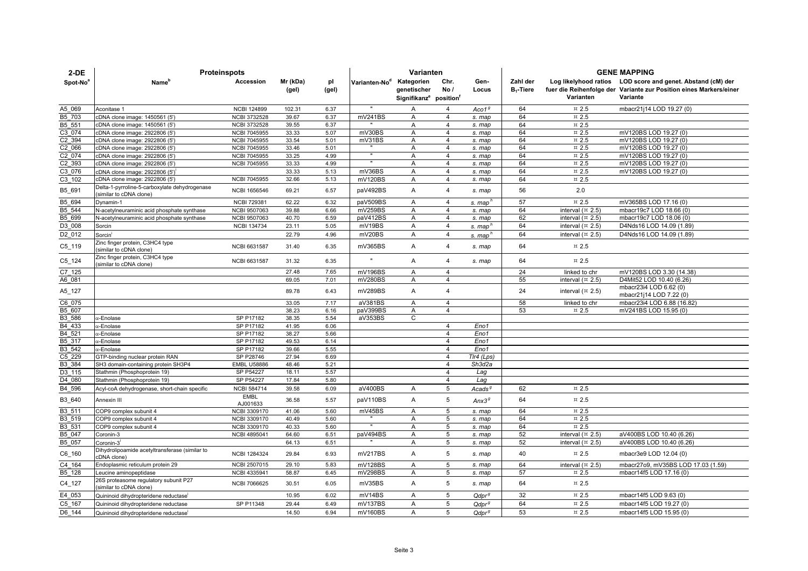| $2-DE$             | <b>Proteinspots</b>                                                     |                                            | Varianten         |              |                           |                                                                |                     | <b>GENE MAPPING</b> |                          |                               |                                                                                                                                               |
|--------------------|-------------------------------------------------------------------------|--------------------------------------------|-------------------|--------------|---------------------------|----------------------------------------------------------------|---------------------|---------------------|--------------------------|-------------------------------|-----------------------------------------------------------------------------------------------------------------------------------------------|
| Spot-No®           | Name <sup>r</sup>                                                       | Accession                                  | Mr (kDa)<br>(gel) | pl<br>(gel)  | Varianten-No <sup>d</sup> | Kategorien<br>genetischer<br>Signifikanz <sup>e</sup> position | Chr.<br>No /        | Gen-<br>Locus       | Zahl der<br>$B_1$ -Tiere | Varianten                     | Log likelyhood ratios LOD score and genet. Abstand (cM) der<br>fuer die Reihenfolge der Variante zur Position eines Markers/einer<br>Variante |
|                    |                                                                         |                                            |                   |              | $\mathbf{u}$              |                                                                |                     |                     |                          |                               |                                                                                                                                               |
| A5 069             | Aconitase 1                                                             | <b>NCBI 124899</b>                         | 102.31            | 6.37         |                           | Α                                                              | 4                   | Aco1 <sup>g</sup>   | 64                       | $\overline{2.5}$              | mbacr21j14 LOD 19.27 (0)                                                                                                                      |
| B5 703             | cDNA clone image: 1450561 (5')                                          | <b>NCBI 3732528</b>                        | 39.67             | 6.37         | mV241BS                   | A                                                              | 4                   | s. map              | 64                       | $\text{m}$ 2.5                |                                                                                                                                               |
| B5_551             | cDNA clone image: 1450561 (5')                                          | <b>NCBI 3732528</b>                        | 39.55             | 6.37         |                           | A                                                              | 4<br>$\overline{4}$ | s. map              | 64                       | $\overline{2.5}$              |                                                                                                                                               |
| C3_074<br>C2 394   | cDNA clone image: 2922806 (5')<br>cDNA clone image: 2922806 (5')        | <b>NCBI 7045955</b><br><b>NCBI 7045955</b> | 33.33<br>33.54    | 5.07<br>5.01 | mV30BS<br>mV31BS          | $\overline{A}$<br>A                                            | 4                   | s. map<br>s. map    | 64<br>64                 | $\text{m}$ 2.5<br>$\,\pi$ 2.5 | mV120BS LOD 19.27 (0)<br>mV120BS LOD 19.27 (0)                                                                                                |
| C2_066             | cDNA clone image: 2922806 (5')                                          | <b>NCBI 7045955</b>                        | 33.46             | 5.01         |                           | $\overline{A}$                                                 | $\overline{4}$      | s. map              | 64                       | $\text{m}$ 2.5                | mV120BS LOD 19.27 (0)                                                                                                                         |
| C2 074             | cDNA clone image: 2922806 (5")                                          | <b>NCBI 7045955</b>                        | 33.25             | 4.99         |                           | A                                                              | 4                   | s. map              | 64                       | $\text{m}$ 2.5                | mV120BS LOD 19.27 (0)                                                                                                                         |
| C <sub>2_393</sub> | cDNA clone image: 2922806 (5')                                          | <b>NCBI 7045955</b>                        | 33.33             | 4.99         |                           | A                                                              | $\overline{4}$      | s. map              | 64                       | $\text{m}$ 2.5                | mV120BS LOD 19.27 (0)                                                                                                                         |
| C3 076             | cDNA clone image: 2922806 (5')                                          |                                            | 33.33             | 5.13         | mV36BS                    | $\overline{A}$                                                 | $\overline{4}$      | s. map              | 64                       | $\,\pi$ 2.5                   | mV120BS LOD 19.27 (0)                                                                                                                         |
| C3 102             | cDNA clone image: 2922806 (5')                                          | <b>NCBI 7045955</b>                        | 32.66             | 5.13         | mV120BS                   | A                                                              | $\overline{4}$      | s. map              | 64                       | $\text{m}$ 2.5                |                                                                                                                                               |
| B5_691             | Delta-1-pyrroline-5-carboxylate dehydrogenase<br>similar to cDNA clone) | <b>NCBI 1656546</b>                        | 69.21             | 6.57         | paV492BS                  | A                                                              | $\overline{4}$      | s. map              | 56                       | 2.0                           |                                                                                                                                               |
| B5 694             | Dynamin-1                                                               | <b>NCBI 729381</b>                         | 62.22             | 6.32         | paV509BS                  | Α                                                              | 4                   | s. map              | 57                       | $\,\pi$ 2.5                   | mV365BS LOD 17.16 (0)                                                                                                                         |
| B5 544             | N-acetylneuraminic acid phosphate synthase                              | NCBI 9507063                               | 39.88             | 6.66         | mV259BS                   | $\overline{A}$                                                 | $\overline{4}$      | s. map              | 64                       | interval $($ ¤ 2.5)           | mbacr19c7 LOD 18.66 (0)                                                                                                                       |
| B5_699             | N-acetylneuraminic acid phosphate synthase                              | <b>NCBI 9507063</b>                        | 40.70             | 6.59         | paV412BS                  | $\overline{A}$                                                 | $\overline{4}$      | s. map              | 62                       | interval $(\times 2.5)$       | mbacr19c7 LOD 18.06 (0)                                                                                                                       |
| D3 008             | Sorcin                                                                  | <b>NCBI 134734</b>                         | 23.11             | 5.05         | mV19BS                    | A                                                              | $\overline{4}$      | s. map              | 64                       | interval $($ ¤ 2.5)           | D4Nds16 LOD 14.09 (1.89)                                                                                                                      |
| D <sub>2_012</sub> | Sorcin <sup>'</sup>                                                     |                                            | 22.79             | 4.96         | mV20BS                    | Α                                                              | $\overline{4}$      | s. map'             | 64                       | interval $(\times 2.5)$       | D4Nds16 LOD 14.09 (1.89)                                                                                                                      |
| C5_119             | Zinc finger protein, C3HC4 type<br>similar to cDNA clone)               | NCBI 6631587                               | 31.40             | 6.35         | mV365BS                   | A                                                              | 4                   | s. map              | 64                       | $\text{m}$ 2.5                |                                                                                                                                               |
| C5_124             | Zinc finger protein, C3HC4 type<br>similar to cDNA clone)               | NCBI 6631587                               | 31.32             | 6.35         |                           | A                                                              | 4                   | s. map              | 64                       | $\overline{2.5}$              |                                                                                                                                               |
| C7 125             |                                                                         |                                            | 27.48             | 7.65         | mV196BS                   | A                                                              | 4                   |                     | 24                       | linked to chr                 | mV120BS LOD 3.30 (14.38)                                                                                                                      |
| A6 081             |                                                                         |                                            | 69.05             | 7.01         | mV280BS                   | A                                                              | $\overline{4}$      |                     | 55                       | interval $($ ¤ 2.5)           | D4Mit52 LOD 10.40 (6.26)                                                                                                                      |
| A5_127             |                                                                         |                                            | 89.78             | 6.43         | mV289BS                   | A                                                              | 4                   |                     | 24                       | interval $(\times 2.5)$       | mbacr23i4 LOD 6.62 (0)<br>mbacr21j14 LOD 7.22 (0)                                                                                             |
| C6 075             |                                                                         |                                            | 33.05             | 7.17         | aV381BS                   | A                                                              | $\overline{4}$      |                     | 58                       | linked to chr                 | mbacr23i4 LOD 6.88 (16.82)                                                                                                                    |
| B5 607             |                                                                         |                                            | 38.23             | 6.16         | paV399BS                  | A                                                              | $\overline{4}$      |                     | 53                       | $\overline{2.5}$              | mV241BS LOD 15.95 (0)                                                                                                                         |
| B3 586             | α-Enolase                                                               | SP P17182                                  | 38.35             | 5.54         | aV353BS                   | C                                                              |                     |                     |                          |                               |                                                                                                                                               |
| B4 433             | x-Enolase                                                               | SP P17182                                  | 41.95             | 6.06         |                           |                                                                | $\overline{4}$      | Eno1                |                          |                               |                                                                                                                                               |
| B4 521             | α-Enolase                                                               | SP P17182                                  | 38.27             | 5.66         |                           |                                                                | $\overline{4}$      | Eno1                |                          |                               |                                                                                                                                               |
| B5 317             | x-Enolase                                                               | SP P17182                                  | 49.53             | 6.14         |                           |                                                                | $\overline{4}$      | Eno1                |                          |                               |                                                                                                                                               |
| B3_542             | α-Enolase                                                               | SP P17182                                  | 39.66             | 5.55         |                           |                                                                | $\overline{4}$      | Eno1                |                          |                               |                                                                                                                                               |
| C5 229             | GTP-binding nuclear protein RAN                                         | SP P28746                                  | 27.94             | 6.69         |                           |                                                                | $\overline{4}$      | TIr4 (Lps)          |                          |                               |                                                                                                                                               |
| B3_384             | SH3 domain-containing protein SH3P4                                     | <b>EMBL U58886</b>                         | 48.46             | 5.21         |                           |                                                                | $\overline{4}$      | Sh3d2a              |                          |                               |                                                                                                                                               |
| D3 115             | Stathmin (Phosphoprotein 19)                                            | SP P54227                                  | 18.11             | 5.57         |                           |                                                                | $\overline{4}$      | Laq                 |                          |                               |                                                                                                                                               |
| D4 080             | Stathmin (Phosphoprotein 19)                                            | SP P54227                                  | 17.84             | 5.80         |                           |                                                                | $\overline{4}$      | Lag                 |                          |                               |                                                                                                                                               |
| B4 596             | Acyl-coA dehydrogenase, short-chain specific                            | <b>NCBI 584714</b>                         | 39.58             | 6.09         | aV400BS                   | Α                                                              | 5                   | Acads <sup>9</sup>  | 62                       | $\,\pi$ 2.5                   |                                                                                                                                               |
| B3_640             | Annexin III                                                             | <b>EMBL</b><br>AJ001633                    | 36.58             | 5.57         | paV110BS                  | A                                                              | 5                   | Ans3 <sup>g</sup>   | 64                       | $\text{m}$ 2.5                |                                                                                                                                               |
| B3 511             | COP9 complex subunit 4                                                  | <b>NCBI 3309170</b>                        | 41.06             | 5.60         | mV45BS                    | A                                                              | 5                   | s. map              | 64                       | $\text{m}$ 2.5                |                                                                                                                                               |
| B3 519             | COP9 complex subunit 4                                                  | <b>NCBI 3309170</b>                        | 40.49             | 5.60         |                           | A                                                              | 5                   | s. map              | 64                       | $\text{m}$ 2.5                |                                                                                                                                               |
| B3 531             | COP9 complex subunit 4                                                  | NCBI 3309170                               | 40.33             | 5.60         |                           | A                                                              | 5                   | s. map              | 64                       | $\text{m}$ 2.5                |                                                                                                                                               |
| B5 047             | Coronin-3                                                               | NCBI 4895041                               | 64.60             | 6.51         | paV494BS                  | $\mathsf{A}$                                                   | 5                   | s. map              | 52                       | interval $($ ¤ 2.5)           | aV400BS LOD 10.40 (6.26)                                                                                                                      |
| B5_057             | Coronin-3                                                               |                                            | 64.13             | 6.51         |                           | Α                                                              | 5                   | s. map              | 52                       | interval $($ ¤ 2.5)           | aV400BS LOD 10.40 (6.26)                                                                                                                      |
| $C6$ _160          | Dihydrolipoamide acetyltransferase (similar to<br>cDNA clone)           | <b>NCBI 1284324</b>                        | 29.84             | 6.93         | mV217BS                   | A                                                              | 5                   | s. map              | 40                       | $\text{m}$ 2.5                | mbacr3e9 LOD 12.04 (0)                                                                                                                        |
| C4 164             | Endoplasmic reticulum protein 29                                        | NCBI 2507015                               | 29.10             | 5.83         | mV128BS                   | $\mathsf{A}$                                                   | 5                   | s. map              | 64                       | interval $(\times 2.5)$       | mbacr27o9, mV35BS LOD 17.03 (1.59)                                                                                                            |
| B5_128             | Leucine aminopeptidase                                                  | NCBI 4335941                               | 58.87             | 6.45         | mV298BS                   | A                                                              | 5                   | s. map              | 57                       | $\text{m}$ 2.5                | mbacr14f5 LOD 17.16 (0)                                                                                                                       |
| C4_127             | 26S proteasome regulatory subunit P27<br>(similar to cDNA clone)        | <b>NCBI 7066625</b>                        | 30.51             | 6.05         | mV35BS                    | A                                                              | 5                   | s. map              | 64                       | $\overline{2.5}$              |                                                                                                                                               |
| E4 053             | Quininoid dihydropteridene reductase                                    |                                            | 10.95             | 6.02         | mV14BS                    | A                                                              | 5                   | Qdpr <sup>g</sup>   | 32                       | $\approx 2.5$                 | mbacr14f5 LOD 9.63 (0)                                                                                                                        |
| C5 167             | Quininoid dihydropteridene reductase                                    | SP P11348                                  | 29.44             | 6.49         | mV137BS                   | A                                                              | 5                   | Qdpr <sup>g</sup>   | 64                       | $\text{m}$ 2.5                | mbacr14f5 LOD 19.27 (0)                                                                                                                       |
| D6 144             | Quininoid dihydropteridene reductase                                    |                                            | 14.50             | 6.94         | mV160BS                   | A                                                              | 5                   | Qdpr <sup>g</sup>   | 53                       | $~\times~2.5$                 | mbacr14f5 LOD 15.95 (0)                                                                                                                       |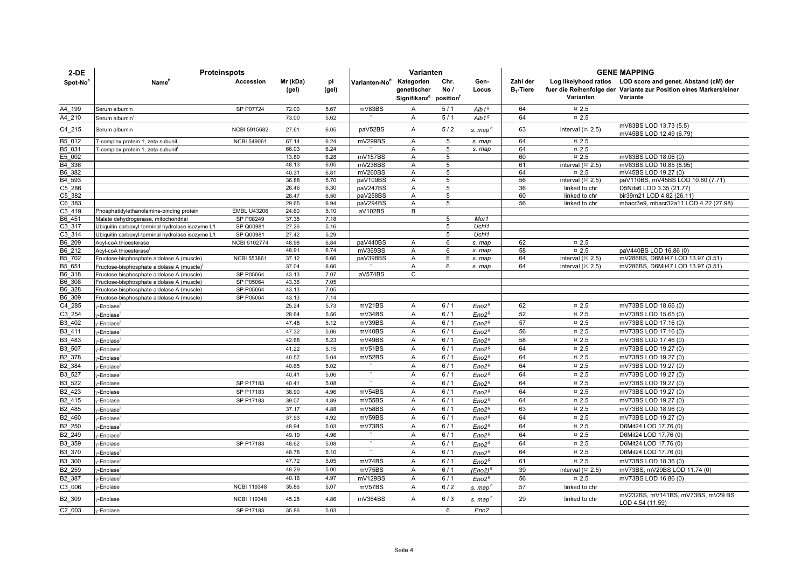| $2-DE$               | <b>Proteinspots</b>                                                                    |                        | Varianten         |              |                           |                                                                             |                     | <b>GENE MAPPING</b> |                          |                                      |                                                                                                                                               |
|----------------------|----------------------------------------------------------------------------------------|------------------------|-------------------|--------------|---------------------------|-----------------------------------------------------------------------------|---------------------|---------------------|--------------------------|--------------------------------------|-----------------------------------------------------------------------------------------------------------------------------------------------|
| Spot-No <sup>8</sup> | Name <sup>"</sup>                                                                      | Accession              | Mr (kDa)<br>(gel) | pl<br>(gel)  | Varianten-No <sup>d</sup> | Kategorien<br>genetischer<br>Signifikanz <sup>e</sup> position <sup>T</sup> | Chr.<br>No/         | Gen-<br>Locus       | Zahl der<br>$B_1$ -Tiere | Varianten                            | Log likelyhood ratios LOD score and genet. Abstand (cM) der<br>fuer die Reihenfolge der Variante zur Position eines Markers/einer<br>Variante |
| A4 199               | Serum albumin                                                                          | SP P07724              | 72.00             | 5.67         | mV83BS                    | A                                                                           | 5/1                 | Alb1 <sup>g</sup>   | 64                       | $\overline{2.5}$                     |                                                                                                                                               |
| A4 210               | Serum albumin                                                                          |                        | 73.00             | 5.62         |                           | A                                                                           | 5/1                 | Alb1 <sup>g</sup>   | 64                       | $\pi$ 2.5                            |                                                                                                                                               |
| C4_215               | Serum albumin                                                                          | <b>NCBI 5915682</b>    | 27.61             | 6.05         | paV52BS                   | $\overline{A}$                                                              | 5/2                 | s. map <sup>n</sup> | 63                       | interval $($ ¤ 2.5)                  | mV83BS LOD 13.73 (5.5)<br>mV45BS LOD 12.49 (6.79)                                                                                             |
| B5 012               | T-complex protein 1, zeta subunit                                                      | <b>NCBI 549061</b>     | 67.14             | 6.24         | mV299BS                   | Α                                                                           | 5                   | s. map              | 64                       | $\,\pi$ 2.5                          |                                                                                                                                               |
| B5 031               | T-complex protein 1, zeta subunit                                                      |                        | 66.03             | 6.24         |                           | A                                                                           | 5                   | s. map              | 64                       | $\,\pi$ 2.5                          |                                                                                                                                               |
| E5 002               |                                                                                        |                        | 13.89             | 6.28         | mV157BS                   | $\overline{A}$                                                              | 5                   |                     | 60                       | $\overline{2.5}$                     | mV83BS LOD 18.06 (0)                                                                                                                          |
| B4 336               |                                                                                        |                        | 48.13             | 6.05         | mV236BS                   | $\overline{A}$                                                              | 5                   |                     | 61                       | interval $(\times 2.5)$              | mV83BS LOD 10.85 (8.95)                                                                                                                       |
| B6 382               |                                                                                        |                        | 40.31             | 6.81         | mV260BS                   | A                                                                           | 5                   |                     | 64<br>56                 | $\,\pi$ 2.5                          | mV45BS LOD 19.27 (0)                                                                                                                          |
| B4 593<br>C5 286     |                                                                                        |                        | 36.88<br>26.46    | 5.70<br>6.30 | paV109BS<br>paV247BS      | A<br>Α                                                                      | $\overline{5}$<br>5 |                     | 36                       | interval $($ ¤ 2.5)<br>linked to chr | paV110BS, mV45BS LOD 10.60 (7.71)<br>D5Nds6 LOD 3.35 (21.77)                                                                                  |
| C5 382               |                                                                                        |                        | 28.47             | 6.50         | paV258BS                  | A                                                                           | 5                   |                     | 60                       | linked to chr                        | bir39m21 LOD 4.82 (26.11)                                                                                                                     |
| C6 383               |                                                                                        |                        | 29.65             | 6.94         | paV294BS                  | A                                                                           | 5                   |                     | 56                       | linked to chr                        | mbacr3e9, mbacr32a11 LOD 4.22 (27.98)                                                                                                         |
| C3 419               | Phosphatidylethanolamine-binding protein                                               | <b>EMBL U43206</b>     | 24.60             | 5.10         | aV102BS                   | B                                                                           |                     |                     |                          |                                      |                                                                                                                                               |
| B6 451               | Malate dehydrogenase, mitochondrial                                                    | SP P08249              | 37.38             | 7.18         |                           |                                                                             | 5                   | Mor1                |                          |                                      |                                                                                                                                               |
| C3 317               | Ubiquitin carboxyl-terminal hydrolase isozyme L1                                       | SP Q00981              | 27.26             | 5.16         |                           |                                                                             | 5                   | Uchl1               |                          |                                      |                                                                                                                                               |
| C3 314               | Ubiquitin carboxyl-terminal hydrolase isozyme L1                                       | SP Q00981              | 27.42             | 5.29         |                           |                                                                             | 5                   | Uchl1               |                          |                                      |                                                                                                                                               |
| B <sub>6</sub> _209  | Acyl-coA thioesterase                                                                  | <b>NCBI 5102774</b>    | 48.98             | 6.84         | paV440BS                  | A                                                                           | 6                   | s. map              | 62                       | $\overline{2.5}$                     |                                                                                                                                               |
| B6_212               | Acyl-coA thioesterase                                                                  |                        | 48.91             | 6.74         | mV369BS                   | A                                                                           | 6                   | s. map              | 58                       | $\text{m}$ 2.5                       | paV440BS LOD 16.86 (0)                                                                                                                        |
| B5 702               | Fructose-bisphosphate aldolase A (muscle)                                              | <b>NCBI 553861</b>     | 37.12             | 6.66         | paV398BS                  | A                                                                           | 6                   | s. map              | 64                       | interval $(\times 2.5)$              | mV286BS, D6Mit47 LOD 13.97 (3.51)                                                                                                             |
| B5 651               | Fructose-bisphosphate aldolase A (muscle)                                              |                        | 37.04             | 6.66         | aV574BS                   | $\overline{A}$<br>C                                                         | 6                   | s. map              | 64                       | interval $($ ¤ 2.5)                  | mV286BS, D6Mit47 LOD 13.97 (3.51)                                                                                                             |
| B6 318<br>B6 308     | Fructose-bisphosphate aldolase A (muscle)                                              | SP P05064<br>SP P05064 | 43.13<br>43.36    | 7.07<br>7.05 |                           |                                                                             |                     |                     |                          |                                      |                                                                                                                                               |
| B6 328               | Fructose-bisphosphate aldolase A (muscle)<br>Fructose-bisphosphate aldolase A (muscle) | SP P05064              | 43.13             | 7.05         |                           |                                                                             |                     |                     |                          |                                      |                                                                                                                                               |
| B6 309               | Fructose-bisphosphate aldolase A (muscle)                                              | SP P05064              | 43.13             | 7.14         |                           |                                                                             |                     |                     |                          |                                      |                                                                                                                                               |
| C4_285               | -Enolase <sup>1</sup>                                                                  |                        | 25.24             | 5.73         | mV21BS                    | A                                                                           | 6/1                 | Eno2 <sup>g</sup>   | 62                       | $\text{m}$ 2.5                       | mV73BS LOD 18.66 (0)                                                                                                                          |
| C3 254               | /-Enolase <sup>+</sup>                                                                 |                        | 28.64             | 5.56         | mV34BS                    | A                                                                           | 6/1                 | Eno2 <sup>g</sup>   | 52                       | $\text{m}$ 2.5                       | mV73BS LOD 15.65 (0)                                                                                                                          |
| B3 402               | /-Enolase <sup>+</sup>                                                                 |                        | 47.48             | 5.12         | mV39BS                    | A                                                                           | 6/1                 | Eno2 <sup>g</sup>   | 57                       | $\overline{2.5}$                     | mV73BS LOD 17.16 (0)                                                                                                                          |
| B3 411               | /-Enolase <sup>.</sup>                                                                 |                        | 47.32             | 5.06         | mV40BS                    | A                                                                           | 6/1                 | Eno2 <sup>g</sup>   | 56                       | $\,\pi$ 2.5                          | mV73BS LOD 17.16 (0)                                                                                                                          |
| B3 483               | /-Enolase <sup>i</sup>                                                                 |                        | 42.68             | 5.23         | mV49BS                    | A                                                                           | 6/1                 | Eno2 <sup>g</sup>   | 58                       | $\,\pi$ 2.5                          | mV73BS LOD 17.46 (0)                                                                                                                          |
| B3 507               | -Enolase <sup>'</sup>                                                                  |                        | 41.22             | 5.15         | mV51BS                    | $\overline{A}$                                                              | 6/1                 | Eno2 <sup>g</sup>   | 64                       | $\,\pi$ 2.5                          | mV73BS LOD 19.27 (0)                                                                                                                          |
| B2 378               | -Enolase <sup>i</sup>                                                                  |                        | 40.57             | 5.04         | mV52BS                    | A                                                                           | 6/1                 | Eno2 <sup>g</sup>   | 64                       | $\,\pi$ 2.5                          | mV73BS LOD 19.27 (0)                                                                                                                          |
| B2 384               | -Enolase <sup>i</sup>                                                                  |                        | 40.65             | 5.02         | $\mathbf{u}$              | A                                                                           | 6/1                 | Eno2 <sup>g</sup>   | 64                       | $\pi$ 2.5                            | mV73BS LOD 19.27 (0)                                                                                                                          |
| B3 527               | -Enolase                                                                               |                        | 40.41             | 5.06         | $\mathbf{u}$              | A                                                                           | 6/1                 | Eno2 <sup>g</sup>   | 64                       | $\,\pi$ 2.5                          | mV73BS LOD 19.27 (0)                                                                                                                          |
| B3 522               | -Enolase                                                                               | SP P17183              | 40.41             | 5.08         | $\mathbf{u}$              | A                                                                           | 6/1                 | Eno2 <sup>g</sup>   | 64                       | $\text{m}$ 2.5                       | mV73BS LOD 19.27 (0)                                                                                                                          |
| B2 423               | -Enolase                                                                               | SP P17183              | 38.90             | 4.96         | mV54BS                    | A                                                                           | 6/1                 | Eno2 <sup>g</sup>   | 64                       | $\,\pi$ 2.5                          | mV73BS LOD 19.27 (0)                                                                                                                          |
| B2 415               | -Enolase                                                                               | SP P17183              | 39.07             | 4.89         | mV55BS                    | $\overline{A}$                                                              | 6/1                 | Eno2 <sup>g</sup>   | 64                       | $\text{m}$ 2.5                       | mV73BS LOD 19.27 (0)                                                                                                                          |
| B2 485               | /-Enolase <sup>,</sup>                                                                 |                        | 37.17             | 4.88         | mV58BS                    | A                                                                           | 6/1                 | Eno2 <sup>g</sup>   | 63                       | $\text{m}$ 2.5                       | mV73BS LOD 18.96 (0)                                                                                                                          |
| B2 460               | -Enolase <sup>'</sup>                                                                  |                        | 37.93             | 4.92         | mV59BS                    | A                                                                           | 6/1                 | Eno2 <sup>g</sup>   | 64                       | $\text{m}$ 2.5                       | mV73BS LOD 19.27 (0)                                                                                                                          |
| B2 250               | -Enolase <sup>'</sup>                                                                  |                        | 48.94             | 5.03         | mV73BS                    | $\overline{A}$                                                              | 6/1                 | Eno2 <sup>g</sup>   | 64                       | $\,\pi$ 2.5                          | D6Mit24 LOD 17.76 (0)                                                                                                                         |
| B2 249               | -Enolase <sup>'</sup>                                                                  |                        | 49.19             | 4.96         |                           | A                                                                           | 6/1                 | Eno2 <sup>g</sup>   | 64                       | $\text{m}$ 2.5                       | D6Mit24 LOD 17.76 (0)                                                                                                                         |
| B3 359               | -Enolase                                                                               | SP P17183              | 48.62             | 5.08         | $\mathbf{u}$              | $\overline{A}$                                                              | 6/1                 | Eno2 <sup>g</sup>   | 64                       | $\,\pi$ 2.5                          | D6Mit24 LOD 17.76 (0)                                                                                                                         |
| B3 370               | -Enolase <sup>®</sup>                                                                  |                        | 48.78             | 5.10         | $\mathbf{u}$              | A                                                                           | 6/1                 | Eno2 <sup>g</sup>   | 64                       | $\,\pi$ 2.5                          | D6Mit24 LOD 17.76 (0)                                                                                                                         |
| B3 300               | -Enolase <sup>i</sup>                                                                  |                        | 47.72             | 5.05         | mV74BS                    | A                                                                           | 6/1                 | Eno2 <sup>g</sup>   | 61                       | $\,\pi$ 2.5                          | mV73BS LOD 18.36 (0)                                                                                                                          |
| B2 259               | /-Enolase <sup>+</sup>                                                                 |                        | 48.29             | 5.00         | mV75BS                    | $\overline{A}$                                                              | 6/1                 | (Eno2) <sup>9</sup> | 39                       | interval $(\pi$ 2.5)                 | mV73BS, mV29BS LOD 11.74 (0)                                                                                                                  |
| B2 387               | /-Enolase <sup>+</sup>                                                                 |                        | 40.16             | 4.97         | mV129BS                   | A                                                                           | 6/1                 | Eno2 <sup>g</sup>   | 56                       | $\,\pi$ 2.5                          | mV73BS LOD 16.86 (0)                                                                                                                          |
| C3 006               | -Enolase                                                                               | <b>NCBI 119348</b>     | 35.86             | 5,07         | mV57BS                    | $\mathsf{A}$                                                                | 6/2                 | s. map <sup>n</sup> | 57                       | linked to chr                        |                                                                                                                                               |
| B2_309               | -Enolase                                                                               | <b>NCBI 119348</b>     | 45.28             | 4.86         | mV364BS                   | A                                                                           | 6/3                 | s. map <sup>h</sup> | 29                       | linked to chr                        | mV232BS, mV141BS, mV73BS, mV29 BS<br>LOD 4.54 (11.59)                                                                                         |
| C2 003               | y-Enolase                                                                              | SP P17183              | 35.86             | 5.03         |                           |                                                                             | 6                   | Eno2                |                          |                                      |                                                                                                                                               |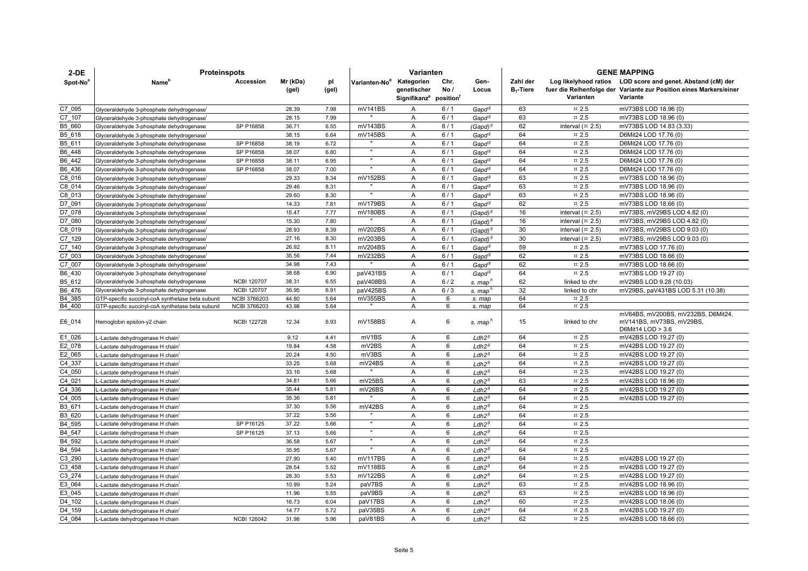| $2-DE$               | <b>Proteinspots</b>                                                            |                     | Varianten      |              |                           |                                                               |        | <b>GENE MAPPING</b>                    |              |                               |                                                                                |
|----------------------|--------------------------------------------------------------------------------|---------------------|----------------|--------------|---------------------------|---------------------------------------------------------------|--------|----------------------------------------|--------------|-------------------------------|--------------------------------------------------------------------------------|
| Spot-No <sup>8</sup> | Name'                                                                          | Accession           | Mr (kDa)       | pl           | Varianten-No <sup>d</sup> | Kategorien                                                    | Chr.   | Gen-                                   | Zahl der     |                               | Log likelyhood ratios LOD score and genet. Abstand (cM) der                    |
|                      |                                                                                |                     | (gel)          | (gel)        |                           | genetischer<br>Signifikanz <sup>e</sup> position <sup>1</sup> | No/    | Locus                                  | $B_1$ -Tiere | Varianten                     | fuer die Reihenfolge der Variante zur Position eines Markers/einer<br>Variante |
| C7_095               | Glyceraldehyde 3-phosphate dehydrogenase                                       |                     | 28.39          | 7.98         | mV141BS                   | Α                                                             | 6/1    | Gapd <sup>9</sup>                      | 63           | $\text{m}$ 2.5                | mV73BS LOD 18.96 (0)                                                           |
| C7 107               | Glyceraldehyde 3-phosphate dehydrogenase                                       |                     | 28.15          | 7.99         |                           | Α                                                             | 6/1    | Gapd <sup>9</sup>                      | 63           | $\,\pi$ 2.5                   | mV73BS LOD 18.96 (0)                                                           |
| B5 660               | Glyceraldehyde 3-phosphate dehydrogenase                                       | SP P16858           | 36.71          | 6.55         | mV143BS                   | Α                                                             | 6/1    | (Gapd) <sup>s</sup>                    | 62           | interval $(\times 2.5)$       | mV73BS LOD 14.83 (3.33)                                                        |
| B5_618               | Glyceraldehyde 3-phosphate dehydrogenase                                       |                     | 38.15          | 6.64         | mV145BS                   | A                                                             | 6/1    | Gapd <sup>9</sup>                      | 64           | $\text{m}$ 2.5                | D6Mit24 LOD 17.76 (0)                                                          |
| B5 611               | Glyceraldehyde 3-phosphate dehydrogenase                                       | SP P16858           | 38.19          | 6.72         |                           | Α                                                             | 6/1    | Gapd <sup>9</sup>                      | 64           | $\text{m}$ 2.5                | D6Mit24 LOD 17.76 (0)                                                          |
| B6 448               | Glyceraldehyde 3-phosphate dehydrogenase                                       | SP P16858           | 38.07          | 6.80         |                           | Α                                                             | 6/1    | $G$ apd $g$                            | 64           | $\,\pi$ 2.5                   | D6Mit24 LOD 17.76 (0)                                                          |
| B6_442               | Glyceraldehyde 3-phosphate dehydrogenase                                       | SP P16858           | 38.11          | 6.95         |                           | Α                                                             | 6/1    | Gapd <sup>9</sup>                      | 64           | $\text{m}$ 2.5                | D6Mit24 LOD 17.76 (0)                                                          |
| B6 436               | Glyceraldehyde 3-phosphate dehydrogenase                                       | SP P16858           | 38.07          | 7.00         |                           | Α                                                             | 6/1    | Gapd <sup>9</sup>                      | 64           | $\,\pi$ 2.5                   | D6Mit24 LOD 17.76 (0)                                                          |
| C8 016               | Glyceraldehyde 3-phosphate dehydrogenase                                       |                     | 29.33          | 8.34         | mV152BS                   | Α                                                             | 6/1    | Gapd <sup>9</sup>                      | 63           | $\,\pi$ 2.5                   | mV73BS LOD 18.96 (0)                                                           |
| C8 014               | Glyceraldehyde 3-phosphate dehydrogenase                                       |                     | 29.46          | 8.31         |                           | A                                                             | 6/1    | $G$ apd $g$                            | 63           | $\overline{2.5}$              | mV73BS LOD 18.96 (0)                                                           |
| C8 013               | Glyceraldehyde 3-phosphate dehydrogenase                                       |                     | 29.60          | 8.30         |                           | A                                                             | 6/1    | Gapd <sup>9</sup>                      | 63           | $\,\pi$ 2.5                   | mV73BS LOD 18.96 (0)                                                           |
| D7 091               | Glyceraldehyde 3-phosphate dehydrogenase                                       |                     | 14.33          | 7.81         | mV179BS                   | Α                                                             | 6/1    | $G$ apd $g$                            | 62           | $\overline{2.5}$              | mV73BS LOD 18.66 (0)                                                           |
| D7_078               | Glyceraldehyde 3-phosphate dehydrogenase                                       |                     | 15.47          | 7.77         | mV180BS                   | Α                                                             | 6/1    | (Gapd) $^g$                            | 16           | interval $($ ¤ 2.5)           | mV73BS, mV29BS LOD 4.82 (0)                                                    |
| D7 080               | Glyceraldehyde 3-phosphate dehydrogenase                                       |                     | 15.30          | 7.80         |                           | Α                                                             | 6/1    | (Gapd) $^g$                            | 16           | interval $(\pi 2.5)$          | mV73BS, mV29BS LOD 4.82 (0)                                                    |
| C8 019               | Glyceraldehyde 3-phosphate dehydrogenase                                       |                     | 28.93          | 8.39         | mV202BS                   | Α                                                             | 6/1    | (Gapd) <sup>g</sup>                    | 30           | interval $(\times 2.5)$       | mV73BS, mV29BS LOD 9.03 (0)                                                    |
| C7 129               | Glyceraldehyde 3-phosphate dehydrogenase                                       |                     | 27.16          | 8.30         | mV203BS                   | Α                                                             | 6/1    | (Gapd) <sup>9</sup>                    | 30           | interval $(\times 2.5)$       | mV73BS, mV29BS LOD 9.03 (0)                                                    |
| C7 140               | Glyceraldehyde 3-phosphate dehydrogenase                                       |                     | 26.92          | 8.11         | mV204BS                   | A                                                             | 6/1    | $G$ apd $g$                            | 59           | $\overline{2.5}$              | mV73BS LOD 17.76 (0)                                                           |
| C7 003               | Glyceraldehyde 3-phosphate dehydrogenase                                       |                     | 35.56          | 7.44         | mV232BS                   | Α                                                             | 6/1    | $G$ apd $g$                            | 62           | $\text{m}$ 2.5                | mV73BS LOD 18.66 (0)                                                           |
| C7 007               | Glyceraldehyde 3-phosphate dehydrogenase                                       |                     | 34.98          | 7.43         |                           | Α                                                             | 6/1    | $G$ apd $g$                            | 62           | $\text{m}$ 2.5                | mV73BS LOD 18.66 (0)                                                           |
| B6_430               | Glyceraldehyde 3-phosphate dehydrogenase                                       |                     | 38.68          | 6.90         | paV431BS                  | A                                                             | 6/1    | Gapd <sup>9</sup>                      | 64           | $\text{m}$ 2.5                | mV73BS LOD 19.27 (0)                                                           |
| B5_612               | Glyceraldehyde 3-phosphate dehydrogenase                                       | <b>NCBI 120707</b>  | 38.31          | 6.55         | paV408BS                  | Α                                                             | 6/2    | s. map <sup>r</sup>                    | 62           | linked to chr                 | mV29BS LOD 9.28 (10.03)                                                        |
| B6 476               | Glyceraldehyde 3-phosphate dehydrogenase                                       | <b>NCBI 120707</b>  | 36.95          | 6.91         | paV425BS                  | A                                                             | 6/3    | s. map <sup>h</sup>                    | 32           | linked to chr                 | mV29BS, paV431BS LOD 5.31 (10.38)                                              |
| B4 385               | GTP-specific succinyl-coA synthetase beta subunit                              | <b>NCBI 3766203</b> | 44.80          | 5.64         | mV355BS                   | A                                                             | 6      | s. map                                 | 64           | $\overline{2.5}$              |                                                                                |
| B4 400               | GTP-specific succinyl-coA synthetase beta subunit                              | <b>NCBI 3766203</b> | 43.98          | 5.64         |                           | A                                                             | 6      | s. map                                 | 64           | $\overline{2.5}$              |                                                                                |
|                      |                                                                                |                     |                |              |                           |                                                               |        |                                        |              |                               | mV64BS, mV200BS, mV232BS, D6Mit24,                                             |
| E6_014               | Hemoglobin epsilon-y2 chain                                                    | <b>NCBI 122728</b>  | 12.34          | 6.93         | mV158BS                   | Α                                                             | 6      | s. map"                                | 15           | linked to chr                 | mV141BS, mV73BS, mV29BS,                                                       |
|                      |                                                                                |                     |                |              |                           |                                                               |        |                                        |              |                               | D6Mit14 LOD > 3.6                                                              |
| E1_026               | L-Lactate dehydrogenase H chain'                                               |                     | 9.12           | 4.41         | mV1BS                     | A                                                             | 6      | Ldh2 <sup>g</sup>                      | 64           | $\,\pi$ 2.5                   | mV42BS LOD 19.27 (0)                                                           |
| E2 078               | -Lactate dehydrogenase H chain <sup>i</sup>                                    |                     | 19.84          | 4.58         | mV2BS                     | Α                                                             | 6      | Ldh2 <sup>g</sup>                      | 64           | $\,\pi$ 2.5                   | mV42BS LOD 19.27 (0)                                                           |
| E2 065               | -Lactate dehydrogenase H chain <sup>i</sup>                                    |                     | 20.24          | 4.50         | mV3BS                     | Α                                                             | 6      | Ldh2 <sup>g</sup>                      | 64           | $\,\pi$ 2.5                   | mV42BS LOD 19.27 (0)                                                           |
| C4 337               | -Lactate dehydrogenase H chain <sup>i</sup>                                    |                     | 33.25          | 5.68         | mV24BS<br>$\mathbf{u}$    | A                                                             | 6      | Ldh2 <sup>g</sup>                      | 64           | $\text{m}$ 2.5                | mV42BS LOD 19.27 (0)                                                           |
| C4 050               | -Lactate dehydrogenase H chain                                                 |                     | 33.16          | 5.68         |                           | Α                                                             | 6      | Ldh2 <sup>g</sup>                      | 64           | $\,\pi$ 2.5                   | mV42BS LOD 19.27 (0)                                                           |
| C4 021               | -Lactate dehydrogenase H chain                                                 |                     | 34.81          | 5.66         | mV25BS                    | A                                                             | 6      | Ldh2 <sup>g</sup>                      | 63           | $\,\pi$ 2.5                   | mV42BS LOD 18.96 (0)                                                           |
| C4_336               | -Lactate dehydrogenase H chain                                                 |                     | 35.44<br>35.36 | 5.81<br>5.81 | mV26BS                    | Α                                                             | 6<br>6 | Ldh2 <sup>g</sup>                      | 64<br>64     | $\text{m}$ 2.5<br>$\,\pi$ 2.5 | mV42BS LOD 19.27 (0)                                                           |
| C4 005<br>B3 671     | -Lactate dehydrogenase H chain                                                 |                     | 37.30          | 5.56         | mV42BS                    | Α<br>A                                                        | 6      | Ldh2 <sup>g</sup>                      | 64           | $\text{m}$ 2.5                | mV42BS LOD 19.27 (0)                                                           |
|                      | -Lactate dehydrogenase H chain <sup>1</sup>                                    |                     | 37.22          | 5.56         |                           |                                                               | 6      | Ldh2 <sup>g</sup>                      | 64           | $\overline{2.5}$              |                                                                                |
| B3_620<br>B4 595     | -Lactate dehydrogenase H chain <sup>1</sup><br>-Lactate dehydrogenase H chain  | SP P16125           | 37.22          | 5.66         | $\mathbf{u}$              | Α<br>A                                                        | 6      | Ldh2 <sup>g</sup><br>Ldh2 <sup>g</sup> | 64           | $\,\pi$ 2.5                   |                                                                                |
| B4 547               | L-Lactate dehydrogenase H chain                                                | SP P16125           | 37.13          | 5.66         | $\mathbf{u}$              | Α                                                             | 6      | Ldh2 <sup>g</sup>                      | 64           | $\overline{2.5}$              |                                                                                |
|                      |                                                                                |                     | 36.58          | 5.67         |                           |                                                               | 6      |                                        | 64           | $\text{m}$ 2.5                |                                                                                |
| B4 592<br>B4 594     | L-Lactate dehydrogenase H chain                                                |                     | 35.95          | 5.67         |                           | Α<br>Α                                                        | 6      | Ldh2 <sup>g</sup>                      | 64           | $\text{m}$ 2.5                |                                                                                |
| C3 290               | L-Lactate dehydrogenase H chain <sup>1</sup>                                   |                     | 27.90          | 5.40         | mV117BS                   | Α                                                             | 6      | Ldh2 <sup>g</sup><br>Ldh2 <sup>g</sup> | 64           | $\text{m}$ 2.5                | mV42BS LOD 19.27 (0)                                                           |
| C3 458               | -Lactate dehydrogenase H chain <sup>1</sup>                                    |                     | 28.54          | 5.52         | mV118BS                   | Α                                                             | 6      |                                        | 64           | $\overline{2.5}$              | mV42BS LOD 19.27 (0)                                                           |
| C3 274               | -Lactate dehydrogenase H chain <sup>1</sup>                                    |                     | 28.30          | 5.53         | mV122BS                   | A                                                             | 6      | Ldh2 <sup>g</sup><br>Ldh2 <sup>g</sup> | 64           | $\text{m}$ 2.5                | mV42BS LOD 19.27 (0)                                                           |
| E3 064               | -Lactate dehydrogenase H chain                                                 |                     | 10.99          | 5.24         | paV7BS                    | Α                                                             | 6      | Ldh2 <sup>g</sup>                      | 63           | $\overline{2.5}$              | mV42BS LOD 18.96 (0)                                                           |
| E3 045               | -Lactate dehydrogenase H chain                                                 |                     | 11.96          | 5.55         | paV9BS                    | A                                                             | 6      | Ldh2 <sup>g</sup>                      | 63           | $\text{m}$ 2.5                | mV42BS LOD 18.96 (0)                                                           |
| D4 102               | L-Lactate dehydrogenase H chain                                                |                     | 16.73          | 6.04         | paV17BS                   | Α                                                             | 6      | Ldh2 <sup>g</sup>                      | 60           | $\,\pi$ 2.5                   | mV42BS LOD 18.06 (0)                                                           |
| D4 159               | L-Lactate dehydrogenase H chain                                                |                     | 14.77          | 5.72         | paV35BS                   | Α                                                             | 6      | Ldh2 <sup>g</sup>                      | 64           | $\overline{2.5}$              | mV42BS LOD 19.27 (0)                                                           |
| C4 084               | -Lactate dehydrogenase H chain <sup>1</sup><br>L-Lactate dehydrogenase H chain | <b>NCBI 126042</b>  | 31.98          | 5.96         | paV81BS                   | A                                                             | 6      | Ldh2 <sup>g</sup>                      | 62           | $\overline{2.5}$              | mV42BS LOD 18.66 (0)                                                           |
|                      |                                                                                |                     |                |              |                           |                                                               |        |                                        |              |                               |                                                                                |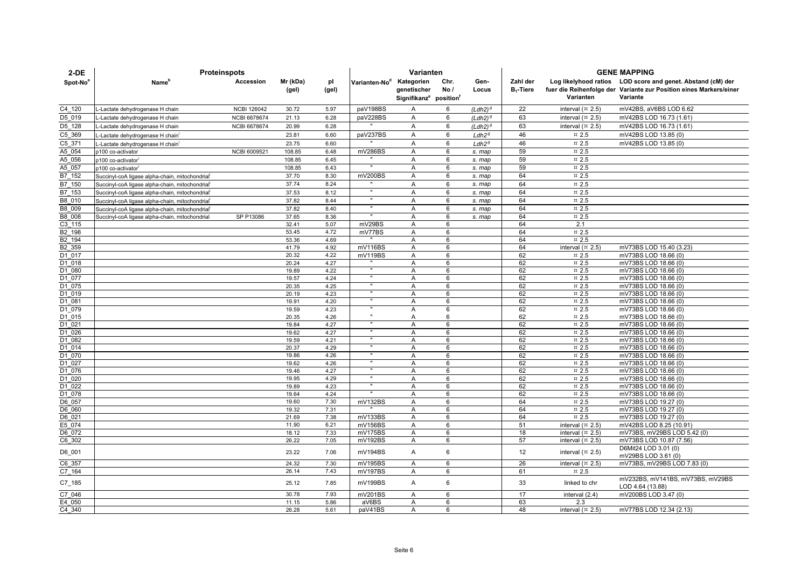| $2-DE$               | <b>Proteinspots</b>                            |                    |                   |              |                           | Varianten                                                                   |             |                   | <b>GENE MAPPING</b>      |                                                            |                                                                                                                                               |  |
|----------------------|------------------------------------------------|--------------------|-------------------|--------------|---------------------------|-----------------------------------------------------------------------------|-------------|-------------------|--------------------------|------------------------------------------------------------|-----------------------------------------------------------------------------------------------------------------------------------------------|--|
| Spot-No <sup>a</sup> | Name <sup>r</sup>                              | Accession          | Mr (kDa)<br>(gel) | pl<br>(gel)  | Varianten-No <sup>d</sup> | Kategorien<br>genetischer<br>Signifikanz <sup>e</sup> position <sup>1</sup> | Chr.<br>No/ | Gen-<br>Locus     | Zahl der<br>$B_1$ -Tiere | Varianten                                                  | Log likelyhood ratios LOD score and genet. Abstand (cM) der<br>fuer die Reihenfolge der Variante zur Position eines Markers/einer<br>Variante |  |
| C4 120               | L-Lactate dehydrogenase H chain                | <b>NCBI 126042</b> | 30.72             | 5.97         | paV198BS                  | A                                                                           | 6           | $(Ldh2)^{9}$      | 22                       | interval $(x 2.5)$                                         | mV42BS, aV6BS LOD 6.62                                                                                                                        |  |
| D5 019               | L-Lactate dehydrogenase H chain                | NCBI 6678674       | 21.13             | 6.28         | paV228BS                  | Α                                                                           | 6           | $(Ldh2)^9$        | 63                       | interval $(\pi$ 2.5)                                       | mV42BS LOD 16.73 (1.61)                                                                                                                       |  |
| D5 128               | L-Lactate dehydrogenase H chain                | NCBI 6678674       | 20.99             | 6.28         |                           | A                                                                           | 6           | $(Ldh2)^{9}$      | 63                       | interval $(\pi$ 2.5)                                       | mV42BS LOD 16.73 (1.61)                                                                                                                       |  |
| C5 369               | L-Lactate dehydrogenase H chain                |                    | 23.81             | 6.60         | paV237BS                  | Α                                                                           | 6           | Ldh2 <sup>g</sup> | 46                       | $\text{m}$ 2.5                                             | mV42BS LOD 13.85 (0)                                                                                                                          |  |
| C5 371               | L-Lactate dehydrogenase H chain                |                    | 23.75             | 6.60         |                           | A                                                                           | 6           | Ldh2 <sup>g</sup> | 46                       | $\text{m}$ 2.5                                             | mV42BS LOD 13.85 (0)                                                                                                                          |  |
| A5 054               | p100 co-activator                              | NCBI 6009521       | 108.85            | 6.48         | mV286BS                   | Α                                                                           | 6           | s. map            | 59                       | $\pi$ 2.5                                                  |                                                                                                                                               |  |
| A5 056               | p100 co-activator                              |                    | 108.85            | 6.45         |                           | A                                                                           | 6           | s. map            | 59                       | $\,\pi$ 2.5                                                |                                                                                                                                               |  |
| A5 057               | p100 co-activator <sup>i</sup>                 |                    | 108.85            | 6.43         | $\mathbf{u}$              | A                                                                           | 6           | s. map            | 59                       | $\,\pi$ 2.5                                                |                                                                                                                                               |  |
| B7 152               | Succinyl-coA ligase alpha-chain, mitochondrial |                    | 37.70             | 8.30         | mV200BS                   | A                                                                           | 6           | s. map            | 64                       | $\pi$ 2.5                                                  |                                                                                                                                               |  |
| B7 150               | Succinyl-coA ligase alpha-chain, mitochondrial |                    | 37.74             | 8.24         |                           | $\overline{A}$                                                              | 6           | s. map            | 64                       | $\pi$ 2.5                                                  |                                                                                                                                               |  |
| B7 153               | Succinyl-coA ligase alpha-chain, mitochondrial |                    | 37.53             | 8.12         | $\mathbf{u}$              | A                                                                           | 6           | s. map            | 64                       | $\pi$ 2.5                                                  |                                                                                                                                               |  |
| B8 010               | Succinyl-coA ligase alpha-chain, mitochondrial |                    | 37.82             | 8.44         |                           | A                                                                           | 6           | s. map            | 64                       | $\,\pi$ 2.5                                                |                                                                                                                                               |  |
| B8 009               | Succinyl-coA ligase alpha-chain, mitochondrial |                    | 37.82             | 8.40         |                           | Α                                                                           | 6           | s. map            | 64                       | $\,\pi$ 2.5                                                |                                                                                                                                               |  |
| B8 008               | Succinyl-coA ligase alpha-chain, mitochondrial | SP P13086          | 37.65             | 8.36         |                           | A                                                                           | 6           | s. map            | 64                       | $\overline{2.5}$                                           |                                                                                                                                               |  |
| C3 115               |                                                |                    | 32.41             | 5.07         | mV29BS                    | A                                                                           | 6           |                   | 64                       | 2.1                                                        |                                                                                                                                               |  |
| B2 198               |                                                |                    | 53.45             | 4.72         | mV77BS                    | Α                                                                           | 6           |                   | 64                       | $\overline{2.5}$                                           |                                                                                                                                               |  |
| B2 194               |                                                |                    | 53.36             | 4.69         |                           | Α                                                                           | 6           |                   | 64                       | $\,\pi$ 2.5                                                |                                                                                                                                               |  |
| B2 359               |                                                |                    | 41.79             | 4.92         | mV116BS                   | A                                                                           | 6           |                   | 64                       | interval $(\times 2.5)$                                    | mV73BS LOD 15.40 (3.23)                                                                                                                       |  |
| D1 017               |                                                |                    | 20.32             | 4.22         | mV119BS                   | $\overline{A}$                                                              | 6           |                   | 62                       | $\text{m}$ 2.5                                             | mV73BS LOD 18.66 (0)                                                                                                                          |  |
| D1 018               |                                                |                    | 20.24             | 4.27         |                           | A                                                                           | 6           |                   | 62                       | $\,\pi$ 2.5                                                | mV73BS LOD 18.66 (0)                                                                                                                          |  |
| D1 080               |                                                |                    | 19.89             | 4.22         |                           | Α                                                                           | 6           |                   | 62                       | $\,\pi$ 2.5                                                | mV73BS LOD 18.66 (0)                                                                                                                          |  |
| D1 077               |                                                |                    | 19.57             | 4.24         | $\mathbf{u}$              | $\overline{A}$                                                              | 6           |                   | 62                       | $\text{m}$ 2.5                                             | mV73BS LOD 18.66 (0)                                                                                                                          |  |
| D1 075               |                                                |                    | 20.35             | 4.25         | $\mathbf{u}$              | Α                                                                           | 6           |                   | 62                       | $\text{m}$ 2.5                                             | mV73BS LOD 18.66 (0)                                                                                                                          |  |
| D1 019               |                                                |                    | 20.19             | 4.23         |                           | A                                                                           | 6           |                   | 62                       | $\,\pi$ 2.5                                                | mV73BS LOD 18.66 (0)                                                                                                                          |  |
| $\overline{D1}$ 081  |                                                |                    | 19.91             | 4.20<br>4.23 |                           | A                                                                           | 6<br>6      |                   | 62                       | $\overline{2.5}$                                           | mV73BS LOD 18.66 (0)                                                                                                                          |  |
| D1 079               |                                                |                    | 19.59<br>20.35    | 4.26         |                           | A<br>A                                                                      | 6           |                   | 62<br>62                 | $\,\pi$ 2.5<br>$\,\pi$ 2.5                                 | mV73BS LOD 18.66 (0)<br>mV73BS LOD 18.66 (0)                                                                                                  |  |
| D1 015<br>D1 021     |                                                |                    | 19.84             | 4.27         |                           | A                                                                           | 6           |                   | 62                       | $\text{m}$ 2.5                                             | mV73BS LOD 18.66 (0)                                                                                                                          |  |
| D1 026               |                                                |                    | 19.62             | 4.27         |                           | A                                                                           | 6           |                   | 62                       | $\,\pi$ 2.5                                                | mV73BS LOD 18.66 (0)                                                                                                                          |  |
| D1 082               |                                                |                    | 19.59             | 4.21         |                           | Α                                                                           | 6           |                   | 62                       | $\,\pi$ 2.5                                                | mV73BS LOD 18.66 (0)                                                                                                                          |  |
| D1 014               |                                                |                    | 20.37             | 4.29         | $\mathbf{u}$              | A                                                                           | 6           |                   | 62                       | $\text{m}$ 2.5                                             | mV73BS LOD 18.66 (0)                                                                                                                          |  |
| D1 070               |                                                |                    | 19.86             | 4.26         |                           | $\overline{A}$                                                              | 6           |                   | 62                       | $\,\pi$ 2.5                                                | mV73BS LOD 18.66 (0)                                                                                                                          |  |
| D1 027               |                                                |                    | 19.62             | 4.26         |                           | A                                                                           | 6           |                   | 62                       | $\,\pi$ 2.5                                                | mV73BS LOD 18.66 (0)                                                                                                                          |  |
| D1 076               |                                                |                    | 19.46             | 4.27         |                           | A                                                                           | 6           |                   | 62                       | $\,\pi$ 2.5                                                | mV73BS LOD 18.66 (0)                                                                                                                          |  |
| D1 020               |                                                |                    | 19.95             | 4.29         |                           | $\overline{A}$                                                              | 6           |                   | 62                       | $\pi$ 2.5                                                  | mV73BS LOD 18.66 (0)                                                                                                                          |  |
| D1 022               |                                                |                    | 19.89             | 4.23         |                           | $\overline{A}$                                                              | 6           |                   | 62                       | $\,\pi$ 2.5                                                | mV73BS LOD 18.66 (0)                                                                                                                          |  |
| D1 078               |                                                |                    | 19.64             | 4.24         |                           | A                                                                           | 6           |                   | 62                       | $\,\pi$ 2.5                                                | mV73BS LOD 18.66 (0)                                                                                                                          |  |
| D6 057               |                                                |                    | 19.60             | 7.30         | mV132BS                   | Α                                                                           | 6           |                   | 64                       | $\,\pi$ 2.5                                                | mV73BS LOD 19.27 (0)                                                                                                                          |  |
| D6 060               |                                                |                    | 19.32             | 7.31         |                           | A                                                                           | 6           |                   | 64                       | $\,\pi$ 2.5                                                | mV73BS LOD 19.27 (0)                                                                                                                          |  |
| D6 021               |                                                |                    | 21.69             | 7.38         | mV133BS                   | Α                                                                           | 6<br>6      |                   | 64<br>51                 | $\,\pi$ 2.5                                                | mV73BS LOD 19.27 (0)                                                                                                                          |  |
| E5 074<br>D6 072     |                                                |                    | 11.90             | 6.21         | mV156BS<br>mV175BS        | A<br>Α                                                                      | 6           |                   |                          | interval $(\times 2.5)$<br>interval $($ $\overline{2}$ .5) | mV42BS LOD 8.25 (10.91<br>mV73BS, mV29BS LOD 5.42 (0)                                                                                         |  |
| C6 302               |                                                |                    | 18.12<br>26.22    | 7.33<br>7.05 | mV192BS                   | Α                                                                           | 6           |                   | 18<br>57                 | interval $(x 2.5)$                                         | mV73BS LOD 10.87 (7.56)                                                                                                                       |  |
| D6_001               |                                                |                    | 23.22             | 7.06         | mV194BS                   | A                                                                           | 6           |                   | 12                       | interval $(\times 2.5)$                                    | D6Mit24 LOD 3.01 (0)                                                                                                                          |  |
| C6 357               |                                                |                    | 24.32             | 7.30         | mV195BS                   | Α                                                                           | 6           |                   | 26                       | interval $(\pi$ 2.5)                                       | mV29BS LOD 3.61 (0)<br>mV73BS, mV29BS LOD 7.83 (0)                                                                                            |  |
| C7 164               |                                                |                    | 26.14             | 7.43         | mV197BS                   | A                                                                           | 6           |                   | 61                       | $\text{m}$ 2.5                                             |                                                                                                                                               |  |
| $C7$ _185            |                                                |                    | 25.12             | 7.85         | mV199BS                   | A                                                                           | 6           |                   | 33                       | linked to chr                                              | mV232BS, mV141BS, mV73BS, mV29BS<br>LOD 4.64 (13.88)                                                                                          |  |
| C7 046               |                                                |                    | 30.78             | 7.93         | mV201BS                   | A                                                                           | 6           |                   | 17                       | interval (2.4)                                             | mV200BS LOD 3.47 (0)                                                                                                                          |  |
| E4 050               |                                                |                    | 11.15             | 5.86         | aV6BS                     | A                                                                           | 6           |                   | 63                       | 2.3                                                        |                                                                                                                                               |  |
| C4 340               |                                                |                    | 26.28             | 5.61         | paV41BS                   | Α                                                                           | 6           |                   | 48                       | interval $($ ¤ 2.5)                                        | mV77BS LOD 12.34 (2.13)                                                                                                                       |  |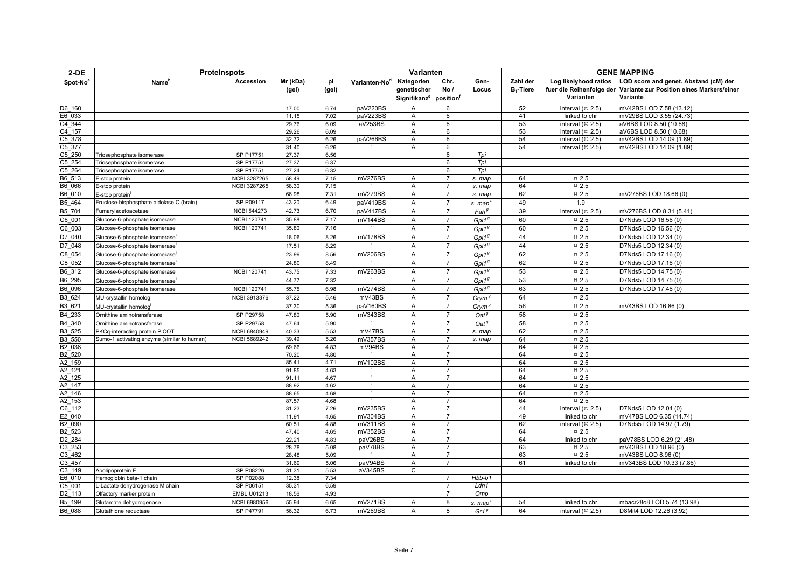| $2-DE$               | <b>Proteinspots</b>                         |                     |                   |              |                           | Varianten                                                                   |                     |                   | <b>GENE MAPPING</b>      |                              |                                                                                                                                               |  |
|----------------------|---------------------------------------------|---------------------|-------------------|--------------|---------------------------|-----------------------------------------------------------------------------|---------------------|-------------------|--------------------------|------------------------------|-----------------------------------------------------------------------------------------------------------------------------------------------|--|
| Spot-No <sup>®</sup> | Name'                                       | Accession           | Mr (kDa)<br>(gel) | pl<br>(gel)  | Varianten-No <sup>d</sup> | Kategorien<br>genetischer<br>Signifikanz <sup>e</sup> position <sup>t</sup> | Chr.<br>No/         | Gen-<br>Locus     | Zahl der<br>$B_1$ -Tiere | Varianten                    | Log likelyhood ratios LOD score and genet. Abstand (cM) der<br>fuer die Reihenfolge der Variante zur Position eines Markers/einer<br>Variante |  |
| D6 160               |                                             |                     | 17.00             | 6.74         | paV220BS                  | Α                                                                           | 6                   |                   | 52                       | interval $(\times 2.5)$      | mV42BS LOD 7.58 (13.12)                                                                                                                       |  |
| E6 033               |                                             |                     | 11.15             | 7.02         | paV223BS                  | Α                                                                           | 6                   |                   | 41                       | linked to chr                | mV29BS LOD 3.55 (24.73)                                                                                                                       |  |
| C4 344               |                                             |                     | 29.76             | 6.09         | aV253BS                   | A                                                                           | 6                   |                   | 53                       | interval $(\times 2.5)$      | aV6BS LOD 8.50 (10.68)                                                                                                                        |  |
| C4 157               |                                             |                     | 29.26             | 6.09         |                           | A                                                                           | 6                   |                   | 53                       | interval $(\times 2.5)$      | aV6BS LOD 8.50 (10.68)                                                                                                                        |  |
| $C5$ 378             |                                             |                     | 32.72             | 6.26         | paV266BS                  | A                                                                           | 6                   |                   | 54                       | interval $(\times 2.5)$      | mV42BS LOD 14.09 (1.89)                                                                                                                       |  |
| C5 377               |                                             |                     | 31.40             | 6.26         |                           | A                                                                           | 6                   |                   | 54                       | interval $($ ¤ 2.5)          | mV42BS LOD 14.09 (1.89)                                                                                                                       |  |
| C5 250               | Friosephosphate isomerase                   | SP P17751           | 27.37             | 6.56         |                           |                                                                             | 6                   | Tpi               |                          |                              |                                                                                                                                               |  |
| C5 254               | Triosephosphate isomerase                   | SP P17751           | 27.37             | 6.37         |                           |                                                                             | 6                   | Tpi               |                          |                              |                                                                                                                                               |  |
| C5 264               | Triosephosphate isomerase                   | SP P17751           | 27.24             | 6.32         |                           |                                                                             | 6                   | Tpi               |                          |                              |                                                                                                                                               |  |
| B6 513               | E-stop protein                              | <b>NCBI 3287265</b> | 58.49             | 7.15         | mV276BS                   | A                                                                           | $\overline{7}$      | s. map            | 64                       | $\text{m}$ 2.5               |                                                                                                                                               |  |
| B6 066               | E-stop protein                              | <b>NCBI 3287265</b> | 58.30             | 7.15         |                           | A                                                                           | $\overline{7}$      | s. map            | 64                       | $\,\pi$ 2.5                  |                                                                                                                                               |  |
| B6 010               | E-stop protein                              |                     | 66.98             | 7.31         | mV279BS                   | A                                                                           | $\overline{7}$      | s. map            | 62                       | $\,\pi$ 2.5                  | mV276BS LOD 18.66 (0)                                                                                                                         |  |
| B5 464               | Fructose-bisphosphate aldolase C (brain)    | SP P09117           | 43.20             | 6.49         | paV419BS                  | A                                                                           | $\overline{7}$      | s. map'           | 49                       | 1.9                          |                                                                                                                                               |  |
| B5 701               | Fumarylacetoacetase                         | <b>NCBI 544273</b>  | 42.73             | 6.70         | paV417BS                  | $\overline{A}$                                                              | $\overline{7}$      | Fah <sup>g</sup>  | 39                       | interval $(\times 2.5)$      | mV276BS LOD 8.31 (5.41)                                                                                                                       |  |
| C6 001               | Glucose-6-phosphate isomerase               | <b>NCBI 120741</b>  | 35.88             | 7.17         | mV144BS                   | A                                                                           | $\overline{7}$      | Gpi $19$          | 60                       | ¤ 2.5                        | D7Nds5 LOD 16.56 (0)                                                                                                                          |  |
| C6 003               | Glucose-6-phosphate isomerase               | <b>NCBI 120741</b>  | 35.80             | 7.16         |                           | A                                                                           | $\overline{7}$      | Gpi $19$          | 60                       | $\,\pi$ 2.5                  | D7Nds5 LOD 16.56 (0)                                                                                                                          |  |
| D7 040               | Glucose-6-phosphate isomerase               |                     | 18.06             | 8.26         | mV178BS                   | A                                                                           | $\overline{7}$      | Gpi1 <sup>9</sup> | 44                       | ¤ 2.5                        | D7Nds5 LOD 12.34 (0)                                                                                                                          |  |
| D7_048               | Glucose-6-phosphate isomerase               |                     | 17.51             | 8.29         |                           | A                                                                           | $\overline{7}$      | Gpi1 <sup>9</sup> | 44                       | $\,\pi$ 2.5                  | D7Nds5 LOD 12.34 (0)                                                                                                                          |  |
| C8 054               | Glucose-6-phosphate isomerase               |                     | 23.99             | 8.56         | mV206BS                   | A                                                                           | $\overline{7}$      | Gpi $19$          | 62                       | $\,\pi$ 2.5                  | D7Nds5 LOD 17.16 (0)                                                                                                                          |  |
| C8 052               | Glucose-6-phosphate isomerase'              |                     | 24.80             | 8.49         |                           | A                                                                           | $\overline{7}$      | Gpi $19$          | 62                       | $\approx 2.5$                | D7Nds5 LOD 17.16 (0)                                                                                                                          |  |
| B6 312               | Glucose-6-phosphate isomerase               | <b>NCBI 120741</b>  | 43.75             | 7.33         | mV263BS                   | A                                                                           | $\overline{7}$      | Gpi $19$          | 53                       | $\approx 2.5$                | D7Nds5 LOD 14.75 (0)                                                                                                                          |  |
| B6 295               | Glucose-6-phosphate isomerase               |                     | 44.77             | 7.32         |                           | A                                                                           | $\overline{7}$      | Gpi $19$          | 53                       | $\,\pi$ 2.5                  | D7Nds5 LOD 14.75 (0)                                                                                                                          |  |
| B6 096               | Glucose-6-phosphate isomerase               | <b>NCBI 120741</b>  | 55.75             | 6.98         | mV274BS                   | $\overline{A}$                                                              | $\overline{7}$      | Gpi $1g$          | 63                       | $\text{m}$ 2.5               | D7Nds5 LOD 17.46 (0)                                                                                                                          |  |
| B3 624               | MU-crystallin homolog                       | <b>NCBI 3913376</b> | 37.22             | 5.46         | mV43BS                    | A                                                                           | $\overline{7}$      | Crym <sup>g</sup> | 64                       | $\text{m}$ 2.5               |                                                                                                                                               |  |
| B3 621               | MU-crystallin homolog                       |                     | 37.30             | 5.36         | paV160BS                  | A                                                                           | $\overline{7}$      | Crym <sup>9</sup> | 56                       | $\text{m}$ 2.5               | mV43BS LOD 16.86 (0)                                                                                                                          |  |
| B4_233               | Ornithine aminotransferase                  | SP P29758           | 47.80             | 5.90         | mV343BS                   | A                                                                           | $\overline{7}$      | $\mathsf{Oat}^g$  | 58                       | $\overline{2.5}$             |                                                                                                                                               |  |
| B4_340               | Ornithine aminotransferase                  | SP P29758           | 47.64             | 5.90         |                           | A                                                                           | $\overline{7}$      | $\mathsf{Oat}^g$  | 58                       | $\,\pi$ 2.5                  |                                                                                                                                               |  |
| B3 525               | PKCq-interacting protein PICOT              | NCBI 6840949        | 40.33             | 5.53         | mV47BS                    | A                                                                           | $\overline{7}$      | s. map            | 62                       | $\approx 2.5$                |                                                                                                                                               |  |
| B3 550               | Sumo-1 activating enzyme (similar to human) | NCBI 5689242        | 39.49             | 5.26         | mV357BS                   | A                                                                           | $\overline{7}$      | s. map            | 64                       | ¤ 2.5                        |                                                                                                                                               |  |
| B2_038               |                                             |                     | 69.66             | 4.83         | mV94BS                    | $\mathsf{A}$                                                                | $\overline{7}$      |                   | 64                       | $\text{II}$ 2.5              |                                                                                                                                               |  |
| B2 520               |                                             |                     | 70.20             | 4.80         |                           | A                                                                           | $\overline{7}$      |                   | 64                       | $\text{m}$ 2.5               |                                                                                                                                               |  |
| A2 159               |                                             |                     | 85.41             | 4.71         | mV102BS                   | A                                                                           | $\overline{7}$      |                   | 64                       | $\text{m}$ 2.5               |                                                                                                                                               |  |
| A2 121               |                                             |                     | 91.85             | 4.63         |                           | A                                                                           | $\overline{7}$      |                   | 64                       | $\text{m}$ 2.5               |                                                                                                                                               |  |
| A2 125               |                                             |                     | 91.11             | 4.67         |                           | A                                                                           | $\overline{7}$      |                   | 64                       | $\text{m}$ 2.5               |                                                                                                                                               |  |
| A2 147               |                                             |                     | 88.92             | 4.62         |                           | A                                                                           | 7                   |                   | 64                       | ¤ 2.5                        |                                                                                                                                               |  |
| A2 146               |                                             |                     | 88.65             | 4.68         |                           | Α                                                                           | 7                   |                   | 64                       | ¤ 2.5                        |                                                                                                                                               |  |
| A2 153               |                                             |                     | 87.57             | 4.68         |                           | A                                                                           | $\overline{7}$      |                   | 64                       | $\text{m}$ 2.5               |                                                                                                                                               |  |
| C6 112               |                                             |                     | 31.23             | 7.26         | mV235BS                   | A                                                                           | $\overline{7}$      |                   | 44                       | interval $(\times 2.5)$      | D7Nds5 LOD 12.04 (0)                                                                                                                          |  |
| E2 040               |                                             |                     | 11.91<br>60.51    | 4.65         | mV304BS                   | A                                                                           | $\overline{7}$<br>7 |                   | 49<br>62                 | linked to chr                | mV47BS LOD 6.35 (14.74)<br>D7Nds5 LOD 14.97 (1.79)                                                                                            |  |
| B2 090<br>B2 523     |                                             |                     | 47.40             | 4.88<br>4.65 | mV311BS<br>mV352BS        | A<br>$\overline{A}$                                                         | $\overline{7}$      |                   | 64                       | interval $($ ¤ 2.5)<br>¤ 2.5 |                                                                                                                                               |  |
| D2 284               |                                             |                     | 22.21             | 4.83         | paV26BS                   | A                                                                           | 7                   |                   | 64                       | linked to chr                | paV78BS LOD 6.29 (21.48)                                                                                                                      |  |
| C3 253               |                                             |                     | 28.78             | 5.08         | paV78BS                   | $\overline{A}$                                                              | $\overline{7}$      |                   | 63                       | $\,\pi$ 2.5                  | mV43BS LOD 18.96 (0)                                                                                                                          |  |
| C3 462               |                                             |                     | 28.48             | 5.09         |                           | $\mathsf{A}$                                                                | $\overline{7}$      |                   | 63                       | $\text{m}$ 2.5               | mV43BS LOD 8.96 (0)                                                                                                                           |  |
| C3 457               |                                             |                     | 31.69             | 5.06         | paV94BS                   | A                                                                           | 7                   |                   | 61                       | linked to chr                | mV343BS LOD 10.33 (7.86)                                                                                                                      |  |
| C3 149               | Apolipoprotein E                            | SP P08226           | 31.31             | 5.53         | aV345BS                   | $\mathbf{C}$                                                                |                     |                   |                          |                              |                                                                                                                                               |  |
| E6 010               | Hemoglobin beta-1 chain                     | SP P02088           | 12.38             | 7.34         |                           |                                                                             | $\overline{7}$      | $Hbb-b1$          |                          |                              |                                                                                                                                               |  |
| C5 001               | -Lactate dehydrogenase M chain              | SP P06151           | 35.31             | 6.59         |                           |                                                                             | $\overline{7}$      | Ldh1              |                          |                              |                                                                                                                                               |  |
| D <sub>2</sub> 113   | Olfactory marker protein                    | <b>EMBL U01213</b>  | 18.56             | 4.93         |                           |                                                                             | $\overline{7}$      | Omp               |                          |                              |                                                                                                                                               |  |
| B5 199               | Glutamate dehydrogenase                     | <b>NCBI 6980956</b> | 55.94             | 6.65         | mV271BS                   | A                                                                           | 8                   | s. map            | 54                       | linked to chr                | mbacr28o8 LOD 5.74 (13.98)                                                                                                                    |  |
| B6 088               | Glutathione reductase                       | SP P47791           | 56.32             | 6.73         | mV269BS                   | A                                                                           | 8                   | Gr1 <sup>g</sup>  | 64                       | interval $($ ¤ 2.5)          | D8Mit4 LOD 12.26 (3.92)                                                                                                                       |  |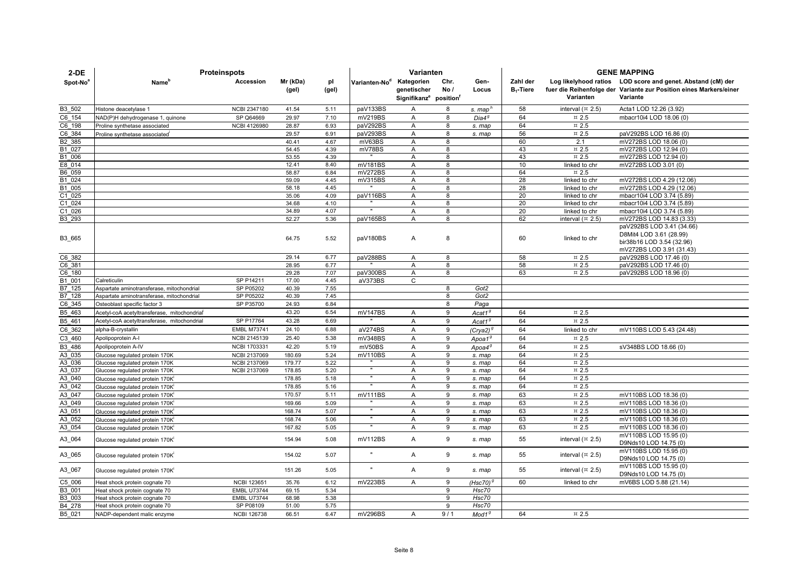| $2-DE$               | <b>Proteinspots</b>                         |                     |                |              |                           | Varianten                                      |        |                    | <b>GENE MAPPING</b> |                                          |                                                                    |  |
|----------------------|---------------------------------------------|---------------------|----------------|--------------|---------------------------|------------------------------------------------|--------|--------------------|---------------------|------------------------------------------|--------------------------------------------------------------------|--|
| Spot-No <sup>8</sup> | Name <sup>'</sup>                           | Accession           | Mr (kDa)       | pl           | Varianten-No <sup>d</sup> | Kategorien                                     | Chr.   | Gen-               | Zahl der            |                                          | Log likelyhood ratios LOD score and genet. Abstand (cM) der        |  |
|                      |                                             |                     | (gel)          | (gel)        |                           | genetischer                                    | No/    | Locus              | $B_1$ -Tiere        |                                          | fuer die Reihenfolge der Variante zur Position eines Markers/einer |  |
|                      |                                             |                     |                |              |                           | Signifikanz <sup>e</sup> position <sup>T</sup> |        |                    |                     | Varianten                                | Variante                                                           |  |
| B3 502               | Histone deacetylase 1                       | <b>NCBI 2347180</b> | 41.54          | 5.11         | paV133BS                  | A                                              | 8      | s. map             | 58                  | interval $(\times 2.5)$                  | Acta1 LOD 12.26 (3.92)                                             |  |
| C6 154               | NAD(P)H dehydrogenase 1, quinone            | SP Q64669           | 29.97          | 7.10         | mV219BS                   | $\overline{A}$                                 | 8      | $Di$ a $4^9$       | 64                  | ¤ 2.5                                    | mbacr10i4 LOD 18.06 (0)                                            |  |
| C6 198               | Proline synthetase associated               | <b>NCBI 4126980</b> | 28.87          | 6.93         | paV292BS                  | A                                              | 8      | s. map             | 64                  | $\,\pi$ 2.5                              |                                                                    |  |
| C6 384               | Proline synthetase associated               |                     | 29.57          | 6.91         | paV293BS                  | A                                              | 8      | s. map             | 56                  | $\,\pi$ 2.5                              | paV292BS LOD 16.86 (0)                                             |  |
| B2_385               |                                             |                     | 40.41          | 4.67         | mV63BS                    | $\overline{A}$                                 | 8      |                    | 60                  | 2.1                                      | mV272BS LOD 18.06 (0)                                              |  |
| B1 027               |                                             |                     | 54.45          | 4.39         | mV78BS                    | $\overline{A}$                                 | 8      |                    | 43                  | $\text{m}$ 2.5                           | mV272BS LOD 12.94 (0)                                              |  |
| B1 006               |                                             |                     | 53.55          | 4.39         |                           | A                                              | 8      |                    | 43                  | $\text{m}$ 2.5                           | mV272BS LOD 12.94 (0)                                              |  |
| E8 014               |                                             |                     | 12.41          | 8.40         | mV181BS                   | A                                              | 8      |                    | 10                  | linked to chr                            | mV272BS LOD 3.01 (0)                                               |  |
| B6 059               |                                             |                     | 58.87          | 6.84         | mV272BS                   | A                                              | 8      |                    | 64                  | $\,\pi$ 2.5                              |                                                                    |  |
| B1 024               |                                             |                     | 59.09          | 4.45         | mV315BS                   | A                                              | 8      |                    | 28                  | linked to chr                            | mV272BS LOD 4.29 (12.06)                                           |  |
| B1 005               |                                             |                     | 58.18          | 4.45         |                           | A                                              | 8      |                    | 28                  | linked to chr                            | mV272BS LOD 4.29 (12.06)                                           |  |
| C1 025               |                                             |                     | 35.06          | 4.09         | paV116BS                  | A                                              | 8      |                    | 20                  | linked to chr                            | mbacr10i4 LOD 3.74 (5.89)                                          |  |
| C1 024               |                                             |                     | 34.68<br>34.89 | 4.10<br>4.07 |                           | $\overline{A}$<br>A                            | 8<br>8 |                    | 20                  | linked to chr                            | mbacr10i4 LOD 3.74 (5.89)                                          |  |
| C1 026<br>B3 293     |                                             |                     | 52.27          | 5.36         | paV165BS                  | A                                              | 8      |                    | 20<br>62            | linked to chr<br>interval $(\times 2.5)$ | mbacr10i4 LOD 3.74 (5.89)<br>mV272BS LOD 14.83 (3.33)              |  |
|                      |                                             |                     |                |              |                           |                                                |        |                    |                     |                                          | paV292BS LOD 3.41 (34.66)                                          |  |
|                      |                                             |                     |                |              |                           |                                                |        |                    |                     |                                          | D8Mit4 LOD 3.61 (28.99)                                            |  |
| B3_665               |                                             |                     | 64.75          | 5.52         | paV180BS                  | A                                              | 8      |                    | 60                  | linked to chr                            | bir38b16 LOD 3.54 (32.96)                                          |  |
|                      |                                             |                     |                |              |                           |                                                |        |                    |                     |                                          | mV272BS LOD 3.91 (31.43)                                           |  |
| C6 382               |                                             |                     | 29.14          | 6.77         | paV288BS                  | A                                              | 8      |                    | 58                  | $\,\pi$ 2.5                              | paV292BS LOD 17.46 (0)                                             |  |
| C6 381               |                                             |                     | 28.95          | 6.77         |                           | A                                              | 8      |                    | 58                  | $\overline{2.5}$                         | paV292BS LOD 17.46 (0)                                             |  |
| C6 180               |                                             |                     | 29.28          | 7.07         | paV300BS                  | $\overline{A}$                                 | 8      |                    | 63                  | $\text{m}$ 2.5                           | paV292BS LOD 18.96 (0)                                             |  |
| B1 001               | Calreticulin                                | SP P14211           | 17.00          | 4.45         | aV373BS                   | C                                              |        |                    |                     |                                          |                                                                    |  |
| B7 125               | Aspartate aminotransferase, mitochondrial   | SP P05202           | 40.39          | 7.55         |                           |                                                | 8      | Got2               |                     |                                          |                                                                    |  |
| B7 128               | Aspartate aminotransferase, mitochondrial   | SP P05202           | 40.39          | 7.45         |                           |                                                | 8      | Got2               |                     |                                          |                                                                    |  |
| C6 345               | Osteoblast specific factor 3                | SP P35700           | 24.93          | 6.84         |                           |                                                | 8      | Paga               |                     |                                          |                                                                    |  |
| B5 463               | Acetyl-coA acetyltransferase, mitochondrial |                     | 43.20          | 6.54         | mV147BS                   | A                                              | 9      | Acat1 <sup>9</sup> | 64                  | $\text{m}$ 2.5                           |                                                                    |  |
| B5 461               | Acetyl-coA acetyltransferase, mitochondrial | SP P17764           | 43.28          | 6.69         |                           | A                                              | 9      | Acat1 <sup>9</sup> | 64                  | $\,\pi$ 2.5                              |                                                                    |  |
| C6 362               | alpha-B-crystallin                          | <b>EMBL M73741</b>  | 24.10          | 6.88         | aV274BS                   | A                                              | 9      | (Crya2) $9$        | 64                  | linked to chr                            | mV110BS LOD 5.43 (24.48)                                           |  |
| C3 460               | Apolipoprotein A-I                          | NCBI 2145139        | 25.40          | 5.38         | mV348BS                   | A                                              | 9      | Apoa1 <sup>9</sup> | 64                  | $\text{m}$ 2.5                           |                                                                    |  |
| B3 486               | Apolipoprotein A-IV                         | <b>NCBI 1703331</b> | 42.20          | 5.19         | mV50BS                    | A                                              | 9      | $A$ poa $49$       | 64                  | ¤ 2.5                                    | sV348BS LOD 18.66 (0)                                              |  |
| A3 035               | Glucose regulated protein 170K              | <b>NCBI 2137069</b> | 180.69         | 5.24         | mV110BS                   | A                                              | 9      | s. map             | 64                  | $\,\pi$ 2.5                              |                                                                    |  |
| A3 036               | Glucose regulated protein 170K              | NCBI 2137069        | 179.77         | 5.22         |                           | A                                              | 9      | s. map             | 64                  | $\overline{2.5}$                         |                                                                    |  |
| A3 037               | Glucose regulated protein 170K              | NCBI 2137069        | 178.85         | 5.20         |                           | A                                              | 9      | s. map             | 64                  | $\,\pi$ 2.5                              |                                                                    |  |
| A3 040               | Glucose regulated protein 170K              |                     | 178.85         | 5.18         |                           | A                                              | 9      | s. map             | 64                  | $\,\pi$ 2.5                              |                                                                    |  |
| A3 042               | Glucose regulated protein 170K              |                     | 178.85         | 5.16         |                           | A                                              | 9      | s. map             | 64                  | $\,\pi$ 2.5                              |                                                                    |  |
| A3 047               | Glucose regulated protein 170K              |                     | 170.57         | 5.11         | mV111BS                   | A                                              | 9      | s. map             | 63                  | $\,\pi$ 2.5                              | mV110BS LOD 18.36 (0)                                              |  |
| A3 049               | Glucose regulated protein 170K              |                     | 169.66         | 5.09         |                           | A                                              | 9      | s. map             | 63                  | $\,\pi$ 2.5                              | mV110BS LOD 18.36 (0)                                              |  |
| A3 051               | Glucose regulated protein 170K              |                     | 168.74         | 5.07         | $\mathbf{u}$              | A                                              | 9      | s. map             | 63                  | $\,\pi$ 2.5                              | mV110BS LOD 18.36 (0)                                              |  |
| A3 052               | Glucose regulated protein 170K              |                     | 168.74         | 5.06         |                           | A                                              | 9      | s. map             | 63                  | $\overline{2.5}$                         | mV110BS LOD 18.36 (0)                                              |  |
| A3 054               | Glucose regulated protein 170K              |                     | 167.82         | 5.05         |                           | A                                              | 9      | s. map             | 63                  | $\approx 2.5$                            | mV110BS LOD 18.36 (0)                                              |  |
| A3_064               | Glucose regulated protein 170K              |                     | 154.94         | 5.08         | mV112BS                   | A                                              | 9      | s. map             | 55                  | interval $(\times 2.5)$                  | mV110BS LOD 15.95 (0)<br>D9Nds10 LOD 14.75 (0)                     |  |
| A3_065               | Glucose regulated protein 170K              |                     | 154.02         | 5.07         | $\mathbf{u}$ .            | A                                              | 9      | s. map             | 55                  | interval $(\times 2.5)$                  | mV110BS LOD 15.95 (0)<br>D9Nds10 LOD 14.75 (0)                     |  |
| A3_067               | Glucose regulated protein 170K              |                     | 151.26         | 5.05         | $\mathbf{u}$              | A                                              | 9      | s. map             | 55                  | interval $($ ¤ 2.5)                      | mV110BS LOD 15.95 (0)<br>D9Nds10 LOD 14.75 (0)                     |  |
| C5 006               | Heat shock protein cognate 70               | <b>NCBI 123651</b>  | 35.76          | 6.12         | mV223BS                   | A                                              | 9      | (Hsc70) $9$        | 60                  | linked to chr                            | mV6BS LOD 5.88 (21.14)                                             |  |
| B3 001               | Heat shock protein cognate 70               | <b>EMBL U73744</b>  | 69.15          | 5.34         |                           |                                                | 9      | Hsc70              |                     |                                          |                                                                    |  |
| B3 003               | Heat shock protein cognate 70               | <b>EMBL U73744</b>  | 68.98          | 5.38         |                           |                                                | 9      | Hsc70              |                     |                                          |                                                                    |  |
| B4 278               | Heat shock protein cognate 70               | SP P08109           | 51.00          | 5.75         |                           |                                                | 9      | Hsc70              |                     |                                          |                                                                    |  |
| B5 021               | NADP-dependent malic enzyme                 | <b>NCBI 126738</b>  | 66.51          | 6.47         | mV296BS                   | $\mathsf{A}$                                   | 9/1    | Mod1 <sup>9</sup>  | 64                  | ¤ 2.5                                    |                                                                    |  |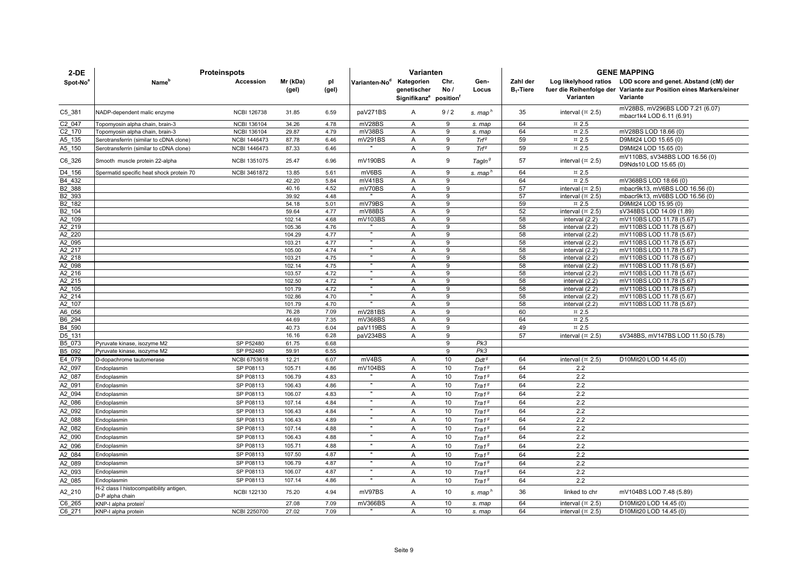| $2-DE$              | <b>Proteinspots</b>                      |                     | Varianten         |              |                           |                                                                |                | <b>GENE MAPPING</b> |                          |                                  |                                                                                                                                               |
|---------------------|------------------------------------------|---------------------|-------------------|--------------|---------------------------|----------------------------------------------------------------|----------------|---------------------|--------------------------|----------------------------------|-----------------------------------------------------------------------------------------------------------------------------------------------|
| Spot-No             | Name <sup>r</sup>                        | Accession           | Mr (kDa)<br>(gel) | pl<br>(gel)  | Varianten-No <sup>d</sup> | Kategorien<br>genetischer<br>Signifikanz <sup>e</sup> position | Chr.<br>No/    | Gen-<br>Locus       | Zahl der<br>$B_1$ -Tiere | Varianten                        | Log likelyhood ratios LOD score and genet. Abstand (cM) der<br>fuer die Reihenfolge der Variante zur Position eines Markers/einer<br>Variante |
| $C5$ _381           | NADP-dependent malic enzyme              | <b>NCBI 126738</b>  | 31.85             | 6.59         | paV271BS                  | Α                                                              | 9/2            | s. map <sup>n</sup> | 35                       | interval $(\pi$ 2.5)             | mV28BS, mV296BS LOD 7.21 (6.07)<br>mbacr1k4 LOD 6.11 (6.91)                                                                                   |
| C2 047              | Topomyosin alpha chain, brain-3          | <b>NCBI 136104</b>  | 34.26             | 4.78         | mV28BS                    | A                                                              | 9              | s. map              | 64                       | $\,\pi$ 2.5                      |                                                                                                                                               |
| C2 170              | Topomyosin alpha chain, brain-3          | <b>NCBI 136104</b>  | 29.87             | 4.79         | mV38BS                    | A                                                              | 9              | s. map              | 64                       | $\,\pi$ 2.5                      | mV28BS LOD 18.66 (0)                                                                                                                          |
| A5 135              | Serotransferrin (similar to cDNA clone)  | NCBI 1446473        | 87.78             | 6.46         | mV291BS                   | A                                                              | 9              | Trf <sup>g</sup>    | 59                       | $\,\pi$ 2.5                      | D9Mit24 LOD 15.65 (0)                                                                                                                         |
| A5 150              | Serotransferrin (similar to cDNA clone)  | NCBI 1446473        | 87.33             | 6.46         |                           | A                                                              | 9              | Trf <sup>g</sup>    | 59                       | $\,\pi$ 2.5                      | D9Mit24 LOD 15.65 (0)                                                                                                                         |
| C6_326              | Smooth muscle protein 22-alpha           | NCBI 1351075        | 25.47             | 6.96         | mV190BS                   | A                                                              | 9              | Tagin <sup>9</sup>  | 57                       | interval $(\pi$ 2.5)             | mV110BS, sV348BS LOD 16.56 (0)<br>D9Nds10 LOD 15.65 (0)                                                                                       |
| D4 156              | Spermatid specific heat shock protein 70 | NCBI 3461872        | 13.85             | 5.61         | mV6BS                     | A                                                              | 9              | s. map <sup>n</sup> | 64                       | $\,\pi$ 2.5                      |                                                                                                                                               |
| B4 432              |                                          |                     | 42.20             | 5.84         | mV41BS                    | $\overline{A}$                                                 | 9              |                     | 64                       | $\overline{2.5}$                 | mV368BS LOD 18.66 (0)                                                                                                                         |
| B2 388              |                                          |                     | 40.16             | 4.52         | mV70BS                    | A                                                              | 9              |                     | 57                       | interval $(\times 2.5)$          | mbacr9k13, mV6BS LOD 16.56 (0)                                                                                                                |
| B2 393              |                                          |                     | 39.92             | 4.48         |                           | A                                                              | $\overline{9}$ |                     | 57                       | interval $(\pi$ 2.5)             | mbacr9k13, mV6BS LOD 16.56 (0)                                                                                                                |
| B2 182              |                                          |                     | 54.18             | 5.01         | mV79BS                    | A                                                              | 9              |                     | 59                       | $\,\pi$ 2.5                      | D9Mit24 LOD 15.95 (0)                                                                                                                         |
| B2 104              |                                          |                     | 59.64             | 4.77         | mV88BS                    | Α                                                              | 9              |                     | 52                       | interval $(\times 2.5)$          | sV348BS LOD 14.09 (1.89)                                                                                                                      |
| A2 109              |                                          |                     | 102.14            | 4.68         | mV103BS                   | A                                                              | 9              |                     | 58                       | interval (2.2)                   | mV110BS LOD 11.78 (5.67)                                                                                                                      |
| A2 219              |                                          |                     | 105.36            | 4.76         | $\overline{ }$            | A                                                              | 9              |                     | 58                       | interval (2.2)                   | mV110BS LOD 11.78 (5.67)                                                                                                                      |
| A2 220              |                                          |                     | 104.29            | 4.77         |                           | $\overline{A}$                                                 | 9              |                     | 58                       | interval (2.2)                   | mV110BS LOD 11.78 (5.67)                                                                                                                      |
| A2_095              |                                          |                     | 103.21            | 4.77         |                           | A                                                              | 9              |                     | 58                       | interval (2.2)                   | mV110BS LOD 11.78 (5.67)                                                                                                                      |
| A2 217              |                                          |                     | 105.00            | 4.74<br>4.75 | $\mathbf{u}$              | A                                                              | 9              |                     | 58                       | interval (2.2)                   | mV110BS LOD 11.78 (5.67)                                                                                                                      |
| A2 218<br>A2 098    |                                          |                     | 103.21<br>102.14  | 4.75         |                           | A<br>A                                                         | 9<br>9         |                     | 58<br>58                 | interval (2.2)<br>interval (2.2) | mV110BS LOD 11.78 (5.67)<br>mV110BS LOD 11.78 (5.67)                                                                                          |
| A2 216              |                                          |                     | 103.57            | 4.72         | $\mathbf{u}$              | A                                                              | 9              |                     | 58                       | interval (2.2)                   | mV110BS LOD 11.78 (5.67)                                                                                                                      |
| $\overline{A2}$ 215 |                                          |                     | 102.50            | 4.72         |                           | A                                                              | $\overline{9}$ |                     | 58                       | interval (2.2)                   | mV110BS LOD 11.78 (5.67)                                                                                                                      |
| A2 105              |                                          |                     | 101.79            | 4.72         |                           | A                                                              | 9              |                     | 58                       | interval (2.2)                   | mV110BS LOD 11.78 (5.67)                                                                                                                      |
| A2_214              |                                          |                     | 102.86            | 4.70         |                           | A                                                              | 9              |                     | 58                       | interval (2.2)                   | mV110BS LOD 11.78 (5.67)                                                                                                                      |
| A2 107              |                                          |                     | 101.79            | 4.70         |                           | A                                                              | 9              |                     | 58                       | interval (2.2)                   | mV110BS LOD 11.78 (5.67)                                                                                                                      |
| A6 056              |                                          |                     | 76.28             | 7.09         | mV281BS                   | A                                                              | 9              |                     | 60                       | $\,\pi$ 2.5                      |                                                                                                                                               |
| B6 294              |                                          |                     | 44.69             | 7.35         | mV368BS                   | $\overline{A}$                                                 | 9              |                     | 64                       | $\,\pi$ 2.5                      |                                                                                                                                               |
| B4 590              |                                          |                     | 40.73             | 6.04         | paV119BS                  | Α                                                              | 9              |                     | 49                       | $\,\pi$ 2.5                      |                                                                                                                                               |
| D5 131              |                                          |                     | 16.16             | 6.28         | paV234BS                  | A                                                              | $\overline{9}$ |                     | 57                       | interval $(\times 2.5)$          | sV348BS, mV147BS LOD 11.50 (5.78)                                                                                                             |
| B5 073              | Pyruvate kinase, isozyme M2              | SP P52480           | 61.75             | 6.68         |                           |                                                                | 9              | Pk3                 |                          |                                  |                                                                                                                                               |
| B5 092              | Pyruvate kinase, isozyme M2              | SP P52480           | 59.91             | 6.55         |                           |                                                                | 9              | Pk3                 |                          |                                  |                                                                                                                                               |
| E4 079              | D-dopachrome tautomerase                 | NCBI 6753618        | 12.21             | 6.07         | mV4BS                     | A                                                              | 10             | $Ddt^g$             | 64                       | interval $(\pi$ 2.5)             | D10Mit20 LOD 14.45 (0)                                                                                                                        |
| A2 097              | Endoplasmin                              | SP P08113           | 105.71            | 4.86         | mV104BS                   | A                                                              | 10             | Tra1 <sup>g</sup>   | 64                       | 2.2                              |                                                                                                                                               |
| A2 087              | Endoplasmin                              | SP P08113           | 106.79            | 4.83         |                           | A                                                              | 10             | Tra1 <sup>g</sup>   | 64                       | 2.2                              |                                                                                                                                               |
| A2 091              | Endoplasmin                              | SP P08113           | 106.43            | 4.86         | $\mathbf{u}$              | A                                                              | 10             | Tra1 <sup>g</sup>   | 64                       | 2.2                              |                                                                                                                                               |
| A2 094              | Endoplasmin                              | SP P08113           | 106.07            | 4.83         | $\mathbf{u}$              | A                                                              | 10             | Tra1 <sup>g</sup>   | 64                       | 2.2                              |                                                                                                                                               |
| A2 086              | Endoplasmin                              | SP P08113           | 107.14            | 4.84         | $\mathbf{u}$              | $\overline{A}$                                                 | 10             | Tra1 <sup>g</sup>   | 64                       | 2.2                              |                                                                                                                                               |
| A2 092              | Endoplasmin                              | SP P08113           | 106.43            | 4.84         | $\mathbf{u}$              | $\overline{A}$                                                 | 10             | Tra1 <sup>g</sup>   | 64                       | 2.2                              |                                                                                                                                               |
| A2 088              | Endoplasmin                              | SP P08113           | 106.43            | 4.89         | $\mathbf{u}$              | $\overline{A}$                                                 | 10             | $\text{Tra1}^{\,g}$ | 64                       | 2.2                              |                                                                                                                                               |
| A2 082              | Endoplasmin                              | SP P08113           | 107.14            | 4.88         | $\mathbf{u}$              | A                                                              | 10             | Tra1 <sup>g</sup>   | 64                       | 2.2                              |                                                                                                                                               |
| A2 090              | Endoplasmin                              | SP P08113           | 106.43            | 4.88         | $\mathbf{u}$              | A                                                              | 10             | Tra1 <sup>g</sup>   | 64                       | 2.2                              |                                                                                                                                               |
| A2 096              | Endoplasmin                              | SP P08113           | 105.71            | 4.88         |                           | $\mathsf{A}$                                                   | 10             | Tra1 <sup>g</sup>   | 64                       | 2.2                              |                                                                                                                                               |
| A2 084              | Endoplasmin                              | SP P08113           | 107.50            | 4.87         | $\mathbf{u}$              | A                                                              | 10             | Tra1 <sup>g</sup>   | 64                       | 2.2                              |                                                                                                                                               |
| A2 089              | Endoplasmin                              | SP P08113           | 106.79            | 4.87         | $\mathbf{u}$              | A                                                              | 10             | Tra1 <sup>g</sup>   | 64                       | 2.2                              |                                                                                                                                               |
| A2 093              | Endoplasmin                              | SP P08113           | 106.07            | 4.87         |                           | A                                                              | 10             | Tra1 <sup>g</sup>   | 64                       | 2.2                              |                                                                                                                                               |
| A2 085              | Endoplasmin                              | SP P08113           | 107.14            | 4.86         | $\mathbf{u}$              | A                                                              | 10             | Tra1 <sup>g</sup>   | 64                       | 2.2                              |                                                                                                                                               |
| A2_210              | H-2 class I histocompatibility antigen,  | <b>NCBI 122130</b>  | 75.20             | 4.94         | mV97BS                    | A                                                              | 10             | s. map"             | 36                       | linked to chr                    | mV104BS LOD 7.48 (5.89)                                                                                                                       |
|                     | D-P alpha chain                          |                     |                   |              |                           |                                                                |                |                     |                          |                                  |                                                                                                                                               |
| C6 265              | KNP-I alpha protein                      |                     | 27.08             | 7.09         | mV366BS                   | A                                                              | 10<br>10       | s. map              | 64<br>64                 | interval $(\times 2.5)$          | D10Mit20 LOD 14.45 (0)<br>D10Mit20 LOD 14.45 (0)                                                                                              |
| C6 271              | KNP-I alpha protein                      | <b>NCBI 2250700</b> | 27.02             | 7.09         |                           | A                                                              |                | s. map              |                          | interval $(\times 2.5)$          |                                                                                                                                               |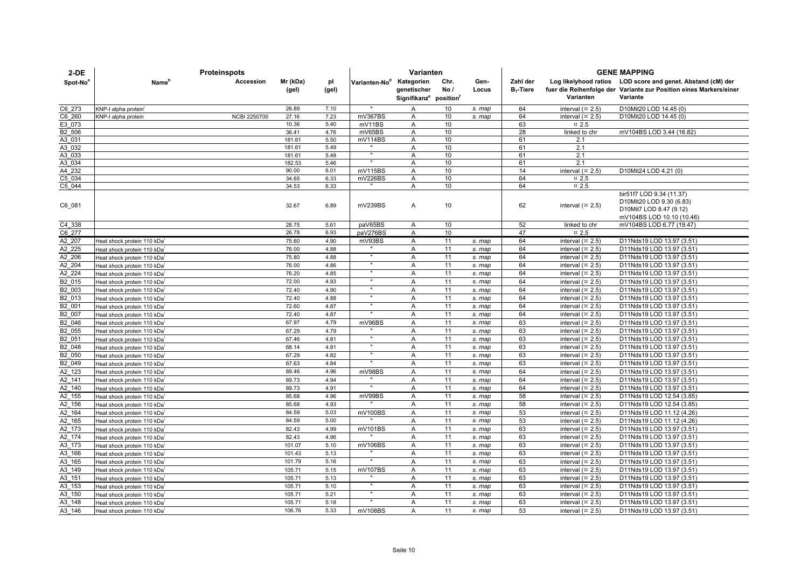| $2-DE$             |                                         |                     | Varianten         |              |                           |                                                                             |              | <b>GENE MAPPING</b> |                          |                                 |                                                                                                                                               |
|--------------------|-----------------------------------------|---------------------|-------------------|--------------|---------------------------|-----------------------------------------------------------------------------|--------------|---------------------|--------------------------|---------------------------------|-----------------------------------------------------------------------------------------------------------------------------------------------|
| Spot-No®           | Name <sup>r</sup>                       | Accession           | Mr (kDa)<br>(gel) | pl<br>(gel)  | Varianten-No <sup>d</sup> | Kategorien<br>genetischer<br>Signifikanz <sup>e</sup> position <sup>t</sup> | Chr.<br>No / | Gen-<br>Locus       | Zahl der<br>$B_1$ -Tiere | Varianten                       | Log likelyhood ratios LOD score and genet. Abstand (cM) der<br>fuer die Reihenfolge der Variante zur Position eines Markers/einer<br>Variante |
| C6 273             | KNP-I alpha protein                     |                     | 26.89             | 7.10         | $\mathbf{u}$              | $\overline{A}$                                                              | 10           | s. map              | 64                       | interval ( $\approx$ 2.5)       | D10Mit20 LOD 14.45 (0)                                                                                                                        |
| C6 260             | KNP-I alpha protein                     | <b>NCBI 2250700</b> | 27.16             | 7.23         | mV367BS                   | Α                                                                           | 10           | s. map              | 64                       | interval $($ $\overline{2}$ .5) | D10Mit20 LOD 14.45 (0)                                                                                                                        |
| E3 073             |                                         |                     | 10.36             | 5.40         | mV11BS                    | A                                                                           | 10           |                     | 63                       | $\,\pi$ 2.5                     |                                                                                                                                               |
| B2 506             |                                         |                     | 36.41             | 4.76         | mV65BS                    | A                                                                           | 10           |                     | 28                       | linked to chr                   | mV104BS LOD 3.44 (16.82)                                                                                                                      |
| A3 031             |                                         |                     | 181.61            | 5.50         | mV114BS                   | A                                                                           | 10           |                     | 61                       | 2.1                             |                                                                                                                                               |
| A3 032             |                                         |                     | 181.61            | 5.49         | $\overline{ }$            | Α                                                                           | 10           |                     | 61                       | 2.1                             |                                                                                                                                               |
| A3 033             |                                         |                     | 181.61            | 5.48         | $\mathbf{u}$              | A                                                                           | 10           |                     | 61                       | 2.1                             |                                                                                                                                               |
| A3 034             |                                         |                     | 182.53            | 5.46         |                           | A                                                                           | 10           |                     | 61                       | 2.1                             |                                                                                                                                               |
| A4 232             |                                         |                     | 90.00             | 6.01         | mV115BS                   | Α<br>$\overline{A}$                                                         | 10<br>10     |                     | 14<br>64                 | interval $(\times 2.5)$         | D10Mit24 LOD 4.21 (0)                                                                                                                         |
| C5 034<br>C5 044   |                                         |                     | 34.65<br>34.53    | 6.33<br>6.33 | mV226BS<br>$\mathbf{u}$   | A                                                                           | 10           |                     | 64                       | $\,\pi$ 2.5<br>$\,\pi$ 2.5      |                                                                                                                                               |
| C6_081             |                                         |                     | 32.67             | 6.89         | mV239BS                   | A                                                                           | 10           |                     | 62                       | interval $(\times 2.5)$         | bir51f7 LOD 9.34 (11.37)<br>D10Mit20 LOD 9.30 (6.83)<br>D10Mit7 LOD 8.47 (9.12)<br>mV104BS LOD 10.10 (10.46)                                  |
| C4 338             |                                         |                     | 28.75             | 5.61         | paV65BS                   | Α                                                                           | 10           |                     | 52                       | linked to chr                   | mV104BS LOD 6.77 (19.47)                                                                                                                      |
| C6 277             |                                         |                     | 26.78             | 6.93         | paV276BS                  | A                                                                           | 10           |                     | 47                       | $\,\pi$ 2.5                     |                                                                                                                                               |
| A2 207             | Heat shock protein 110 kDa <sup>i</sup> |                     | 75.60             | 4.90         | mV93BS                    | $\overline{A}$                                                              | 11           | s. map              | 64                       | interval $(\times 2.5)$         | D11Nds19 LOD 13.97 (3.51)                                                                                                                     |
| A2 225             | Heat shock protein 110 kDa <sup>i</sup> |                     | 76.00             | 4.88         |                           | A                                                                           | 11           | s. map              | 64                       | interval $(\times 2.5)$         | D11Nds19 LOD 13.97 (3.51)                                                                                                                     |
| A2 206             | leat shock protein 110 kDa'             |                     | 75.80             | 4.88         | $\mathbf{u}$              | A                                                                           | 11           | s. map              | 64                       | interval $(\times 2.5)$         | D11Nds19 LOD 13.97 (3.51)                                                                                                                     |
| A2 204             | Heat shock protein 110 kDa'             |                     | 76.00             | 4.86         | $\overline{ }$            | $\overline{A}$                                                              | 11           | s. map              | 64                       | interval $(\times 2.5)$         | D11Nds19 LOD 13.97 (3.51)                                                                                                                     |
| A2 224             | leat shock protein 110 kDa'             |                     | 76.20             | 4.85         | $\mathbf{u}$              | $\overline{A}$                                                              | 11           | s. map              | 64                       | interval $(\times 2.5)$         | D11Nds19 LOD 13.97 (3.51)                                                                                                                     |
| B2 015             | leat shock protein 110 kDa <sup>i</sup> |                     | 72.00             | 4.93         | $\overline{\phantom{a}}$  | A                                                                           | 11           | s. map              | 64                       | interval $(\times 2.5)$         | D11Nds19 LOD 13.97 (3.51)                                                                                                                     |
| B2 003             | leat shock protein 110 kDa              |                     | 72.40             | 4.90         |                           | Α                                                                           | 11           | s. map              | 64                       | interval $(\times 2.5)$         | D11Nds19 LOD 13.97 (3.51)                                                                                                                     |
| B2 013             | Heat shock protein 110 kDa <sup>i</sup> |                     | 72.40             | 4.88         |                           | A                                                                           | 11           | s. map              | 64                       | interval $($ ¤ 2.5)             | D11Nds19 LOD 13.97 (3.51)                                                                                                                     |
| B2_001             | Heat shock protein 110 kDa              |                     | 72.60             | 4.87         | $\mathbf{u}$              | A                                                                           | 11           | s. map              | 64                       | interval $(\times 2.5)$         | D11Nds19 LOD 13.97 (3.51)                                                                                                                     |
| B2 007             | Heat shock protein 110 kDa              |                     | 72.40             | 4.87         | $\mathbf{u}$              | A                                                                           | 11           | s. map              | 64                       | interval $(\times 2.5)$         | D11Nds19 LOD 13.97 (3.51)                                                                                                                     |
| B2 046             | Heat shock protein 110 kDa'             |                     | 67.97             | 4.79         | mV96BS                    | $\overline{A}$                                                              | 11           | s. map              | 63                       | interval $(\times 2.5)$         | D11Nds19 LOD 13.97 (3.51)                                                                                                                     |
| B2 055             | leat shock protein 110 kDa'             |                     | 67.29             | 4.79         |                           | $\overline{A}$                                                              | 11           | s. map              | 63                       | interval $(\times 2.5)$         | D11Nds19 LOD 13.97 (3.51)                                                                                                                     |
| B2 051             | Heat shock protein 110 kDa <sup>i</sup> |                     | 67.46             | 4.81         | $\mathbf{u}$              | A                                                                           | 11           | s. map              | 63                       | interval $(\times 2.5)$         | D11Nds19 LOD 13.97 (3.51)                                                                                                                     |
| B <sub>2_048</sub> | Heat shock protein 110 kDa'             |                     | 68.14             | 4.81         | F                         | A                                                                           | 11           | s. map              | 63                       | interval $(\times 2.5)$         | D11Nds19 LOD 13.97 (3.51)                                                                                                                     |
| B2 050             | Heat shock protein 110 kDa <sup>1</sup> |                     | 67.29             | 4.82         | $\mathbf{u}$              | A                                                                           | 11           | s. map              | 63                       | interval $(\times 2.5)$         | D11Nds19 LOD 13.97 (3.51)                                                                                                                     |
| B2 049             | leat shock protein 110 kDa <sup>i</sup> |                     | 67.63             | 4.84         | $\mathbf{u}$              | A                                                                           | 11           | s. map              | 63                       | interval $(\pi$ 2.5)            | D11Nds19 LOD 13.97 (3.51)                                                                                                                     |
| A2 123             | Heat shock protein 110 kDa <sup>i</sup> |                     | 89.46             | 4.96         | mV98BS                    | A                                                                           | 11           | s. map              | 64                       | interval $(\times 2.5)$         | D11Nds19 LOD 13.97 (3.51)                                                                                                                     |
| A2 141             | Heat shock protein 110 kDa'             |                     | 89.73             | 4.94         |                           | $\overline{A}$                                                              | 11           | s. map              | 64                       | interval $(\times 2.5)$         | D11Nds19 LOD 13.97 (3.51)                                                                                                                     |
| A2 140             | Heat shock protein 110 kDa <sup>1</sup> |                     | 89.73             | 4.91         |                           | A                                                                           | 11           | s. map              | 64                       | interval $(\times 2.5)$         | D11Nds19 LOD 13.97 (3.51)                                                                                                                     |
| A2 155             | leat shock protein 110 kDa'             |                     | 85.68             | 4.96         | mV99BS                    | A                                                                           | 11           | s. map              | 58                       | interval $(\pi$ 2.5)            | D11Nds19 LOD 12.54 (3.85)                                                                                                                     |
| A2 156             | Heat shock protein 110 kDa              |                     | 85.68             | 4.93         |                           | Α                                                                           | 11           | s. map              | 58                       | interval $(\times 2.5)$         | D11Nds19 LOD 12.54 (3.85)                                                                                                                     |
| A2_164             | leat shock protein 110 kDa'             |                     | 84.59             | 5.03         | mV100BS                   | A                                                                           | 11           | s. map              | 53                       | interval $(\times 2.5)$         | D11Nds19 LOD 11.12 (4.26)                                                                                                                     |
| A2 165             | leat shock protein 110 kDa <sup>i</sup> |                     | 84.59             | 5.00         |                           | A                                                                           | 11           | s. map              | 53                       | interval $(\times 2.5)$         | D11Nds19 LOD 11.12 (4.26)                                                                                                                     |
| A2 173             | leat shock protein 110 kDa <sup>i</sup> |                     | 82.43             | 4.99         | mV101BS                   | Α                                                                           | 11           | s. map              | 63                       | interval $(\pi$ 2.5)            | D11Nds19 LOD 13.97 (3.51)                                                                                                                     |
| A2 174             | Heat shock protein 110 kDa'             |                     | 82.43             | 4.96         |                           | $\boldsymbol{\mathsf{A}}$                                                   | 11           | s. map              | 63                       | interval $(\times 2.5)$         | D11Nds19 LOD 13.97 (3.51)                                                                                                                     |
| A3 173             | Heat shock protein 110 kDa <sup>i</sup> |                     | 101.07            | 5.10         | mV106BS                   | Α                                                                           | 11           | s. map              | 63                       | interval $(\times 2.5)$         | D11Nds19 LOD 13.97 (3.51)                                                                                                                     |
| A3 166             | leat shock protein 110 kDa <sup>i</sup> |                     | 101.43            | 5.13         |                           | A                                                                           | 11           | s. map              | 63                       | interval $(\times 2.5)$         | D11Nds19 LOD 13.97 (3.51)                                                                                                                     |
| A3 165             | Heat shock protein 110 kDa'             |                     | 101.79            | 5.16         | $\mathbf{u}$              | A                                                                           | 11           | s. map              | 63                       | interval $(\times 2.5)$         | D11Nds19 LOD 13.97 (3.51)                                                                                                                     |
| A3 149             | Heat shock protein 110 kDa              |                     | 105.71            | 5.15         | mV107BS                   | A                                                                           | 11           | s. map              | 63                       | interval $(\times 2.5)$         | D11Nds19 LOD 13.97 (3.51)                                                                                                                     |
| A3 151             | Heat shock protein 110 kDa'             |                     | 105.71            | 5.13         |                           | A                                                                           | 11           | s. map              | 63                       | interval $(\times 2.5)$         | D11Nds19 LOD 13.97 (3.51)                                                                                                                     |
| A3 153             | Heat shock protein 110 kDa <sup>i</sup> |                     | 105.71            | 5.10         | Ŧ                         | A                                                                           | 11           | s. map              | 63                       | interval $(\times 2.5)$         | D11Nds19 LOD 13.97 (3.51)                                                                                                                     |
| A3 150             | Heat shock protein 110 kDa              |                     | 105.71            | 5.21         | $\mathbf{u}$              | $\overline{A}$                                                              | 11           | s. map              | 63                       | interval $(\pi$ 2.5)            | D11Nds19 LOD 13.97 (3.51)                                                                                                                     |
| A3 148             | Heat shock protein 110 kDa              |                     | 105.71            | 5.18         |                           | $\overline{A}$                                                              | 11           | s. map              | 63                       | interval $(\pi 2.5)$            | D11Nds19 LOD 13.97 (3.51)                                                                                                                     |
| A3 146             | Heat shock protein 110 kDa              |                     | 106.76            | 5.33         | mV108BS                   | A                                                                           | 11           | s. map              | 53                       | interval $(\times 2.5)$         | D11Nds19 LOD 13.97 (3.51)                                                                                                                     |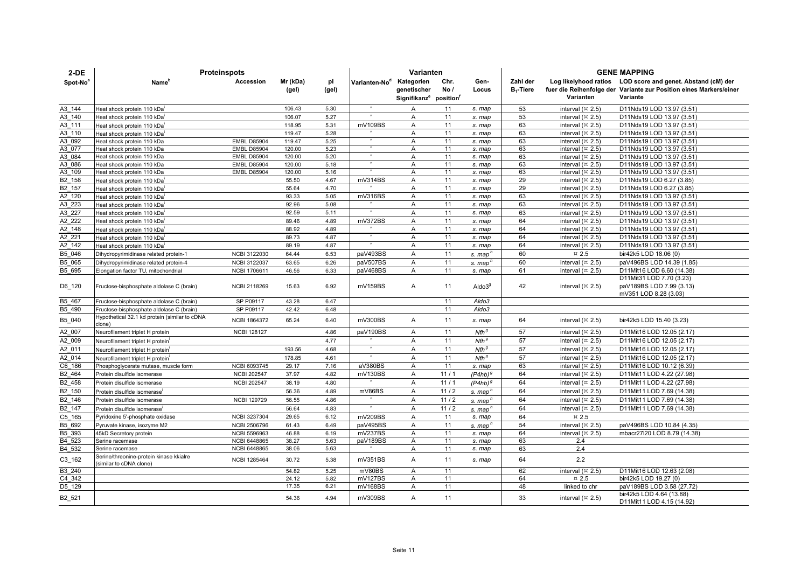| $2-DE$               | <b>Proteinspots</b>                                                |                     | Varianten         |              |                           |                                                                             |              | <b>GENE MAPPING</b>      |                          |                                                        |                                                                                                                                               |
|----------------------|--------------------------------------------------------------------|---------------------|-------------------|--------------|---------------------------|-----------------------------------------------------------------------------|--------------|--------------------------|--------------------------|--------------------------------------------------------|-----------------------------------------------------------------------------------------------------------------------------------------------|
| Spot-No <sup>8</sup> | Name'                                                              | Accession           | Mr (kDa)<br>(gel) | pl<br>(gel)  | Varianten-No <sup>d</sup> | Kategorien<br>genetischer<br>Signifikanz <sup>e</sup> position <sup>1</sup> | Chr.<br>No / | Gen-<br>Locus            | Zahl der<br>$B_1$ -Tiere | Varianten                                              | Log likelyhood ratios LOD score and genet. Abstand (cM) der<br>fuer die Reihenfolge der Variante zur Position eines Markers/einer<br>Variante |
|                      |                                                                    |                     | 106.43            | 5.30         |                           |                                                                             |              |                          |                          |                                                        |                                                                                                                                               |
| A3 144               | Heat shock protein 110 kDa                                         |                     | 106.07            | 5.27         |                           | A                                                                           | 11<br>11     | s. map                   | 53<br>53                 | interval $(x 2.5)$<br>interval $(4 2.5)$               | D11Nds19 LOD 13.97 (3.51)<br>D11Nds19 LOD 13.97 (3.51)                                                                                        |
| A3 140               | Heat shock protein 110 kDa                                         |                     |                   |              |                           | Α<br>$\overline{A}$                                                         |              | s. map                   | 63                       |                                                        |                                                                                                                                               |
| A3 111<br>A3 110     | Heat shock protein 110 kDa                                         |                     | 118.95<br>119.47  | 5.31<br>5.28 | mV109BS                   |                                                                             | 11           | s. map                   |                          | interval $($ ¤ 2.5)                                    | D11Nds19 LOD 13.97 (3.51)                                                                                                                     |
| A3 092               | Heat shock protein 110 kDa                                         | <b>EMBL D85904</b>  | 119.47            | 5.25         |                           | $\overline{A}$<br>A                                                         | 11<br>11     | s. map                   | 63<br>63                 | interval $($ $\overline{2}$ .5)<br>interval $($ ¤ 2.5) | D11Nds19 LOD 13.97 (3.51)<br>D11Nds19 LOD 13.97 (3.51)                                                                                        |
| A3 077               | Heat shock protein 110 kDa<br>Heat shock protein 110 kDa           | <b>EMBL D85904</b>  | 120.00            | 5.23         |                           | Α                                                                           | 11           | s. map<br>s. map         | 63                       | interval $($ ¤ 2.5)                                    | D11Nds19 LOD 13.97 (3.51)                                                                                                                     |
| A3 084               | Heat shock protein 110 kDa                                         | <b>EMBL D85904</b>  | 120.00            | 5.20         |                           | $\overline{A}$                                                              | 11           | s. map                   | 63                       | interval $($ ¤ 2.5)                                    | D11Nds19 LOD 13.97 (3.51)                                                                                                                     |
| A3 086               | Heat shock protein 110 kDa                                         | <b>EMBL D85904</b>  | 120.00            | 5.18         |                           | A                                                                           | 11           | s. map                   | 63                       | interval $($ ¤ 2.5)                                    | D11Nds19 LOD 13.97 (3.51)                                                                                                                     |
| A3 109               | Heat shock protein 110 kDa                                         | <b>EMBL D85904</b>  | 120.00            | 5.16         |                           | A                                                                           | 11           | s. map                   | 63                       | interval $($ ¤ 2.5)                                    | D11Nds19 LOD 13.97 (3.51)                                                                                                                     |
| B2 158               | Heat shock protein 110 kDa                                         |                     | 55.50             | 4.67         | mV314BS                   | A                                                                           | 11           | s. map                   | 29                       | interval $($ ¤ 2.5)                                    | D11Nds19 LOD 6.27 (3.85)                                                                                                                      |
| B2 157               | Heat shock protein 110 kDa                                         |                     | 55.64             | 4.70         |                           | A                                                                           | 11           | s. map                   | 29                       | interval $(\times 2.5)$                                | D11Nds19 LOD 6.27 (3.85)                                                                                                                      |
| A2 120               | Heat shock protein 110 kDa                                         |                     | 93.33             | 5.05         | mV316BS                   | A                                                                           | 11           | s. map                   | 63                       | interval $($ ¤ 2.5)                                    | D11Nds19 LOD 13.97 (3.51)                                                                                                                     |
| A3_223               | Heat shock protein 110 kDa                                         |                     | 92.96             | 5.08         |                           | A                                                                           | 11           | s. map                   | 63                       | interval $($ ¤ 2.5)                                    | D11Nds19 LOD 13.97 (3.51)                                                                                                                     |
| A3 227               | Heat shock protein 110 kDa                                         |                     | 92.59             | 5.11         | $\mathbf{u}$              | $\overline{A}$                                                              | 11           | s. map                   | 63                       | interval $($ ¤ 2.5)                                    | D11Nds19 LOD 13.97 (3.51)                                                                                                                     |
| A2 222               | Heat shock protein 110 kDa                                         |                     | 89.46             | 4.89         | mV372BS                   | A                                                                           | 11           | s. map                   | 64                       | interval $($ ¤ 2.5)                                    | D11Nds19 LOD 13.97 (3.51)                                                                                                                     |
| A2 148               | Heat shock protein 110 kDa                                         |                     | 88.92             | 4.89         |                           | A                                                                           | 11           | s. map                   | 64                       | interval $($ ¤ 2.5)                                    | D11Nds19 LOD 13.97 (3.51)                                                                                                                     |
| A2 221               | Heat shock protein 110 kDa                                         |                     | 89.73             | 4.87         |                           | Α                                                                           | 11           | s. map                   | 64                       | interval $($ ¤ 2.5)                                    | D11Nds19 LOD 13.97 (3.51)                                                                                                                     |
| A2 142               | Heat shock protein 110 kDa                                         |                     | 89.19             | 4.87         |                           | A                                                                           | 11           | s. map                   | 64                       | interval $(x 2.5)$                                     | D11Nds19 LOD 13.97 (3.51)                                                                                                                     |
| B5 046               | Dihydropyrimidinase related protein-1                              | NCBI 3122030        | 64.44             | 6.53         | paV493BS                  | A                                                                           | 11           | s. map                   | 60                       | $\,\pi$ 2.5                                            | bir42k5 LOD 18.06 (0)                                                                                                                         |
| B5 065               | Dihydropyrimidinase related protein-4                              | <b>NCBI 3122037</b> | 63.65             | 6.26         | paV507BS                  | A                                                                           | 11           | s. map                   | 60                       | interval $(x 2.5)$                                     | paV496BS LOD 14.39 (1.85)                                                                                                                     |
| B5 695               | Elongation factor TU, mitochondrial                                | <b>NCBI 1706611</b> | 46.56             | 6.33         | paV468BS                  | $\overline{A}$                                                              | 11           | s. map                   | 61                       | interval $($ ¤ 2.5)                                    | D11Mit16 LOD 6.60 (14.38)                                                                                                                     |
| D6_120               | Fructose-bisphosphate aldolase C (brain)                           | NCBI 2118269        | 15.63             | 6.92         | mV159BS                   | Α                                                                           | 11           | $A$ ldo $39$             | 42                       | interval $(x 2.5)$                                     | D11Mit31 LOD 7.70 (3.23)<br>paV189BS LOD 7.99 (3.13)<br>mV351 LOD 8.28 (3.03)                                                                 |
| B5 467               | Fructose-bisphosphate aldolase C (brain)                           | SP P09117           | 43.28             | 6.47         |                           |                                                                             | 11           | Aldo3                    |                          |                                                        |                                                                                                                                               |
| B5 490               | Fructose-bisphosphate aldolase C (brain)                           | SP P09117           | 42.42             | 6.48         |                           |                                                                             | 11           | Aldo3                    |                          |                                                        |                                                                                                                                               |
| B5_040               | Hypothetical 32.1 kd protein (similar to cDNA<br>clone)            | NCBI 1864372        | 65.24             | 6.40         | mV300BS                   | A                                                                           | 11           | s. map                   | 64                       | interval $(\times 2.5)$                                | bir42k5 LOD 15.40 (3.23)                                                                                                                      |
| A2 007               | Neurofilament triplet H protein                                    | <b>NCBI 128127</b>  |                   | 4.86         | paV190BS                  | A                                                                           | 11           | $N$ fh $\,$ <sup>g</sup> | 57                       | interval $(x 2.5)$                                     | D11Mit16 LOD 12.05 (2.17)                                                                                                                     |
| A2 009               | Neurofilament triplet H protein                                    |                     |                   | 4.77         |                           | $\overline{A}$                                                              | 11           | $Nfh^g$                  | 57                       | interval $(x 2.5)$                                     | D11Mit16 LOD 12.05 (2.17)                                                                                                                     |
| A2 011               | Neurofilament triplet H protein                                    |                     | 193.56            | 4.68         |                           | A                                                                           | 11           | Nfh <sup>g</sup>         | 57                       | interval $(x 2.5)$                                     | D11Mit16 LOD 12.05 (2.17)                                                                                                                     |
| A2 014               | Neurofilament triplet H protein                                    |                     | 178.85            | 4.61         |                           | $\overline{A}$                                                              | 11           | Nfh <sup>g</sup>         | 57                       | interval $($ ¤ 2.5)                                    | D11Mit16 LOD 12.05 (2.17)                                                                                                                     |
| C6 186               | Phosphoglycerate mutase, muscle form                               | NCBI 6093745        | 29.17             | 7.16         | aV380BS                   | A                                                                           | 11           | s. map                   | 63                       | interval $($ ¤ 2.5)                                    | D11Mit16 LOD 10.12 (6.39)                                                                                                                     |
| B2 464               | Protein disulfide isomerase                                        | <b>NCBI 202547</b>  | 37.97             | 4.82         | mV130BS                   | Α                                                                           | 11/1         | $(P4hb)^{9}$             | 64                       | interval $(x 2.5)$                                     | D11Mit11 LOD 4.22 (27.98)                                                                                                                     |
| B <sub>2_458</sub>   | Protein disulfide isomerase                                        | <b>NCBI 202547</b>  | 38.19             | 4.80         |                           | $\overline{A}$                                                              | 11/1         | $(P4hb)^{g}$             | 64                       | interval $($ ¤ 2.5)                                    | D11Mit11 LOD 4.22 (27.98)                                                                                                                     |
| B2 150               | Protein disulfide isomerase                                        |                     | 56.36             | 4.89         | mV86BS                    | A                                                                           | 11/2         | s. map <sup>h</sup>      | 64                       | interval $($ ¤ 2.5)                                    | D11Mit11 LOD 7.69 (14.38)                                                                                                                     |
| B2 146               | Protein disulfide isomerase                                        | <b>NCBI 129729</b>  | 56.55             | 4.86         |                           | $\overline{A}$                                                              | 11/2         | s. map'                  | 64                       | interval $(x 2.5)$                                     | D11Mit11 LOD 7.69 (14.38)                                                                                                                     |
| B2 147               | Protein disulfide isomerase                                        |                     | 56.64             | 4.83         |                           | $\overline{A}$                                                              | 11/2         | s. map'                  | 64                       | interval $(x 2.5)$                                     | D11Mit11 LOD 7.69 (14.38)                                                                                                                     |
| C5 165               | Pyridoxine 5'-phosphate oxidase                                    | NCBI 3237304        | 29.65             | 6.12         | mV209BS                   | A                                                                           | 11           | s. map                   | 64                       | $\,\pi$ 2.5                                            |                                                                                                                                               |
| B5 692               | Pyruvate kinase, isozyme M2                                        | <b>NCBI 2506796</b> | 61.43             | 6.49         | paV495BS                  | $\overline{A}$                                                              | 11           | s. map'                  | 54                       | interval $($ ¤ 2.5)                                    | paV496BS LOD 10.84 (4.35)                                                                                                                     |
| B5 393               | 45kD Secretory protein                                             | <b>NCBI 5596963</b> | 46.88             | 6.19         | mV237BS                   | A                                                                           | 11           | s. map                   | 64                       | interval $(x 2.5)$                                     | mbacr27l20 LOD 8.79 (14.38)                                                                                                                   |
| B4 523               | Serine racemase                                                    | <b>NCBI 6448865</b> | 38.27             | 5.63         | paV189BS                  | Α                                                                           | 11           | s. map                   | 63                       | 2.4                                                    |                                                                                                                                               |
| B <sub>4</sub> _532  | Serine racemase                                                    | <b>NCBI 6448865</b> | 38.06             | 5.63         |                           | A                                                                           | 11           | s. map                   | 63                       | 2.4                                                    |                                                                                                                                               |
| $C3$ _162            | Serine/threonine-protein kinase kkialre<br>(similar to cDNA clone) | NCBI 1285464        | 30.72             | 5.38         | mV351BS                   | A                                                                           | 11           | s. map                   | 64                       | 2.2                                                    |                                                                                                                                               |
| B3 240               |                                                                    |                     | 54.82             | 5.25         | mV80BS                    | $\overline{A}$                                                              | 11           |                          | 62                       | interval $(x 2.5)$                                     | D11Mit16 LOD 12.63 (2.08)                                                                                                                     |
| C4 342               |                                                                    |                     | 24.12             | 5.82         | mV127BS                   | $\overline{A}$                                                              | 11           |                          | 64                       | $\text{m}$ 2.5                                         | bir42k5 LOD 19.27 (0)                                                                                                                         |
| D5 129               |                                                                    |                     | 17.35             | 6.21         | mV168BS                   | A                                                                           | 11           |                          | 48                       | linked to chr                                          | paV189BS LOD 3.58 (27.72)                                                                                                                     |
| B <sub>2_521</sub>   |                                                                    |                     | 54.36             | 4.94         | mV309BS                   | A                                                                           | 11           |                          | 33                       | interval $(x 2.5)$                                     | bir42k5 LOD 4.64 (13.88)<br>D11Mit11 LOD 4.15 (14.92)                                                                                         |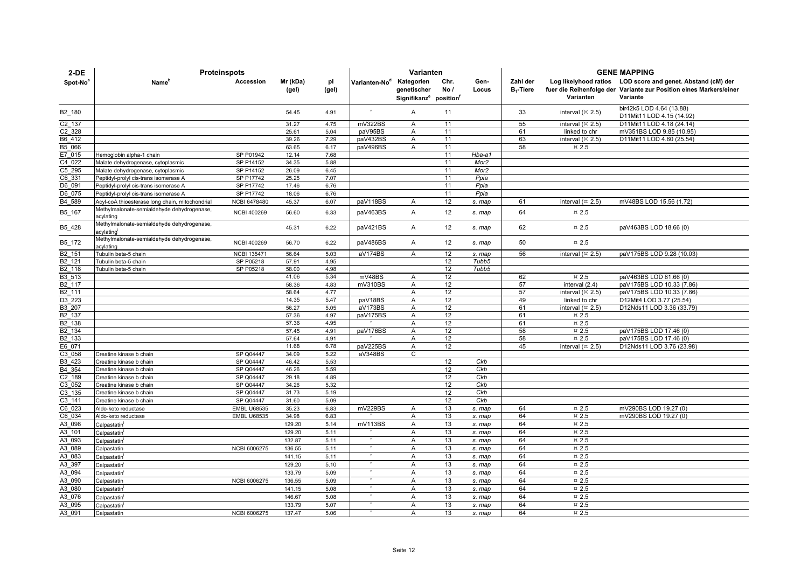| $2-DE$               | <b>Proteinspots</b>                                     |                     |                   |              | Varianten                 |                                                                             |             |                  |                          | <b>GENE MAPPING</b>                |                                                                                                                                               |  |  |
|----------------------|---------------------------------------------------------|---------------------|-------------------|--------------|---------------------------|-----------------------------------------------------------------------------|-------------|------------------|--------------------------|------------------------------------|-----------------------------------------------------------------------------------------------------------------------------------------------|--|--|
| Spot-No <sup>8</sup> | Name <sup>n</sup>                                       | Accession           | Mr (kDa)<br>(gel) | pl<br>(gel)  | Varianten-No <sup>d</sup> | Kategorien<br>genetischer<br>Signifikanz <sup>e</sup> position <sup>t</sup> | Chr.<br>No/ | Gen-<br>Locus    | Zahl der<br>$B_1$ -Tiere | Varianten                          | Log likelyhood ratios LOD score and genet. Abstand (cM) der<br>fuer die Reihenfolge der Variante zur Position eines Markers/einer<br>Variante |  |  |
| B <sub>2_180</sub>   |                                                         |                     | 54.45             | 4.91         | $\mathbf u$               | A                                                                           | 11          |                  | 33                       | interval $($ ¤ 2.5)                | bir42k5 LOD 4.64 (13.88)<br>D11Mit11 LOD 4.15 (14.92)                                                                                         |  |  |
| C2 137               |                                                         |                     | 31.27             | 4.75         | mV322BS                   | A                                                                           | 11          |                  | 55                       | interval $($ ¤ 2.5)                | D11Mit11 LOD 4.18 (24.14)                                                                                                                     |  |  |
| C2 328               |                                                         |                     | 25.61             | 5.04         | paV95BS                   | A                                                                           | 11          |                  | 61                       | linked to chr                      | mV351BS LOD 9.85 (10.95)                                                                                                                      |  |  |
| B6 412               |                                                         |                     | 39.26             | 7.29         | paV432BS                  | $\overline{A}$                                                              | 11          |                  | 63                       | interval $($ ¤ 2.5)                | D11Mit11 LOD 4.60 (25.54)                                                                                                                     |  |  |
| B5 066               |                                                         |                     | 63.65             | 6.17         | paV496BS                  | A                                                                           | 11          |                  | 58                       | $\,\pi$ 2.5                        |                                                                                                                                               |  |  |
| E7 015               | Hemoglobin alpha-1 chain                                | SP P01942           | 12.14             | 7.68         |                           |                                                                             | 11          | $Hba-a1$         |                          |                                    |                                                                                                                                               |  |  |
| C4 022               | Malate dehydrogenase, cytoplasmic                       | SP P14152           | 34.35             | 5.88         |                           |                                                                             | 11          | Mor2             |                          |                                    |                                                                                                                                               |  |  |
| C5 295               | Malate dehydrogenase, cytoplasmic                       | SP P14152           | 26.09             | 6.45         |                           |                                                                             | 11          | Mor <sub>2</sub> |                          |                                    |                                                                                                                                               |  |  |
| C6 331               | Peptidyl-prolyl cis-trans isomerase A                   | SP P17742           | 25.25             | 7.07         |                           |                                                                             | 11          | Ppia             |                          |                                    |                                                                                                                                               |  |  |
| D6 091               | Peptidyl-prolyl cis-trans isomerase A                   | SP P17742           | 17.46             | 6.76         |                           |                                                                             | 11          | Ppia             |                          |                                    |                                                                                                                                               |  |  |
| D6 075               | Peptidyl-prolyl cis-trans isomerase A                   | SP P17742           | 18.06             | 6.76         |                           |                                                                             | 11          | Ppia             |                          |                                    |                                                                                                                                               |  |  |
| B4 589               | Acyl-coA thioesterase long chain, mitochondrial         | <b>NCBI 6478480</b> | 45.37             | 6.07         | paV118BS                  | A                                                                           | 12          | s. map           | 61                       | interval $(\times 2.5)$            | mV48BS LOD 15.56 (1.72)                                                                                                                       |  |  |
| B5_167               | Methylmalonate-semialdehyde dehydrogenase,<br>acylating | <b>NCBI 400269</b>  | 56.60             | 6.33         | paV463BS                  | A                                                                           | 12          | s. map           | 64                       | $\text{m}$ 2.5                     |                                                                                                                                               |  |  |
| B5_428               | Methylmalonate-semialdehyde dehydrogenase,<br>acvlating |                     | 45.31             | 6.22         | paV421BS                  | A                                                                           | 12          | s. map           | 62                       | $\,\pi$ 2.5                        | paV463BS LOD 18.66 (0)                                                                                                                        |  |  |
| B5_172               | Methylmalonate-semialdehyde dehydrogenase,<br>acylating | <b>NCBI 400269</b>  | 56.70             | 6.22         | paV486BS                  | A                                                                           | 12          | s. map           | 50                       | $\text{m}$ 2.5                     |                                                                                                                                               |  |  |
| B2 151               | Tubulin beta-5 chain                                    | <b>NCBI 135471</b>  | 56.64             | 5.03         | aV174BS                   | A                                                                           | 12          | s. map           | 56                       | interval $(\times 2.5)$            | paV175BS LOD 9.28 (10.03)                                                                                                                     |  |  |
| B2 121               | Tubulin beta-5 chain                                    | SP P05218           | 57.91             | 4.95         |                           |                                                                             | 12          | Tubb5            |                          |                                    |                                                                                                                                               |  |  |
| B2 118               | Tubulin beta-5 chain                                    | SP P05218           | 58.00             | 4.98         |                           |                                                                             | 12          | Tubb5            |                          |                                    |                                                                                                                                               |  |  |
| B3 513               |                                                         |                     | 41.06             | 5.34         | mV48BS                    | A                                                                           | 12          |                  | 62                       | $\,\pi$ 2.5                        | paV463BS LOD 81.66 (0)                                                                                                                        |  |  |
| B2 117               |                                                         |                     | 58.36             | 4.83         | mV310BS                   | A                                                                           | 12          |                  | 57                       | interval (2.4)                     | paV175BS LOD 10.33 (7.86)                                                                                                                     |  |  |
| B2 111               |                                                         |                     | 58.64             | 4.77         |                           | $\overline{A}$                                                              | 12          |                  | 57                       | interval $($ $\overline{2}$ , 2.5) | paV175BS LOD 10.33 (7.86)                                                                                                                     |  |  |
| D3 223               |                                                         |                     | 14.35             | 5.47         | paV18BS                   | A                                                                           | 12          |                  | 49                       | linked to chr                      | D12Mit4 LOD 3.77 (25.54)                                                                                                                      |  |  |
| B3 207               |                                                         |                     | 56.27             | 5.05         | aV173BS                   | A                                                                           | 12          |                  | 61                       | interval $($ ¤ 2.5)                | D12Nds11 LOD 3.36 (33.79)                                                                                                                     |  |  |
| B2 137               |                                                         |                     | 57.36             | 4.97         | paV175BS                  | A                                                                           | 12          |                  | 61                       | $\,\pi$ 2.5                        |                                                                                                                                               |  |  |
| B2 138               |                                                         |                     | 57.36             | 4.95<br>4.91 |                           | A<br>A                                                                      | 12<br>12    |                  | 61<br>58                 | $\,\pi$ 2.5<br>$\,\pi$ 2.5         | paV175BS LOD 17.46 (0)                                                                                                                        |  |  |
| B2 134<br>B2 133     |                                                         |                     | 57.45<br>57.64    | 4.91         | paV176BS                  | $\mathsf{A}$                                                                | 12          |                  | 58                       | $\text{m}$ 2.5                     | paV175BS LOD 17.46 (0)                                                                                                                        |  |  |
| E6 071               |                                                         |                     | 11.68             | 6.78         | paV225BS                  | $\overline{A}$                                                              | 12          |                  | 45                       | interval $($ ¤ 2.5)                | D12Nds11 LOD 3.76 (23.98)                                                                                                                     |  |  |
| C3 058               | Creatine kinase b chain                                 | SP Q04447           | 34.09             | 5.22         | aV348BS                   | $\mathsf{C}$                                                                |             |                  |                          |                                    |                                                                                                                                               |  |  |
| B3 423               | Creatine kinase b chain                                 | SP Q04447           | 46.42             | 5.53         |                           |                                                                             | 12          | Ckb              |                          |                                    |                                                                                                                                               |  |  |
| B4 354               | Creatine kinase b chain                                 | SP Q04447           | 46.26             | 5.59         |                           |                                                                             | 12          | Ckb              |                          |                                    |                                                                                                                                               |  |  |
| C2 189               | Creatine kinase b chain                                 | SP Q04447           | 29.18             | 4.89         |                           |                                                                             | 12          | Ckb              |                          |                                    |                                                                                                                                               |  |  |
| C3 052               | Creatine kinase b chain                                 | SP Q04447           | 34.26             | 5.32         |                           |                                                                             | 12          | Ckb              |                          |                                    |                                                                                                                                               |  |  |
| C3 135               | Creatine kinase b chain                                 | SP Q04447           | 31.73             | 5.19         |                           |                                                                             | 12          | Ckb              |                          |                                    |                                                                                                                                               |  |  |
| C3 141               | Creatine kinase b chain                                 | SP Q04447           | 31.60             | 5.09         |                           |                                                                             | 12          | Ckb              |                          |                                    |                                                                                                                                               |  |  |
| C6 023               | Aldo-keto reductase                                     | <b>EMBL U68535</b>  | 35.23             | 6.83         | mV229BS                   | A                                                                           | 13          | s. map           | 64                       | $\pi$ 2.5                          | mV290BS LOD 19.27 (0)                                                                                                                         |  |  |
| C6 034               | Aldo-keto reductase                                     | <b>EMBL U68535</b>  | 34.98             | 6.83         |                           | A                                                                           | 13          | s. map           | 64                       | $\overline{2.5}$                   | mV290BS LOD 19.27 (0)                                                                                                                         |  |  |
| A3 098               | Calpastatin                                             |                     | 129.20            | 5.14         | mV113BS                   | A                                                                           | 13          | s. map           | 64                       | $\text{m}$ 2.5                     |                                                                                                                                               |  |  |
| A3 101               | Calpastatin                                             |                     | 129.20            | 5.11         |                           | A                                                                           | 13          | s. map           | 64                       | $\text{m}$ 2.5                     |                                                                                                                                               |  |  |
| A3 093               | Calpastatin                                             |                     | 132.87            | 5.11         |                           | A                                                                           | 13          | s. map           | 64                       | $\pi$ 2.5                          |                                                                                                                                               |  |  |
| A3 089               | Calpastatin                                             | NCBI 6006275        | 136.55            | 5.11         | $\overline{u}$            | $\overline{A}$                                                              | 13          | s. map           | 64                       | $\overline{2.5}$                   |                                                                                                                                               |  |  |
| A3 083               | Calpastatin                                             |                     | 141.15            | 5.11         | Ŧ                         | A                                                                           | 13          | s. map           | 64                       | $\overline{2.5}$                   |                                                                                                                                               |  |  |
| A3 397               | Calpastatin                                             |                     | 129.20            | 5.10         |                           | A                                                                           | 13          | s. map           | 64                       | $\pi$ 2.5                          |                                                                                                                                               |  |  |
| A3 094               | Calpastatin                                             |                     | 133.79            | 5.09         | $\overline{u}$            | $\overline{A}$                                                              | 13          | s. map           | 64                       | $\pi$ 2.5                          |                                                                                                                                               |  |  |
| A3 090               | Calpastatin                                             | NCBI 6006275        | 136.55            | 5.09         |                           | A                                                                           | 13          | s. map           | 64                       | $\,\pi$ 2.5                        |                                                                                                                                               |  |  |
| A3 080               | Calpastatin                                             |                     | 141.15            | 5.08         |                           | A                                                                           | 13          | s. map           | 64                       | $\,\pi$ 2.5                        |                                                                                                                                               |  |  |
| A3 076               | Calpastatin                                             |                     | 146.67            | 5.08         |                           | $\overline{A}$                                                              | 13          | s. map           | 64                       | $\pi$ 2.5                          |                                                                                                                                               |  |  |
| A3 095               | Calpastatin                                             |                     | 133.79            | 5.07         | $\mathbf{u}$              | $\overline{A}$                                                              | 13          | s. map           | 64                       | $\text{m}$ 2.5                     |                                                                                                                                               |  |  |
| A3 091               | Calpastatin                                             | <b>NCBI 6006275</b> | 137.47            | 5.06         |                           | $\overline{A}$                                                              | 13          | s. map           | 64                       | $\pi$ 2.5                          |                                                                                                                                               |  |  |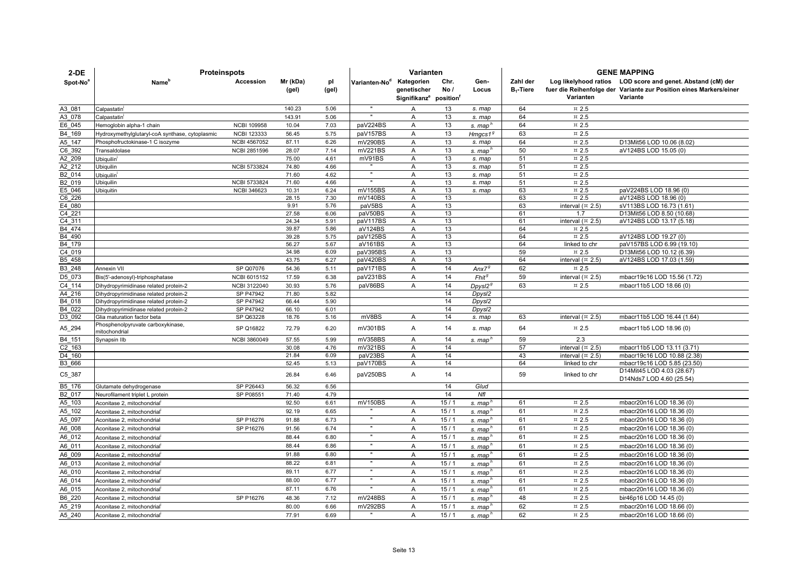| $2-DE$           | <b>Proteinspots</b>                                |                     |                   |              |                           | Varianten                                                                   |             |                     | <b>GENE MAPPING</b>      |                                        |                                                                                                                                               |  |
|------------------|----------------------------------------------------|---------------------|-------------------|--------------|---------------------------|-----------------------------------------------------------------------------|-------------|---------------------|--------------------------|----------------------------------------|-----------------------------------------------------------------------------------------------------------------------------------------------|--|
| Spot-No          | Name <sup>r</sup>                                  | Accession           | Mr (kDa)<br>(gel) | pl<br>(gel)  | Varianten-No <sup>d</sup> | Kategorien<br>genetischer<br>Signifikanz <sup>e</sup> position <sup>1</sup> | Chr.<br>No/ | Gen-<br>Locus       | Zahl der<br>$B_1$ -Tiere | Varianten                              | Log likelyhood ratios LOD score and genet. Abstand (cM) der<br>fuer die Reihenfolge der Variante zur Position eines Markers/einer<br>Variante |  |
| A3 081           | Calpastatin                                        |                     | 140.23            | 5.06         | $\mathbf{u}$              | Α                                                                           | 13          | s. map              | 64                       | $\text{m}$ 2.5                         |                                                                                                                                               |  |
| A3 078           | Calpastatin                                        |                     | 143.91            | 5.06         |                           | Α                                                                           | 13          | s. map              | 64                       | $\text{m}$ 2.5                         |                                                                                                                                               |  |
| E6 045           | Hemoglobin alpha-1 chain                           | <b>NCBI 109958</b>  | 10.04             | 7.03         | paV224BS                  | Α                                                                           | 13          | s. map              | 64                       | $\text{m}$ 2.5                         |                                                                                                                                               |  |
| B4 169           | Hydroxymethylglutaryl-coA synthase, cytoplasmic    | <b>NCBI 123333</b>  | 56.45             | 5.75         | paV157BS                  | $\overline{A}$                                                              | 13          | Hmgcs1 $6$          | 63                       | $\text{H}$ 2.5                         |                                                                                                                                               |  |
| A5_147           | Phosphofructokinase-1 C isozyme                    | NCBI 4567052        | 87.11             | 6.26         | mV290BS                   | A                                                                           | 13          | s. map              | 64                       | $\text{m}$ 2.5                         | D13Mit56 LOD 10.06 (8.02)                                                                                                                     |  |
| C6 392           | Transaldolase                                      | NCBI 2851596        | 28.07             | 7.14         | mV221BS                   | Α                                                                           | 13          | s. map              | 50                       | $\,\pi$ 2.5                            | aV124BS LOD 15.05 (0)                                                                                                                         |  |
| A2 209           | Ubiquilin <sup>i</sup>                             |                     | 75.00             | 4.61         | mV91BS                    | Α                                                                           | 13          | s. map              | 51                       | $\,\pi$ 2.5                            |                                                                                                                                               |  |
| A2 212           | Ubiquilin                                          | NCBI 5733824        | 74.80             | 4.66         |                           | $\overline{A}$                                                              | 13          | s. map              | 51                       | $\pi$ 2.5                              |                                                                                                                                               |  |
| B2 014           | Ubiquilin                                          |                     | 71.60             | 4.62         | $\mathbf{u}$              | Α                                                                           | 13          | s. map              | 51                       | $\,\pi$ 2.5                            |                                                                                                                                               |  |
| B2 019           | Ubiquilin                                          | NCBI 5733824        | 71.60             | 4.66         |                           | A                                                                           | 13          | s. map              | 51                       | $\,\pi$ 2.5                            |                                                                                                                                               |  |
| E5 046           | Ubiquitin                                          | <b>NCBI 346623</b>  | 10.31             | 6.24         | mV155BS                   | A                                                                           | 13          | s. map              | 63                       | $\,\pi$ 2.5                            | paV224BS LOD 18.96 (0)                                                                                                                        |  |
| C6 226           |                                                    |                     | 28.15             | 7.30         | mV140BS                   | Α                                                                           | 13          |                     | 63                       | $\pi$ 2.5                              | aV124BS LOD 18.96 (0)                                                                                                                         |  |
| E4 080           |                                                    |                     | 9.91              | 5.76         | paV5BS                    | Α                                                                           | 13          |                     | 63                       | interval $(\pi 2.5)$                   | sV113BS LOD 16.73 (1.61)                                                                                                                      |  |
| C4 221           |                                                    |                     | 27.58             | 6.06         | paV50BS                   | Α                                                                           | 13          |                     | 61                       | 1.7                                    | D13Mit56 LOD 8.50 (10.68)                                                                                                                     |  |
| C4 311<br>B4 474 |                                                    |                     | 24.34<br>39.87    | 5.91<br>5.86 | paV117BS<br>aV124BS       | A<br>$\overline{A}$                                                         | 13<br>13    |                     | 61<br>64                 | interval $(\times 2.5)$<br>$\,\pi$ 2.5 | aV124BS LOD 13.17 (5.18)                                                                                                                      |  |
| B4 490           |                                                    |                     | 39.28             | 5.75         | paV125BS                  | A                                                                           | 13          |                     | 64                       | $\,\pi$ 2.5                            | aV124BS LOD 19.27 (0)                                                                                                                         |  |
| B4 179           |                                                    |                     | 56.27             | 5.67         | aV161BS                   | Α                                                                           | 13          |                     | 64                       | linked to chr                          | paV157BS LOD 6.99 (19.10)                                                                                                                     |  |
| C4 019           |                                                    |                     | 34.98             | 6.09         | paV395BS                  | A                                                                           | 13          |                     | 59                       | $\,\pi$ 2.5                            | D13Mit56 LOD 10.12 (6.39)                                                                                                                     |  |
| B5 458           |                                                    |                     | 43.75             | 6.27         | paV420BS                  | A                                                                           | 13          |                     | 64                       | interval $(\times 2.5)$                | aV124BS LOD 17.03 (1.59)                                                                                                                      |  |
| B3 248           | <b>Annexin VII</b>                                 | SP Q07076           | 54.36             | 5.11         | paV171BS                  | Α                                                                           | 14          | Anx7 <sup>g</sup>   | 62                       | $\,\pi$ 2.5                            |                                                                                                                                               |  |
| D5 073           | Bis(5'-adenosyl)-triphosphatase                    | NCBI 6015152        | 17.59             | 6.38         | paV231BS                  | A                                                                           | 14          | Fhit <sup>9</sup>   | 59                       | interval $($ ¤ 2.5)                    | mbacr19c16 LOD 15.56 (1.72)                                                                                                                   |  |
| C4 114           | Dihydropyrimidinase related protein-2              | NCBI 3122040        | 30.93             | 5.76         | paV86BS                   | A                                                                           | 14          | Dpvsl2 <sup>9</sup> | 63                       | $\text{m}$ 2.5                         | mbacr11b5 LOD 18.66 (0)                                                                                                                       |  |
| A4 216           | Dihydropyrimidinase related protein-2              | SP P47942           | 71.80             | 5.82         |                           |                                                                             | 14          | Dpysl2              |                          |                                        |                                                                                                                                               |  |
| B4 018           | Dihydropyrimidinase related protein-2              | SP P47942           | 66.44             | 5.90         |                           |                                                                             | 14          | Dpysl2              |                          |                                        |                                                                                                                                               |  |
| B4 022           | Dihydropyrimidinase related protein-2              | SP P47942           | 66.10             | 6.01         |                           |                                                                             | 14          | Dpysl2              |                          |                                        |                                                                                                                                               |  |
| D3 092           | Glia maturation factor beta                        | SP Q63228           | 18.76             | 5.16         | mV8BS                     | A                                                                           | 14          | s. map              | 63                       | interval $(x 2.5)$                     | mbacr11b5 LOD 16.44 (1.64)                                                                                                                    |  |
| A5_294           | Phosphenolpyruvate carboxykinase,<br>mitochondrial | SP Q16822           | 72.79             | 6.20         | mV301BS                   | A                                                                           | 14          | s. map              | 64                       | $\,\pi$ 2.5                            | mbacr11b5 LOD 18.96 (0)                                                                                                                       |  |
| B4_151           | Synapsin IIb                                       | <b>NCBI 3860049</b> | 57.55             | 5.99         | mV358BS                   | $\overline{A}$                                                              | 14          | s. map <sup>r</sup> | 59                       | 2.3                                    |                                                                                                                                               |  |
| C2 163           |                                                    |                     | 30.08             | 4.76         | mV321BS                   | A                                                                           | 14          |                     | 57                       | interval $(\times 2.5)$                | mbacr11b5 LOD 13.11 (3.71)                                                                                                                    |  |
| D4 160           |                                                    |                     | 21.84             | 6.09         | paV23BS                   | A                                                                           | 14          |                     | 43                       | interval $($ ¤ 2.5)                    | mbacr19c16 LOD 10.88 (2.38)                                                                                                                   |  |
| B3 666           |                                                    |                     | 52.45             | 5.13         | paV170BS                  | Α                                                                           | 14          |                     | 64                       | linked to chr                          | mbacr19c16 LOD 5.85 (23.50)                                                                                                                   |  |
| C5_387           |                                                    |                     | 26.84             | 6.46         | paV250BS                  | A                                                                           | 14          |                     | 59                       | linked to chr                          | D14Mit45 LOD 4.03 (28.67)<br>D14Nds7 LOD 4.60 (25.54)                                                                                         |  |
| B5 176           | Glutamate dehydrogenase                            | SP P26443           | 56.32             | 6.56         |                           |                                                                             | 14          | Glud                |                          |                                        |                                                                                                                                               |  |
| B2 017           | Neurofilament triplet L protein                    | SP P08551           | 71.40             | 4.79         |                           |                                                                             | 14          | Nfl                 |                          |                                        |                                                                                                                                               |  |
| A5 103           | Aconitase 2, mitochondrial                         |                     | 92.50             | 6.61         | mV150BS                   | Α                                                                           | 15/1        | s. map              | 61                       | $\,\pi$ 2.5                            | mbacr20n16 LOD 18.36 (0)                                                                                                                      |  |
| A5 102           | Aconitase 2, mitochondrial                         |                     | 92.19             | 6.65         |                           | A                                                                           | 15/1        | s. map              | 61                       | $\,\mathrm{\mathfrak{x}}\,$ 2.5        | mbacr20n16 LOD 18.36 (0)                                                                                                                      |  |
| A5 097           | Aconitase 2, mitochondrial                         | SP P16276           | 91.88             | 6.73         | $\mathbf{u}$              | A                                                                           | 15/1        | s. map              | 61                       | $\,\mathrm{\mathfrak{x}}\,$ 2.5        | mbacr20n16 LOD 18.36 (0)                                                                                                                      |  |
| A6 008           | Aconitase 2, mitochondrial                         | SP P16276           | 91.56             | 6.74         | Ŧ                         | A                                                                           | 15/1        | s. map              | 61                       | $\pi$ 2.5                              | mbacr20n16 LOD 18.36 (0)                                                                                                                      |  |
| A6 012           | Aconitase 2, mitochondrial                         |                     | 88.44             | 6.80         |                           | A                                                                           | 15/1        | s. map              | 61                       | $\,\mathrm{\mathfrak{x}}\,$ 2.5        | mbacr20n16 LOD 18.36 (0)                                                                                                                      |  |
| A6 011           | Aconitase 2, mitochondrial                         |                     | 88.44             | 6.86         |                           | A                                                                           | 15/1        | s. map'             | 61                       | $\pi$ 2.5                              | mbacr20n16 LOD 18.36 (0)                                                                                                                      |  |
| A6 009           | Aconitase 2, mitochondrial                         |                     | 91.88             | 6.80         |                           | A                                                                           | 15/1        | s. map'             | 61                       | $\text{m}$ 2.5                         | mbacr20n16 LOD 18.36 (0)                                                                                                                      |  |
| A6 013           | Aconitase 2, mitochondrial                         |                     | 88.22             | 6.81         |                           | $\overline{A}$                                                              | 15/1        | s. map'             | 61                       | $\text{H}$ 2.5                         | mbacr20n16 LOD 18.36 (0)                                                                                                                      |  |
| A6 010           | Aconitase 2, mitochondrial                         |                     | 89.11             | 6.77         | $\mathbf{u}$              | Α                                                                           | 15/1        | s. map              | 61                       | $\,\mathrm{\mathfrak{x}}\,$ 2.5        | mbacr20n16 LOD 18.36 (0)                                                                                                                      |  |
| A6 014           | Aconitase 2, mitochondrial                         |                     | 88.00             | 6.77         | $\mathbf{u}$              | Α                                                                           | 15/1        | s. map'             | 61                       | $\,\mathrm{\mathfrak{x}}\,$ 2.5        | mbacr20n16 LOD 18.36 (0)                                                                                                                      |  |
| A6 015           | Aconitase 2, mitochondrial                         |                     | 87.11             | 6.76         |                           | A                                                                           | 15/1        | s. map              | 61                       | $\,\mathrm{\mathfrak{x}}\,$ 2.5        | mbacr20n16 LOD 18.36 (0)                                                                                                                      |  |
| B6 220           | Aconitase 2, mitochondrial                         | SP P16276           | 48.36             | 7.12         | mV248BS                   | Α                                                                           | 15/1        | s. map'             | 48                       | $\,\mathrm{\mathfrak{x}}\,$ 2.5        | bir46p16 LOD 14.45 (0)                                                                                                                        |  |
| A5 219           | Aconitase 2, mitochondrial                         |                     | 80.00             | 6.66         | mV292BS                   | A                                                                           | 15/1        | s. map              | 62                       | $\,\mathrm{\mathfrak{x}}\,$ 2.5        | mbacr20n16 LOD 18.66 (0)                                                                                                                      |  |
| A5 240           | Aconitase 2, mitochondrial                         |                     | 77.91             | 6.69         |                           | A                                                                           | 15/1        | s. map'             | 62                       | $\pi$ 2.5                              | mbacr20n16 LOD 18.66 (0)                                                                                                                      |  |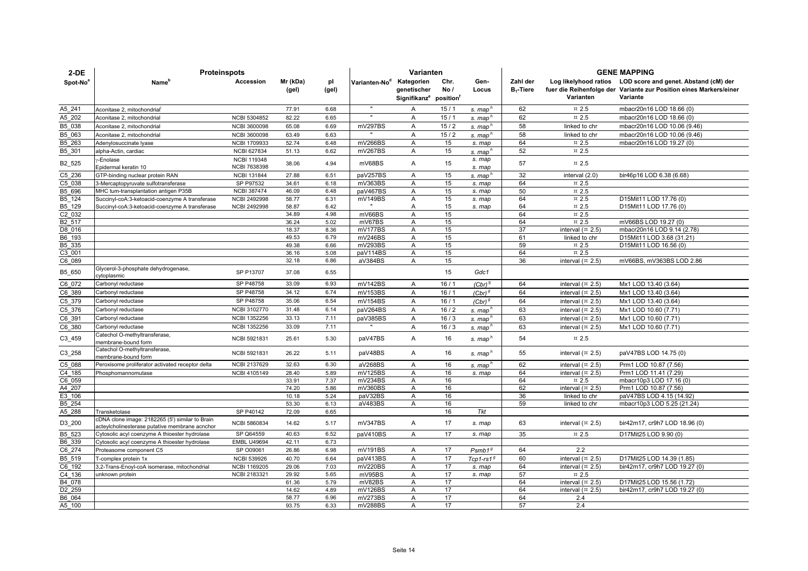| $2-DE$               | <b>Proteinspots</b>                                                                             |                                    |                   |              |                           | Varianten                                                      |              |                      | <b>GENE MAPPING</b>      |                                          |                                                                                                                                               |  |
|----------------------|-------------------------------------------------------------------------------------------------|------------------------------------|-------------------|--------------|---------------------------|----------------------------------------------------------------|--------------|----------------------|--------------------------|------------------------------------------|-----------------------------------------------------------------------------------------------------------------------------------------------|--|
| Spot-No <sup>8</sup> | Name <sup>r</sup>                                                                               | Accession                          | Mr (kDa)<br>(gel) | pl<br>(gel)  | Varianten-No <sup>d</sup> | Kategorien<br>genetischer<br>Signifikanz <sup>e</sup> position | Chr.<br>No / | Gen-<br>Locus        | Zahl der<br>$B_1$ -Tiere | Varianten                                | Log likelyhood ratios LOD score and genet. Abstand (cM) der<br>fuer die Reihenfolge der Variante zur Position eines Markers/einer<br>Variante |  |
| A5 241               | Aconitase 2, mitochondrial                                                                      |                                    | 77.91             | 6.68         |                           | A                                                              | 15/1         | s. map'              | 62                       | $\text{m}$ 2.5                           | mbacr20n16 LOD 18.66 (0)                                                                                                                      |  |
| A5 202               | Aconitase 2, mitochondrial                                                                      | NCBI 5304852                       | 82.22             | 6.65         |                           | Α                                                              | 15/1         | s. map               | 62                       | $\pi$ 2.5                                | mbacr20n16 LOD 18.66 (0)                                                                                                                      |  |
| B5 038               | Aconitase 2. mitochondrial                                                                      | <b>NCBI 3600098</b>                | 65.08             | 6.69         | mV297BS                   | A                                                              | 15/2         | s. map               | 58                       | linked to chr                            | mbacr20n16 LOD 10.06 (9.46)                                                                                                                   |  |
| B5 063               | Aconitase 2, mitochondrial                                                                      | <b>NCBI 3600098</b>                | 63.49             | 6.63         |                           | A                                                              | 15/2         | s. map               | 58                       | linked to chr                            | mbacr20n16 LOD 10.06 (9.46)                                                                                                                   |  |
| B5 263               | Adenylosuccinate Iyase                                                                          | <b>NCBI 1709933</b>                | 52.74             | 6.48         | mV266BS                   | A                                                              | 15           | s. map               | 64                       | $\,\pi$ 2.5                              | mbacr20n16 LOD 19.27 (0)                                                                                                                      |  |
| B5 301               | alpha-Actin, cardiac                                                                            | <b>NCBI 627834</b>                 | 51.13             | 6.62         | mV267BS                   | A                                                              | 15           | s. map'              | 52                       | $\text{m}$ 2.5                           |                                                                                                                                               |  |
| B <sub>2_525</sub>   | -Enolase<br>Epidermal keratin 10                                                                | <b>NCBI 119348</b><br>NCBI 7638398 | 38.06             | 4.94         | mV68BS                    | A                                                              | 15           | s. map<br>s. map     | 57                       | $\text{m}$ 2.5                           |                                                                                                                                               |  |
| C5 236               | GTP-binding nuclear protein RAN                                                                 | <b>NCBI 131844</b>                 | 27.88             | 6.51         | paV257BS                  | Α                                                              | 15           | s. map'              | 32                       | interval (2.0)                           | bir46p16 LOD 6.38 (6.68)                                                                                                                      |  |
| C5 038               | 3-Mercaptopyruvate sulfotransferase                                                             | SP P97532                          | 34.61             | 6.18         | mV363BS                   | Α                                                              | 15           | s. map               | 64                       | $\,\pi$ 2.5                              |                                                                                                                                               |  |
| B5_696               | MHC tum-transplantation antigen P35B                                                            | <b>NCBI 387474</b>                 | 46.09             | 6.48         | paV467BS                  | A                                                              | 15           | s. map               | 50                       | $\text{m}$ 2.5                           |                                                                                                                                               |  |
| B5_124               | Succinyl-coA:3-ketoacid-coenzyme A transferase                                                  | <b>NCBI 2492998</b>                | 58.77             | 6.31         | mV149BS                   | Α                                                              | 15           | s. map               | 64                       | $\pi$ 2.5                                | D15Mit11 LOD 17.76 (0)                                                                                                                        |  |
| B5 129               | Succinyl-coA:3-ketoacid-coenzyme A transferase                                                  | <b>NCBI 2492998</b>                | 58.87             | 6.42         |                           | A                                                              | 15           | s. map               | 64                       | $\text{m}$ 2.5                           | D15Mit11 LOD 17.76 (0)                                                                                                                        |  |
| C2 032               |                                                                                                 |                                    | 34.89             | 4.98         | mV66BS                    | A                                                              | 15           |                      | 64                       | $\text{m}$ 2.5                           |                                                                                                                                               |  |
| B2 517               |                                                                                                 |                                    | 36.24<br>18.37    | 5.02<br>8.36 | mV67BS<br>mV177BS         | Α                                                              | 15<br>15     |                      | 64<br>37                 | $\,\pi$ 2.5                              | mV66BS LOD 19.27 (0)<br>mbacr20n16 LOD 9.14 (2.78)                                                                                            |  |
| D8 016<br>B6 193     |                                                                                                 |                                    | 49.53             | 6.79         | mV246BS                   | Α<br>A                                                         | 15           |                      | 61                       | interval $(\times 2.5)$<br>linked to chr | D15Mit11 LOD 3.68 (31.21)                                                                                                                     |  |
| B5 335               |                                                                                                 |                                    | 49.38             | 6.66         | mV293BS                   | $\mathsf{A}$                                                   | 15           |                      | 59                       | $\text{m}$ 2.5                           | D15Mit11 LOD 16.56 (0)                                                                                                                        |  |
| C <sub>3</sub> _001  |                                                                                                 |                                    | 36.16             | 5.08         | paV114BS                  | Α                                                              | 15           |                      | 64                       | $\,\mathrm{\mathfrak{x}}\,$ 2.5          |                                                                                                                                               |  |
| C6 089               |                                                                                                 |                                    | 32.18             | 6.86         | aV384BS                   | A                                                              | 15           |                      | 36                       | interval $(\times 2.5)$                  | mV66BS, mV363BS LOD 2.86                                                                                                                      |  |
| B5_650               | Glycerol-3-phosphate dehydrogenase,<br>cytoplasmic                                              | SP P13707                          | 37.08             | 6.55         |                           |                                                                | 15           | Gdc1                 |                          |                                          |                                                                                                                                               |  |
| C6 072               | Carbonyl reductase                                                                              | SP P48758                          | 33.09             | 6.93         | mV142BS                   | A                                                              | 16/1         | $(Cbr)^{9}$          | 64                       | interval $(\times 2.5)$                  | Mx1 LOD 13.40 (3.64)                                                                                                                          |  |
| C6 389               | Carbonyl reductase                                                                              | SP P48758                          | 34.12             | 6.74         | mV153BS                   | Α                                                              | 16/1         | $(Cbr)$ <sup>9</sup> | 64                       | interval $(\times 2.5)$                  | Mx1 LOD 13.40 (3.64)                                                                                                                          |  |
| C5 379               | Carbonyl reductase                                                                              | SP P48758                          | 35.06             | 6.54         | mV154BS                   | Α                                                              | 16/1         | $(Cbr)^{9}$          | 64                       | interval $(\times 2.5)$                  | Mx1 LOD 13.40 (3.64)                                                                                                                          |  |
| C5 376               | Carbonyl reductase                                                                              | NCBI 3102770                       | 31.48             | 6.14         | paV264BS                  | A                                                              | 16/2         | s. map               | 63                       | interval $(\times 2.5)$                  | Mx1 LOD 10.60 (7.71)                                                                                                                          |  |
| C6 391               | Carbonyl reductase                                                                              | <b>NCBI 1352256</b>                | 33.13             | 7.11         | paV385BS                  | A                                                              | 16/3         | s. map               | 63                       | interval $(\times 2.5)$                  | Mx1 LOD 10.60 (7.71)                                                                                                                          |  |
| C6_380               | Carbonyl reductase                                                                              | NCBI 1352256                       | 33.09             | 7.11         |                           | A                                                              | 16/3         | s. map               | 63                       | interval $(\times 2.5)$                  | Mx1 LOD 10.60 (7.71)                                                                                                                          |  |
| C3_459               | Catechol O-methyltransferase,<br>membrane-bound form                                            | NCBI 5921831                       | 25.61             | 5.30         | paV47BS                   | A                                                              | 16           | s. map'              | 54                       | $\text{m}$ 2.5                           |                                                                                                                                               |  |
| $C3_258$             | Catechol O-methyltransferase,<br>membrane-bound form                                            | NCBI 5921831                       | 26.22             | 5.11         | paV48BS                   | Α                                                              | 16           | s. map <sup>n</sup>  | 55                       | interval $(\times 2.5)$                  | paV47BS LOD 14.75 (0)                                                                                                                         |  |
| C5 088               | Peroxisome proliferator activated receptor delta                                                | NCBI 2137629                       | 32.63             | 6.30         | aV268BS                   | Α                                                              | 16           | s. map'              | 62                       | interval $(\times 2.5)$                  | Prm1 LOD 10.87 (7.56)                                                                                                                         |  |
| C4 185               | Phosphomannomutase                                                                              | NCBI 4105149                       | 28.40             | 5.89         | mV125BS                   | Α                                                              | 16           | s. map               | 64                       | interval $(\times 2.5)$                  | Prm1 LOD 11.41 (7.29)                                                                                                                         |  |
| C6 059               |                                                                                                 |                                    | 33.91             | 7.37         | mV234BS                   | Α                                                              | 16           |                      | 64                       | $\,\pi$ 2.5                              | mbacr10p3 LOD 17.16 (0)                                                                                                                       |  |
| A4 207               |                                                                                                 |                                    | 74.20             | 5.86         | mV360BS                   | A                                                              | 16           |                      | 62                       | interval $(\times 2.5)$                  | Prm1 LOD 10.87 (7.56)                                                                                                                         |  |
| E3 106               |                                                                                                 |                                    | 10.18             | 5.24         | paV32BS                   | A                                                              | 16           |                      | 36                       | linked to chr                            | paV47BS LOD 4.15 (14.92)                                                                                                                      |  |
| B5 254<br>A5 288     |                                                                                                 |                                    | 53.30             | 6.13         | aV483BS                   | A                                                              | 16<br>16     | Tkt                  | 59                       | linked to chr                            | mbacr10p3 LOD 5.25 (21.24)                                                                                                                    |  |
|                      | Transketolase<br>cDNA clone image: 2182265 (5') similar to Brain                                | SP P40142                          | 72.09             | 6.65         |                           |                                                                |              |                      |                          |                                          |                                                                                                                                               |  |
| D3_200<br>B5_523     | acteylcholinesterase putative membrane acnchor<br>Cytosolic acyl coenzyme A thioester hydrolase | <b>NCBI 5860834</b><br>SP Q64559   | 14.62<br>40.63    | 5.17<br>6.52 | mV347BS<br>paV410BS       | Α<br>A                                                         | 17<br>17     | s. map<br>s. map     | 63<br>35                 | interval $(\times 2.5)$<br>$\approx 2.5$ | bir42m17, cr9h7 LOD 18.96 (0)<br>D17Mit25 LOD 9.90 (0)                                                                                        |  |
| B6 339               | Cytosolic acyl coenzyme A thioester hydrolase                                                   | <b>EMBL U49694</b>                 | 42.11             | 6.73         |                           |                                                                |              |                      |                          |                                          |                                                                                                                                               |  |
| C6 274               | Proteasome component C5                                                                         | SP 009061                          | 26.86             | 6.98         | mV191BS                   | A                                                              | 17           | Psmb1 <sup>9</sup>   | 64                       | 2.2                                      |                                                                                                                                               |  |
| B5 519               | T-complex protein 1x                                                                            | <b>NCBI 539926</b>                 | 40.70             | 6.64         | paV413BS                  | Α                                                              | 17           | $Tcp1-rs1g$          | 60                       | interval $(\pi$ 2.5)                     | D17Mit25 LOD 14.39 (1.85)                                                                                                                     |  |
| C6 192               | 3,2-Trans-Enoyl-coA isomerase, mitochondrial                                                    | <b>NCBI 1169205</b>                | 29.06             | 7.03         | mV220BS                   | A                                                              | 17           | s. map               | 64                       | interval $(\times 2.5)$                  | bir42m17, cr9h7 LOD 19.27 (0)                                                                                                                 |  |
| C4 136               | unknown protein                                                                                 | <b>NCBI 2183321</b>                | 29.92             | 5.65         | mV95BS                    | A                                                              | 17           | s. map               | 57                       | $\text{m}$ 2.5                           |                                                                                                                                               |  |
| B4_078               |                                                                                                 |                                    | 61.36             | 5.79         | mV82BS                    | A                                                              | 17           |                      | 64                       | interval $(\times 2.5)$                  | D17Mit25 LOD 15.56 (1.72)                                                                                                                     |  |
| D <sub>2_259</sub>   |                                                                                                 |                                    | 14.62             | 4.89         | mV126BS                   | Α                                                              | 17           |                      | 64                       | interval $(\times 2.5)$                  | bir42m17, cr9h7 LOD 19.27 (0)                                                                                                                 |  |
| B6 064               |                                                                                                 |                                    | 58.77             | 6.96         | mV273BS                   | A                                                              | 17           |                      | 64                       | 2.4                                      |                                                                                                                                               |  |
| A5 100               |                                                                                                 |                                    | 93.75             | 6.33         | mV288BS                   | Α                                                              | 17           |                      | 57                       | 2.4                                      |                                                                                                                                               |  |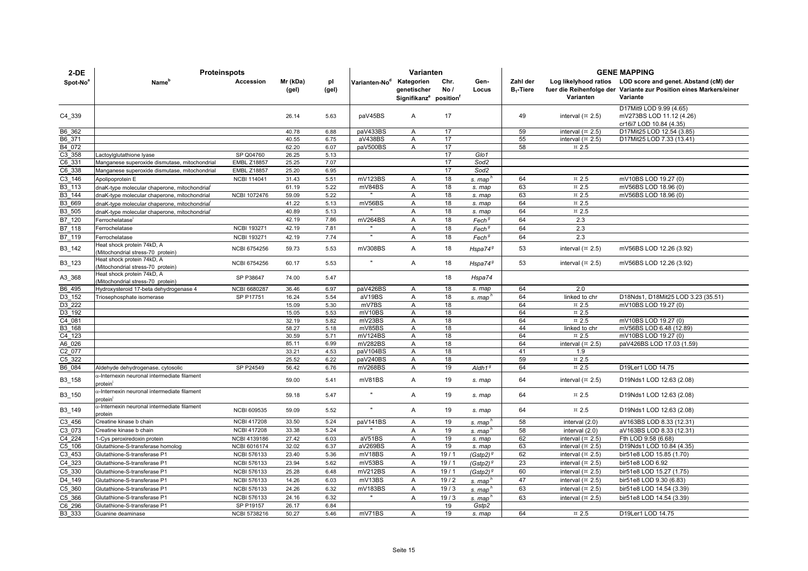| $2-DE$               | <b>Proteinspots</b>                                                 |                                           |                   |              |                           | Varianten                                                                   |             |                      | <b>GENE MAPPING</b>      |                                 |                                                                                                                                               |  |
|----------------------|---------------------------------------------------------------------|-------------------------------------------|-------------------|--------------|---------------------------|-----------------------------------------------------------------------------|-------------|----------------------|--------------------------|---------------------------------|-----------------------------------------------------------------------------------------------------------------------------------------------|--|
| Spot-No <sup>®</sup> | Name <sup>'</sup>                                                   | Accession                                 | Mr (kDa)<br>(gel) | pl<br>(gel)  | Varianten-No <sup>d</sup> | Kategorien<br>genetischer<br>Signifikanz <sup>e</sup> position <sup>1</sup> | Chr.<br>No/ | Gen-<br>Locus        | Zahl der<br>$B_1$ -Tiere | Varianten                       | Log likelyhood ratios LOD score and genet. Abstand (cM) der<br>fuer die Reihenfolge der Variante zur Position eines Markers/einer<br>Variante |  |
| C4_339               |                                                                     |                                           | 26.14             | 5.63         | paV45BS                   | A                                                                           | 17          |                      | 49                       | interval $(\times 2.5)$         | D17Mit9 LOD 9.99 (4.65)<br>mV273BS LOD 11.12 (4.26)<br>cr16i7 LOD 10.84 (4.35)                                                                |  |
| B6_362               |                                                                     |                                           | 40.78             | 6.88         | paV433BS                  | A                                                                           | 17          |                      | 59                       | interval $($ ¤ 2.5)             | D17Mit25 LOD 12.54 (3.85)                                                                                                                     |  |
| B6 371               |                                                                     |                                           | 40.55             | 6.75         | aV438BS                   | $\overline{A}$                                                              | 17          |                      | 55                       | interval $($ ¤ 2.5)             | D17Mit25 LOD 7.33 (13.41)                                                                                                                     |  |
| B4 072               |                                                                     |                                           | 62.20             | 6.07         | paV500BS                  | $\overline{A}$                                                              | 17          |                      | 58                       | $\text{m}$ 2.5                  |                                                                                                                                               |  |
| C3 358               | Lactoylglutathione lyase                                            | SP Q04760                                 | 26.25             | 5.13         |                           |                                                                             | 17          | Glo1                 |                          |                                 |                                                                                                                                               |  |
| C6 331               | Manganese superoxide dismutase, mitochondrial                       | <b>EMBL Z18857</b>                        | 25.25             | 7.07         |                           |                                                                             | 17          | Sod2                 |                          |                                 |                                                                                                                                               |  |
| C6 338               | Manganese superoxide dismutase, mitochondrial                       | <b>EMBL Z18857</b>                        | 25.20             | 6.95         |                           |                                                                             | 17          | Sod <sub>2</sub>     |                          |                                 |                                                                                                                                               |  |
| C3 146               | Apolipoprotein E                                                    | <b>NCBI 114041</b>                        | 31.43             | 5.51         | mV123BS                   | $\mathsf{A}$                                                                | 18          | s. map'              | 64                       | $\text{m}$ 2.5                  | mV10BS LOD 19.27 (0)                                                                                                                          |  |
| B3 113               | dnaK-type molecular chaperone, mitochondrial                        |                                           | 61.19             | 5.22         | mV84BS                    | $\overline{A}$                                                              | 18          | s. map               | 63                       | $\overline{2.5}$                | mV56BS LOD 18.96 (0)                                                                                                                          |  |
| B3 144               | dnaK-type molecular chaperone, mitochondrial                        | <b>NCBI 1072476</b>                       | 59.09             | 5.22         |                           | A                                                                           | 18          | s. map               | 63                       | $\text{m}$ 2.5                  | mV56BS LOD 18.96 (0)                                                                                                                          |  |
| B3 669               | dnaK-type molecular chaperone, mitochondrial                        |                                           | 41.22             | 5.13         | mV56BS                    | A                                                                           | 18          | s. map               | 64                       | $\text{m}$ 2.5                  |                                                                                                                                               |  |
| B3 505               | dnaK-type molecular chaperone, mitochondrial                        |                                           | 40.89             | 5.13         |                           | $\overline{A}$                                                              | 18          | s. map               | 64                       | $\text{m}$ 2.5                  |                                                                                                                                               |  |
| B7 120               | Ferrochelatase <sup>®</sup>                                         |                                           | 42.19             | 7.86         | mV264BS                   | A                                                                           | 18          | Fech <sup>9</sup>    | 64                       | 2.3                             |                                                                                                                                               |  |
| B7 118               | Ferrochelatase                                                      | <b>NCBI 193271</b>                        | 42.19             | 7.81         |                           | A                                                                           | 18          | Fech <sup>9</sup>    | 64                       | 2.3                             |                                                                                                                                               |  |
| B7 119               | Ferrochelatase<br>leat shock protein 74kD, A                        | <b>NCBI 193271</b><br><b>NCBI 6754256</b> | 42.19<br>59.73    | 7.74         | mV308BS                   | A<br>A                                                                      | 18<br>18    | Fech <sup>9</sup>    | 64<br>53                 | 2.3<br>interval $($ ¤ 2.5)      |                                                                                                                                               |  |
| B3_142               | Mitochondrial stress-70 protein)<br>leat shock protein 74kD, A      |                                           |                   | 5.53         |                           |                                                                             |             | Hspa74 <sup>9</sup>  |                          |                                 | mV56BS LOD 12.26 (3.92)                                                                                                                       |  |
| B3_123               | Mitochondrial stress-70 protein)                                    | <b>NCBI 6754256</b>                       | 60.17             | 5.53         |                           | A                                                                           | 18          | Hspa74 $9$           | 53                       | interval $(\times 2.5)$         | mV56BS LOD 12.26 (3.92)                                                                                                                       |  |
| A3_368               | Heat shock protein 74kD, A<br>Mitochondrial stress-70 protein)      | SP P38647                                 | 74.00             | 5.47         |                           |                                                                             | 18          | Hspa74               |                          |                                 |                                                                                                                                               |  |
| B6 495               | Hydroxysteroid 17-beta dehydrogenase 4                              | NCBI 6680287                              | 36.46             | 6.97         | paV426BS                  | A                                                                           | 18          | s. map               | 64                       | 2.0                             |                                                                                                                                               |  |
| D3 152               | Triosephosphate isomerase                                           | SP P17751                                 | 16.24             | 5.54         | aV19BS                    | A                                                                           | 18          | s. map <sup>n</sup>  | 64                       | linked to chr                   | D18Nds1, D18Mit25 LOD 3.23 (35.51)                                                                                                            |  |
| D3 222               |                                                                     |                                           | 15.09             | 5.30         | mV7BS                     | A                                                                           | 18          |                      | 64                       | $\,\pi$ 2.5                     | mV10BS LOD 19.27 (0)                                                                                                                          |  |
| D <sub>3</sub> 192   |                                                                     |                                           | 15.05             | 5.53         | mV10BS                    | A                                                                           | 18          |                      | 64                       | $\text{m}$ 2.5                  |                                                                                                                                               |  |
| C4 081               |                                                                     |                                           | 32.19<br>58.27    | 5.82         | mV23BS                    | A                                                                           | 18          |                      | 64                       | $\text{m}$ 2.5                  | mV10BS LOD 19.27 (0)                                                                                                                          |  |
| B3 168<br>C4 123     |                                                                     |                                           | 30.59             | 5.18<br>5.71 | mV85BS<br>mV124BS         | $\overline{A}$<br>$\overline{A}$                                            | 18<br>18    |                      | 44<br>64                 | linked to chr<br>$\text{m}$ 2.5 | mV56BS LOD 6.48 (12.89)<br>mV10BS LOD 19.27 (0)                                                                                               |  |
| A6 026               |                                                                     |                                           | 85.11             | 6.99         | mV282BS                   | A                                                                           | 18          |                      | 64                       | interval $(\times 2.5)$         | paV426BS LOD 17.03 (1.59)                                                                                                                     |  |
| C2 077               |                                                                     |                                           | 33.21             | 4.53         | paV104BS                  | A                                                                           | 18          |                      | 41                       | 1.9                             |                                                                                                                                               |  |
| $C5$ _322            |                                                                     |                                           | 25.52             | 6.22         | paV240BS                  | A                                                                           | 18          |                      | 59                       | $\,\pi$ 2.5                     |                                                                                                                                               |  |
| B6 084               | Aldehyde dehydrogenase, cytosolic                                   | SP P24549                                 | 56.42             | 6.76         | mV268BS                   | A                                                                           | 19          | $A$ ldh $19$         | 64                       | $\text{m}$ 2.5                  | D19Ler1 LOD 14.75                                                                                                                             |  |
| B3_158               | $\alpha$ -Internexin neuronal intermediate filament<br>protein'     |                                           | 59.00             | 5.41         | mV81BS                    | $\mathsf{A}$                                                                | 19          | s. map               | 64                       | interval $(\times 2.5)$         | D19Nds1 LOD 12.63 (2.08)                                                                                                                      |  |
| B3_150               | x-Internexin neuronal intermediate filament                         |                                           | 59.18             | 5.47         |                           | A                                                                           | 19          | s. map               | 64                       | $\text{m}$ 2.5                  | D19Nds1 LOD 12.63 (2.08)                                                                                                                      |  |
| B3_149               | protein <sup>'</sup><br>x-Internexin neuronal intermediate filament | <b>NCBI 609535</b>                        | 59.09             | 5.52         |                           | A                                                                           | 19          | s. map               | 64                       | $\,\pi$ 2.5                     | D19Nds1 LOD 12.63 (2.08)                                                                                                                      |  |
| C3 456               | protein<br>Creatine kinase b chain                                  | <b>NCBI 417208</b>                        | 33.50             | 5.24         | paV141BS                  | A                                                                           | 19          | s. map <sup>"</sup>  | 58                       | interval (2.0)                  | aV163BS LOD 8.33 (12.31)                                                                                                                      |  |
| C3 073               | Creatine kinase b chain                                             | <b>NCBI 417208</b>                        | 33.38             | 5.24         |                           | A                                                                           | 19          | s. map <sup>n</sup>  | 58                       | interval (2.0)                  | aV163BS LOD 8.33 (12.31)                                                                                                                      |  |
| C4 224               | 1-Cys peroxiredoxin protein                                         | <b>NCBI 4139186</b>                       | 27.42             | 6.03         | aV51BS                    | A                                                                           | 19          | s. map               | 62                       | interval $($ ¤ 2.5)             | Fth LOD 9.58 (6.68)                                                                                                                           |  |
| C5 106               | Glutathione-S-transferase homolog                                   | NCBI 6016174                              | 32.02             | 6.37         | aV269BS                   | A                                                                           | 19          | s. map               | 63                       | interval $(\times 2.5)$         | D19Nds1 LOD 10.84 (4.35)                                                                                                                      |  |
| C3 453               | Glutathione-S-transferase P1                                        | <b>NCBI 576133</b>                        | 23.40             | 5.36         | mV18BS                    | Α                                                                           | 19/1        | (Gstp2) <sup>9</sup> | 62                       | interval $($ ¤ 2.5)             | bir51e8 LOD 15.85 (1.70)                                                                                                                      |  |
| C4 323               | Glutathione-S-transferase P1                                        | <b>NCBI 576133</b>                        | 23.94             | 5.62         | mV53BS                    | A                                                                           | 19/1        | $(Gstp2)^{g}$        | 23                       | interval $(\times 2.5)$         | bir51e8 LOD 6.92                                                                                                                              |  |
| C5_330               | Glutathione-S-transferase P1                                        | <b>NCBI 576133</b>                        | 25.28             | 6.48         | mV212BS                   | A                                                                           | 19/1        | $(Gstp2)^{g}$        | 60                       | interval $($ ¤ 2.5)             | bir51e8 LOD 15.27 (1.75)                                                                                                                      |  |
| D4_149               | Glutathione-S-transferase P1                                        | <b>NCBI 576133</b>                        | 14.26             | 6.03         | mV13BS                    | A                                                                           | 19/2        | s. map'              | 47                       | interval $(\times 2.5)$         | bir51e8 LOD 9.30 (6.83)                                                                                                                       |  |
| C5 360               | Glutathione-S-transferase P1                                        | <b>NCBI 576133</b>                        | 24.26             | 6.32         | mV183BS                   | Α                                                                           | 19/3        | s. map <sup>n</sup>  | 63                       | interval $(\times 2.5)$         | bir51e8 LOD 14.54 (3.39)                                                                                                                      |  |
| C5 366               | Glutathione-S-transferase P1                                        | <b>NCBI 576133</b>                        | 24.16             | 6.32         |                           | A                                                                           | 19/3        | s. map <sup>n</sup>  | 63                       | interval $(\times 2.5)$         | bir51e8 LOD 14.54 (3.39)                                                                                                                      |  |
| C6 296               | Glutathione-S-transferase P1                                        | SP P19157                                 | 26.17             | 6.84         |                           |                                                                             | 19          | Gstp2                |                          |                                 |                                                                                                                                               |  |
| B3 333               | Guanine deaminase                                                   | NCBI 5738216                              | 50.27             | 5.46         | mV71BS                    | $\overline{A}$                                                              | 19          | s. map               | 64                       | $\text{m}$ 2.5                  | D19Ler1 LOD 14.75                                                                                                                             |  |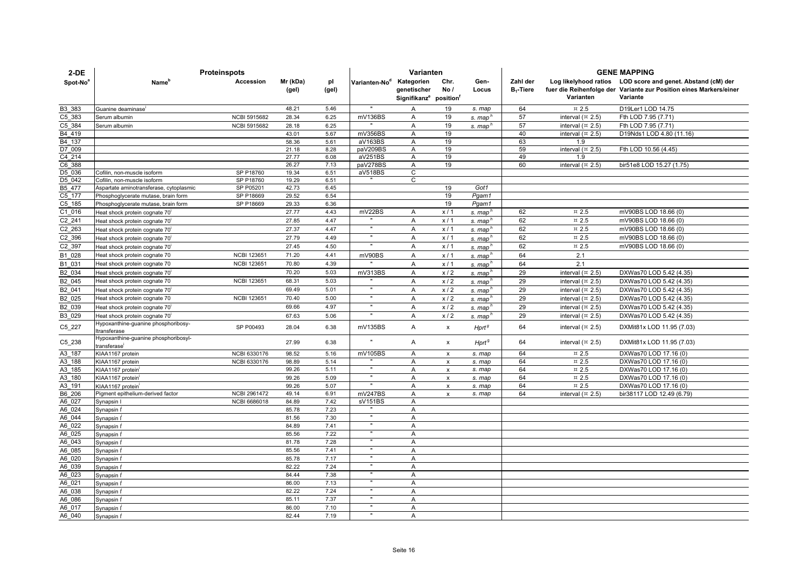| $2-DE$               | <b>Proteinspots</b>                                              |                     |                   |              |                           | Varianten                                                                   |                    |                      |                          | <b>GENE MAPPING</b>              |                                                                                                                                               |  |  |
|----------------------|------------------------------------------------------------------|---------------------|-------------------|--------------|---------------------------|-----------------------------------------------------------------------------|--------------------|----------------------|--------------------------|----------------------------------|-----------------------------------------------------------------------------------------------------------------------------------------------|--|--|
| Spot-No <sup>a</sup> | Name <sup>®</sup>                                                | Accession           | Mr (kDa)<br>(gel) | pl<br>(gel)  | Varianten-No <sup>d</sup> | Kategorien<br>genetischer<br>Signifikanz <sup>e</sup> position <sup>t</sup> | Chr.<br>No/        | Gen-<br>Locus        | Zahl der<br>$B_1$ -Tiere | Varianten                        | Log likelyhood ratios LOD score and genet. Abstand (cM) der<br>fuer die Reihenfolge der Variante zur Position eines Markers/einer<br>Variante |  |  |
| B3_383               | Guanine deaminase'                                               |                     | 48.21             | 5.46         | $\mathbf{u}$              | Α                                                                           | 19                 | s. map               | 64                       | $\text{m}$ 2.5                   | D19Ler1 LOD 14.75                                                                                                                             |  |  |
| C5 383               | Serum albumin                                                    | <b>NCBI 5915682</b> | 28.34             | 6.25         | mV136BS                   | Α                                                                           | 19                 |                      | 57                       | interval $($ ¤ 2.5)              | Fth LOD 7.95 (7.71)                                                                                                                           |  |  |
| C5 384               | Serum albumin                                                    | <b>NCBI 5915682</b> | 28.18             | 6.25         |                           | Α                                                                           | 19                 | s. map <sup>"</sup>  | 57                       | interval $(\times 2.5)$          | Fth LOD 7.95 (7.71)                                                                                                                           |  |  |
| B4 419               |                                                                  |                     | 43.01             | 5.67         | mV356BS                   | Α                                                                           | 19                 | s. map <sup>ri</sup> | 40                       | interval $(\times 2.5)$          | D19Nds1 LOD 4.80 (11.16)                                                                                                                      |  |  |
| B4 137               |                                                                  |                     | 58.36             | 5.61         | aV163BS                   | Α                                                                           | 19                 |                      | 63                       | 1.9                              |                                                                                                                                               |  |  |
| D7 009               |                                                                  |                     | 21.18             | 8.28         | paV209BS                  | $\overline{A}$                                                              | 19                 |                      | 59                       | interval $(\times 2.5)$          | Fth LOD 10.56 (4.45)                                                                                                                          |  |  |
| C4 214               |                                                                  |                     | 27.77             | 6.08         | aV251BS                   | Α                                                                           | 19                 |                      | 49                       | 1.9                              |                                                                                                                                               |  |  |
| C6 388               |                                                                  |                     | 26.27             | 7.13         | paV278BS                  | Α                                                                           | 19                 |                      | 60                       | interval $(\times 2.5)$          | bir51e8 LOD 15.27 (1.75)                                                                                                                      |  |  |
| D5 036               | Cofilin, non-muscle isoform                                      | SP P18760           | 19.34             | 6.51         | aV518BS                   | C                                                                           |                    |                      |                          |                                  |                                                                                                                                               |  |  |
| D5 042               | Cofilin, non-muscle isoform                                      | SP P18760           | 19.29             | 6.51         |                           | С                                                                           |                    |                      |                          |                                  |                                                                                                                                               |  |  |
| B5 477               | Aspartate aminotransferase, cytoplasmic                          | SP P05201           | 42.73             | 6.45         |                           |                                                                             | 19                 | Got1                 |                          |                                  |                                                                                                                                               |  |  |
| C5 177               | Phosphoglycerate mutase, brain form                              | SP P18669           | 29.52             | 6.54         |                           |                                                                             | 19                 | Pgam1                |                          |                                  |                                                                                                                                               |  |  |
| C5 185               | Phosphoglycerate mutase, brain form                              | SP P18669           | 29.33<br>27.77    | 6.36<br>4.43 | mV22BS                    |                                                                             | 19                 | Pgam1                | 62                       |                                  |                                                                                                                                               |  |  |
| C1_016<br>C2 241     | Heat shock protein cognate 70                                    |                     | 27.85             | 4.47         |                           | A<br>A                                                                      | x/1<br>x/1         | s. map               | 62                       | $\text{m}$ 2.5<br>$\text{m}$ 2.5 | mV90BS LOD 18.66 (0)<br>mV90BS LOD 18.66 (0)                                                                                                  |  |  |
|                      | Heat shock protein cognate 70                                    |                     | 27.37             |              |                           |                                                                             |                    | s. map <sup>h</sup>  |                          |                                  |                                                                                                                                               |  |  |
| C2 263               | Heat shock protein cognate 70                                    |                     |                   | 4.47         |                           | A                                                                           | x/1                | s. map               | 62                       | $\pi$ 2.5                        | mV90BS LOD 18.66 (0)                                                                                                                          |  |  |
| C2 396               | Heat shock protein cognate 70'                                   |                     | 27.79             | 4.49         |                           | Α                                                                           | x/1                | s. map <sup>n</sup>  | 62                       | $\text{m}$ 2.5                   | mV90BS LOD 18.66 (0)                                                                                                                          |  |  |
| C2 397               | Heat shock protein cognate 70                                    |                     | 27.45             | 4.50         |                           | Α                                                                           | x/1                | s. map <sup>r</sup>  | 62                       | $\text{m}$ 2.5                   | mV90BS LOD 18.66 (0)                                                                                                                          |  |  |
| B1 028               | Heat shock protein cognate 70                                    | <b>NCBI 123651</b>  | 71.20             | 4.41         | mV90BS                    | A                                                                           | x/1                | s. map'              | 64                       | 2.1                              |                                                                                                                                               |  |  |
| B1 031               | Heat shock protein cognate 70                                    | <b>NCBI 123651</b>  | 70.80             | 4.39         |                           | Α                                                                           | x/1                | s. map               | 64                       | 2.1                              |                                                                                                                                               |  |  |
| B2 034               | Heat shock protein cognate 70                                    |                     | 70.20             | 5.03         | mV313BS                   | A                                                                           | x/2                | s. map               | 29                       | interval $(\times 2.5)$          | DXWas70 LOD 5.42 (4.35)                                                                                                                       |  |  |
| B2 045               | Heat shock protein cognate 70                                    | <b>NCBI 123651</b>  | 68.31             | 5.03         |                           | A                                                                           | x/2                | s. map <sup>h</sup>  | 29                       | interval $($ ¤ 2.5)              | DXWas70 LOD 5.42 (4.35)                                                                                                                       |  |  |
| B2_041               | Heat shock protein cognate 70                                    |                     | 69.49             | 5.01         |                           | Α                                                                           | x/2                | s. map               | 29                       | interval $($ ¤ 2.5)              | DXWas70 LOD 5.42 (4.35)                                                                                                                       |  |  |
| B2 025               | Heat shock protein cognate 70                                    | <b>NCBI 123651</b>  | 70.40             | 5.00         |                           | Α                                                                           | x/2                | s. map <sup>n</sup>  | 29                       | interval $($ ¤ 2.5)              | DXWas70 LOD 5.42 (4.35)                                                                                                                       |  |  |
| B2 039               | Heat shock protein cognate 70                                    |                     | 69.66             | 4.97         |                           | Α                                                                           | x/2                | s. map <sup>r</sup>  | 29                       | interval $(\times 2.5)$          | DXWas70 LOD 5.42 (4.35)                                                                                                                       |  |  |
| B3 029               | Heat shock protein cognate 70'                                   |                     | 67.63             | 5.06         |                           | Α                                                                           | x/2                | s. map <sup>ri</sup> | 29                       | interval $(\times 2.5)$          | DXWas70 LOD 5.42 (4.35)                                                                                                                       |  |  |
| C5_227               | Hypoxanthine-guanine phosphoribosy-<br>transferase               | SP P00493           | 28.04             | 6.38         | mV135BS                   | Α                                                                           | x                  | Hprt <sup>9</sup>    | 64                       | interval $(\times 2.5)$          | DXMit81x LOD 11.95 (7.03)                                                                                                                     |  |  |
| C5_238               | Hypoxanthine-guanine phosphoribosyl-<br>transferase <sup>i</sup> |                     | 27.99             | 6.38         |                           | A                                                                           | x                  | $H$ prt $9$          | 64                       | interval $(\times 2.5)$          | DXMit81x LOD 11.95 (7.03)                                                                                                                     |  |  |
| A3 187               | KIAA1167 protein                                                 | NCBI 6330176        | 98.52             | 5.16         | mV105BS                   | Α                                                                           | $\pmb{\chi}$       | s. map               | 64                       | $\overline{2.5}$                 | DXWas70 LOD 17.16 (0)                                                                                                                         |  |  |
| A3 188               | KIAA1167 protein                                                 | NCBI 6330176        | 98.89             | 5.14         | $\mathbf{u}$              | Α                                                                           | x                  | s. map               | 64                       | $\overline{2.5}$                 | DXWas70 LOD 17.16 (0)                                                                                                                         |  |  |
| A3 185               | KIAA1167 protein                                                 |                     | 99.26             | 5.11         |                           | Α                                                                           | $\pmb{\mathsf{x}}$ | s. map               | 64                       | $\text{m}$ 2.5                   | DXWas70 LOD 17.16 (0)                                                                                                                         |  |  |
| A3_180               | KIAA1167 protein                                                 |                     | 99.26             | 5.09         |                           | Α                                                                           | $\pmb{\times}$     | s. map               | 64                       | $\text{m}$ 2.5                   | DXWas70 LOD 17.16 (0)                                                                                                                         |  |  |
| A3 191<br>B6 206     | KIAA1167 protein<br>Pigment epithelium-derived factor            | NCBI 2961472        | 99.26<br>49.14    | 5.07<br>6.91 | mV247BS                   | Α<br>Α                                                                      | $\pmb{\chi}$       | s. map               | 64<br>64                 | $\,\pi$ 2.5                      | DXWas70 LOD 17.16 (0)                                                                                                                         |  |  |
| A6 027               | Synapsin I                                                       | <b>NCBI 6686018</b> | 84.89             | 7.42         | sV151BS                   | Α                                                                           | x                  | s. map               |                          | interval $(\times 2.5)$          | bir38117 LOD 12.49 (6.79)                                                                                                                     |  |  |
| A6 024               | Synapsin I                                                       |                     | 85.78             | 7.23         |                           | $\overline{A}$                                                              |                    |                      |                          |                                  |                                                                                                                                               |  |  |
| A6 044               | Synapsin I <sup>t</sup>                                          |                     | 81.56             | 7.30         | $\mathbf{u}$              | A                                                                           |                    |                      |                          |                                  |                                                                                                                                               |  |  |
| A6 022               | Synapsin I                                                       |                     | 84.89             | 7.41         |                           | Α                                                                           |                    |                      |                          |                                  |                                                                                                                                               |  |  |
| A6 025               | Synapsin I                                                       |                     | 85.56             | 7.22         |                           | A                                                                           |                    |                      |                          |                                  |                                                                                                                                               |  |  |
| A6 043               | Synapsin I                                                       |                     | 81.78             | 7.28         |                           | Α                                                                           |                    |                      |                          |                                  |                                                                                                                                               |  |  |
| A6_085               | Synapsin I                                                       |                     | 85.56             | 7.41         |                           | A                                                                           |                    |                      |                          |                                  |                                                                                                                                               |  |  |
| A6 020               | Synapsin I                                                       |                     | 85.78             | 7.17         |                           | Α                                                                           |                    |                      |                          |                                  |                                                                                                                                               |  |  |
| A6 039               | Synapsin I <sup>t</sup>                                          |                     | 82.22             | 7.24         |                           | Α                                                                           |                    |                      |                          |                                  |                                                                                                                                               |  |  |
| A6 023               | Synapsin I                                                       |                     | 84.44             | 7.38         | $\mathbf{u}$              | Α                                                                           |                    |                      |                          |                                  |                                                                                                                                               |  |  |
| A6 021               | Synapsin I                                                       |                     | 86.00             | 7.13         |                           | Α                                                                           |                    |                      |                          |                                  |                                                                                                                                               |  |  |
| A6 038               | Synapsin I                                                       |                     | 82.22             | 7.24         |                           | Α                                                                           |                    |                      |                          |                                  |                                                                                                                                               |  |  |
| A6 086               | Synapsin I                                                       |                     | 85.11             | 7.37         |                           | A                                                                           |                    |                      |                          |                                  |                                                                                                                                               |  |  |
| A6_017               | Synapsin I                                                       |                     | 86.00             | 7.10         |                           | Α                                                                           |                    |                      |                          |                                  |                                                                                                                                               |  |  |
| A6 040               | Synapsin I                                                       |                     | 82.44             | 7.19         |                           | Α                                                                           |                    |                      |                          |                                  |                                                                                                                                               |  |  |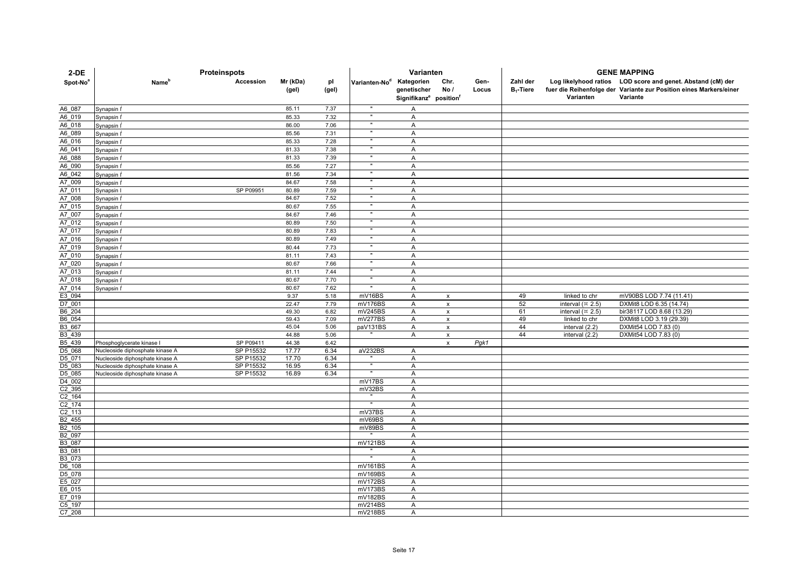| $2-DE$               | Proteinspots                                       |                        |                   |              | Varianten                 |                                                                             |                           |               | <b>GENE MAPPING</b>      |                         |                                                                                                                                               |  |
|----------------------|----------------------------------------------------|------------------------|-------------------|--------------|---------------------------|-----------------------------------------------------------------------------|---------------------------|---------------|--------------------------|-------------------------|-----------------------------------------------------------------------------------------------------------------------------------------------|--|
| Spot-No <sup>a</sup> | <b>Name</b> <sup>p</sup>                           | <b>Accession</b>       | Mr (kDa)<br>(gel) | pl<br>(gel)  | Varianten-No <sup>d</sup> | Kategorien<br>genetischer<br>Signifikanz <sup>e</sup> position <sup>f</sup> | Chr.<br>No/               | Gen-<br>Locus | Zahl der<br>$B_1$ -Tiere | Varianten               | Log likelyhood ratios LOD score and genet. Abstand (cM) der<br>fuer die Reihenfolge der Variante zur Position eines Markers/einer<br>Variante |  |
| A6 087               | Synapsin I <sup>i</sup>                            |                        | 85.11             | 7.37         | $\mathbf{u}$              | A                                                                           |                           |               |                          |                         |                                                                                                                                               |  |
| A6_019               | Synapsin I <sup>i</sup>                            |                        | 85.33             | 7.32         |                           | A                                                                           |                           |               |                          |                         |                                                                                                                                               |  |
| A6 018               | Synapsin I <sup>i</sup>                            |                        | 86.00             | 7.06         | $\mathbf{u}$              | A                                                                           |                           |               |                          |                         |                                                                                                                                               |  |
| A6_089               | Synapsin I <sup>i</sup>                            |                        | 85.56             | 7.31         | $\mathbf{u}$              | $\overline{A}$                                                              |                           |               |                          |                         |                                                                                                                                               |  |
| A6 016               | Synapsin I <sup>t</sup>                            |                        | 85.33             | 7.28         |                           | A                                                                           |                           |               |                          |                         |                                                                                                                                               |  |
| A6 041               | Synapsin I <sup>i</sup>                            |                        | 81.33             | 7.38         |                           | A                                                                           |                           |               |                          |                         |                                                                                                                                               |  |
| A6 088               | Synapsin I <sup>i</sup>                            |                        | 81.33             | 7.39         | $\mathbf{u}$              | $\overline{A}$                                                              |                           |               |                          |                         |                                                                                                                                               |  |
| A6 090               | Synapsin I <sup>I</sup>                            |                        | 85.56             | 7.27         | $\mathbf{u}$              | A                                                                           |                           |               |                          |                         |                                                                                                                                               |  |
| A6 042               | Synapsin I <sup>i</sup>                            |                        | 81.56             | 7.34         |                           | $\overline{A}$                                                              |                           |               |                          |                         |                                                                                                                                               |  |
| A7 009               | Synapsin I <sup>i</sup>                            |                        | 84.67             | 7.58         |                           | A                                                                           |                           |               |                          |                         |                                                                                                                                               |  |
| A7 011               | Synapsin I                                         | SP P09951              | 80.89             | 7.59         | $\mathbf{u}$              | A                                                                           |                           |               |                          |                         |                                                                                                                                               |  |
| A7 008               | Synapsin I <sup>i</sup>                            |                        | 84.67             | 7.52         | $\mathbf{u}$              | $\overline{A}$                                                              |                           |               |                          |                         |                                                                                                                                               |  |
| A7 015               | Synapsin I <sup>i</sup>                            |                        | 80.67             | 7.55         | $\mathbf{u}$              | A                                                                           |                           |               |                          |                         |                                                                                                                                               |  |
| A7 007               | Synapsin I <sup>i</sup>                            |                        | 84.67             | 7.46         |                           | $\boldsymbol{\mathsf{A}}$                                                   |                           |               |                          |                         |                                                                                                                                               |  |
| A7_012               | Synapsin I <sup>i</sup>                            |                        | 80.89             | 7.50         |                           | $\mathsf{A}$                                                                |                           |               |                          |                         |                                                                                                                                               |  |
| A7 017               | Synapsin I <sup>t</sup>                            |                        | 80.89             | 7.83         |                           | A                                                                           |                           |               |                          |                         |                                                                                                                                               |  |
| A7 016               | Synapsin I <sup>i</sup>                            |                        | 80.89             | 7.49         | $\mathbf{u}$              | A                                                                           |                           |               |                          |                         |                                                                                                                                               |  |
| A7 019<br>A7 010     | Synapsin I <sup>i</sup>                            |                        | 80.44             | 7.73         |                           | A                                                                           |                           |               |                          |                         |                                                                                                                                               |  |
| A7 020               | Synapsin I <sup>i</sup>                            |                        | 81.11<br>80.67    | 7.43<br>7.66 |                           | A<br>A                                                                      |                           |               |                          |                         |                                                                                                                                               |  |
| A7 013               | Synapsin I <sup>i</sup><br>Synapsin I <sup>I</sup> |                        | 81.11             | 7.44         | $\mathbf{u}$              | $\overline{A}$                                                              |                           |               |                          |                         |                                                                                                                                               |  |
| A7 018               | Synapsin I <sup>i</sup>                            |                        | 80.67             | 7.70         | $\mathbf{u}$              | A                                                                           |                           |               |                          |                         |                                                                                                                                               |  |
| A7 014               | Synapsin I'                                        |                        | 80.67             | 7.62         |                           | $\overline{A}$                                                              |                           |               |                          |                         |                                                                                                                                               |  |
| E3 094               |                                                    |                        | 9.37              | 5.18         | mV16BS                    | A                                                                           | $\mathsf{x}$              |               | 49                       | linked to chr           | mV90BS LOD 7.74 (11.41)                                                                                                                       |  |
| D7 001               |                                                    |                        | 22.47             | 7.79         | mV176BS                   | A                                                                           | $\pmb{\chi}$              |               | 52                       | interval $(\times 2.5)$ | DXMit8 LOD 6.35 (14.74)                                                                                                                       |  |
| B6 204               |                                                    |                        | 49.30             | 6.82         | mV245BS                   | A                                                                           | $\pmb{\times}$            |               | 61                       | interval $(\times 2.5)$ | bir38117 LOD 8.68 (13.29)                                                                                                                     |  |
| B6 054               |                                                    |                        | 59.43             | 7.09         | mV277BS                   | A                                                                           | $\pmb{\chi}$              |               | 49                       | linked to chr           | DXMit8 LOD 3.19 (29.39)                                                                                                                       |  |
| B3 667               |                                                    |                        | 45.04             | 5.06         | paV131BS                  | A                                                                           | $\boldsymbol{\mathsf{x}}$ |               | 44                       | interval (2.2)          | DXMit54 LOD 7.83 (0)                                                                                                                          |  |
| B <sub>3_439</sub>   |                                                    |                        | 44.88             | 5.06         |                           | A                                                                           | $\mathsf{x}$              |               | 44                       | interval (2.2)          | DXMit54 LOD 7.83 (0)                                                                                                                          |  |
| B5 439               | Phosphoglycerate kinase I                          | SP P09411              | 44.38             | 6.42         |                           |                                                                             | $\pmb{\chi}$              | Pgk1          |                          |                         |                                                                                                                                               |  |
| D5 068               | Nucleoside diphosphate kinase A                    | SP P15532              | 17.77             | 6.34         | aV232BS                   | Α                                                                           |                           |               |                          |                         |                                                                                                                                               |  |
| D5 071               | Nucleoside diphosphate kinase A                    | SP P15532              | 17.70             | 6.34         | $\mathbf{u}$              | A                                                                           |                           |               |                          |                         |                                                                                                                                               |  |
| D5 083<br>D5 085     | Nucleoside diphosphate kinase A                    | SP P15532<br>SP P15532 | 16.95<br>16.89    | 6.34<br>6.34 |                           | $\mathsf{A}$<br>$\overline{A}$                                              |                           |               |                          |                         |                                                                                                                                               |  |
| D <sub>4</sub> _002  | Nucleoside diphosphate kinase A                    |                        |                   |              | mV17BS                    | $\mathsf{A}$                                                                |                           |               |                          |                         |                                                                                                                                               |  |
| C2 395               |                                                    |                        |                   |              | mV32BS                    | A                                                                           |                           |               |                          |                         |                                                                                                                                               |  |
| C2 164               |                                                    |                        |                   |              |                           | A                                                                           |                           |               |                          |                         |                                                                                                                                               |  |
| C2 174               |                                                    |                        |                   |              |                           | A                                                                           |                           |               |                          |                         |                                                                                                                                               |  |
| C2 113               |                                                    |                        |                   |              | mV37BS                    | A                                                                           |                           |               |                          |                         |                                                                                                                                               |  |
| B <sub>2</sub> 455   |                                                    |                        |                   |              | mV69BS                    | $\overline{A}$                                                              |                           |               |                          |                         |                                                                                                                                               |  |
| B2 105               |                                                    |                        |                   |              | mV89BS                    | $\overline{A}$                                                              |                           |               |                          |                         |                                                                                                                                               |  |
| B2 097               |                                                    |                        |                   |              |                           | $\overline{A}$                                                              |                           |               |                          |                         |                                                                                                                                               |  |
| B3 087               |                                                    |                        |                   |              | mV121BS                   | A                                                                           |                           |               |                          |                         |                                                                                                                                               |  |
| B3 081<br>B3 073     |                                                    |                        |                   |              |                           | $\mathsf{A}$<br>A                                                           |                           |               |                          |                         |                                                                                                                                               |  |
| D6 108               |                                                    |                        |                   |              | mV161BS                   | A                                                                           |                           |               |                          |                         |                                                                                                                                               |  |
| D5 078               |                                                    |                        |                   |              | mV169BS                   | $\mathsf{A}$                                                                |                           |               |                          |                         |                                                                                                                                               |  |
| E5 027               |                                                    |                        |                   |              | mV172BS                   | A                                                                           |                           |               |                          |                         |                                                                                                                                               |  |
| E6 015               |                                                    |                        |                   |              | mV173BS                   | A                                                                           |                           |               |                          |                         |                                                                                                                                               |  |
| E7 019               |                                                    |                        |                   |              | mV182BS                   | A                                                                           |                           |               |                          |                         |                                                                                                                                               |  |
| C5 197               |                                                    |                        |                   |              | mV214BS                   | $\overline{A}$                                                              |                           |               |                          |                         |                                                                                                                                               |  |
| C7 208               |                                                    |                        |                   |              | mV218BS                   | A                                                                           |                           |               |                          |                         |                                                                                                                                               |  |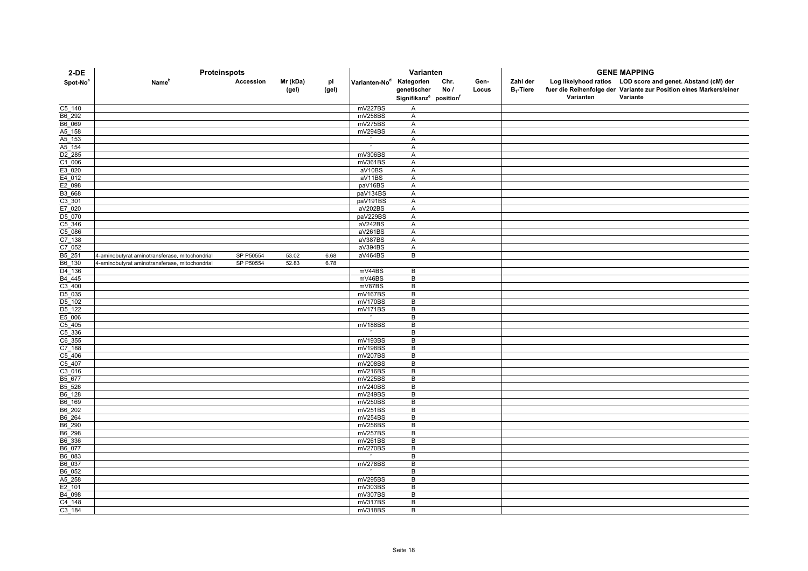| 2-DE                        | Proteinspots                                   |           |                   |             | Varianten                            |                                                |             |               | <b>GENE MAPPING</b>      |           |                                                                                                                                   |
|-----------------------------|------------------------------------------------|-----------|-------------------|-------------|--------------------------------------|------------------------------------------------|-------------|---------------|--------------------------|-----------|-----------------------------------------------------------------------------------------------------------------------------------|
| Spot-No <sup>a</sup>        | Name <sup>r</sup>                              | Accession | Mr (kDa)<br>(gel) | pl<br>(gel) | Varianten-No <sup>d</sup> Kategorien | genetischer                                    | Chr.<br>No/ | Gen-<br>Locus | Zahl der<br>$B_1$ -Tiere |           | Log likelyhood ratios LOD score and genet. Abstand (cM) der<br>fuer die Reihenfolge der Variante zur Position eines Markers/einer |
|                             |                                                |           |                   |             |                                      | Signifikanz <sup>e</sup> position <sup>f</sup> |             |               |                          | Varianten | Variante                                                                                                                          |
| C5 140                      |                                                |           |                   |             | mV227BS                              | Α                                              |             |               |                          |           |                                                                                                                                   |
| B6_292                      |                                                |           |                   |             | mV258BS                              | Α                                              |             |               |                          |           |                                                                                                                                   |
| B6_069                      |                                                |           |                   |             | mV275BS                              | Α                                              |             |               |                          |           |                                                                                                                                   |
| A5_158                      |                                                |           |                   |             | mV294BS                              | A                                              |             |               |                          |           |                                                                                                                                   |
| $A5$ 153                    |                                                |           |                   |             |                                      | $\overline{A}$                                 |             |               |                          |           |                                                                                                                                   |
| $A5$ 154                    |                                                |           |                   |             |                                      | A                                              |             |               |                          |           |                                                                                                                                   |
| D <sub>2</sub> 285          |                                                |           |                   |             | mV306BS                              | A                                              |             |               |                          |           |                                                                                                                                   |
| $C1$ 006<br>E3 020          |                                                |           |                   |             | mV361BS                              | A                                              |             |               |                          |           |                                                                                                                                   |
|                             |                                                |           |                   |             | aV10BS<br>aV11BS                     | Α<br>A                                         |             |               |                          |           |                                                                                                                                   |
| $\frac{E4 - 012}{E2 - 098}$ |                                                |           |                   |             | paV16BS                              | A                                              |             |               |                          |           |                                                                                                                                   |
| B3_668                      |                                                |           |                   |             | paV134BS                             | A                                              |             |               |                          |           |                                                                                                                                   |
| $C3$ _301                   |                                                |           |                   |             | paV191BS                             | A                                              |             |               |                          |           |                                                                                                                                   |
| E7 020                      |                                                |           |                   |             | aV202BS                              | A                                              |             |               |                          |           |                                                                                                                                   |
| D5_070                      |                                                |           |                   |             | paV229BS                             | Α                                              |             |               |                          |           |                                                                                                                                   |
| $C5$ _346                   |                                                |           |                   |             | aV242BS                              | A                                              |             |               |                          |           |                                                                                                                                   |
| $C5$ <sup>086</sup>         |                                                |           |                   |             | aV261BS                              | A                                              |             |               |                          |           |                                                                                                                                   |
| C7_138                      |                                                |           |                   |             | aV387BS                              | A                                              |             |               |                          |           |                                                                                                                                   |
| C7 052                      |                                                |           |                   |             | aV394BS                              | A                                              |             |               |                          |           |                                                                                                                                   |
| B5_251                      | 4-aminobutyrat aminotransferase, mitochondrial | SP P50554 | 53.02             | 6.68        | aV464BS                              | $\overline{B}$                                 |             |               |                          |           |                                                                                                                                   |
| B6_130                      | 4-aminobutyrat aminotransferase, mitochondrial | SP P50554 | 52.83             | 6.78        |                                      |                                                |             |               |                          |           |                                                                                                                                   |
| $D4$ 136                    |                                                |           |                   |             | mV44BS                               | B                                              |             |               |                          |           |                                                                                                                                   |
| B4_445<br>C3_400            |                                                |           |                   |             | mV46BS                               | $\sf B$                                        |             |               |                          |           |                                                                                                                                   |
|                             |                                                |           |                   |             | mV87BS                               | В                                              |             |               |                          |           |                                                                                                                                   |
| D <sub>5</sub> _035         |                                                |           |                   |             | mV167BS                              | B                                              |             |               |                          |           |                                                                                                                                   |
| D5_102                      |                                                |           |                   |             | mV170BS                              | B                                              |             |               |                          |           |                                                                                                                                   |
| $D5$ 122                    |                                                |           |                   |             | mV171BS                              | B                                              |             |               |                          |           |                                                                                                                                   |
| E5_006                      |                                                |           |                   |             |                                      | B                                              |             |               |                          |           |                                                                                                                                   |
| C5_405                      |                                                |           |                   |             | mV188BS                              | В<br>B                                         |             |               |                          |           |                                                                                                                                   |
| $C5$ _336<br>C6_355         |                                                |           |                   |             | mV193BS                              | $\overline{B}$                                 |             |               |                          |           |                                                                                                                                   |
| $C7$ 188                    |                                                |           |                   |             | mV198BS                              | B                                              |             |               |                          |           |                                                                                                                                   |
| $C5_406$                    |                                                |           |                   |             | mV207BS                              | B                                              |             |               |                          |           |                                                                                                                                   |
| $C5$ 407                    |                                                |           |                   |             | mV208BS                              | B                                              |             |               |                          |           |                                                                                                                                   |
| $C3_016$                    |                                                |           |                   |             | mV216BS                              | $\sf B$                                        |             |               |                          |           |                                                                                                                                   |
| B5_677                      |                                                |           |                   |             | mV225BS                              | B                                              |             |               |                          |           |                                                                                                                                   |
| B5_526                      |                                                |           |                   |             | mV240BS                              | B                                              |             |               |                          |           |                                                                                                                                   |
| B6_128                      |                                                |           |                   |             | mV249BS                              | B                                              |             |               |                          |           |                                                                                                                                   |
| B6_169                      |                                                |           |                   |             | mV250BS                              | B                                              |             |               |                          |           |                                                                                                                                   |
| B6_202<br>B6_264            |                                                |           |                   |             | mV251BS                              | B                                              |             |               |                          |           |                                                                                                                                   |
|                             |                                                |           |                   |             | mV254BS                              | B                                              |             |               |                          |           |                                                                                                                                   |
| B6_290                      |                                                |           |                   |             | mV256BS                              | B                                              |             |               |                          |           |                                                                                                                                   |
| B6_298                      |                                                |           |                   |             | mV257BS                              | B                                              |             |               |                          |           |                                                                                                                                   |
| B6_336                      |                                                |           |                   |             | mV261BS                              | В                                              |             |               |                          |           |                                                                                                                                   |
| B6 077                      |                                                |           |                   |             | mV270BS                              | B                                              |             |               |                          |           |                                                                                                                                   |
| B6 083                      |                                                |           |                   |             |                                      | B                                              |             |               |                          |           |                                                                                                                                   |
| B6_037                      |                                                |           |                   |             | mV278BS                              | B                                              |             |               |                          |           |                                                                                                                                   |
| B6_052                      |                                                |           |                   |             |                                      | B                                              |             |               |                          |           |                                                                                                                                   |
| A5_258                      |                                                |           |                   |             | mV295BS                              | B<br>B                                         |             |               |                          |           |                                                                                                                                   |
| E2 101<br>B4_098            |                                                |           |                   |             | mV303BS<br>mV307BS                   | В                                              |             |               |                          |           |                                                                                                                                   |
| C4_148                      |                                                |           |                   |             | mV317BS                              | $\sf B$                                        |             |               |                          |           |                                                                                                                                   |
| C3 184                      |                                                |           |                   |             | mV318BS                              | B                                              |             |               |                          |           |                                                                                                                                   |
|                             |                                                |           |                   |             |                                      |                                                |             |               |                          |           |                                                                                                                                   |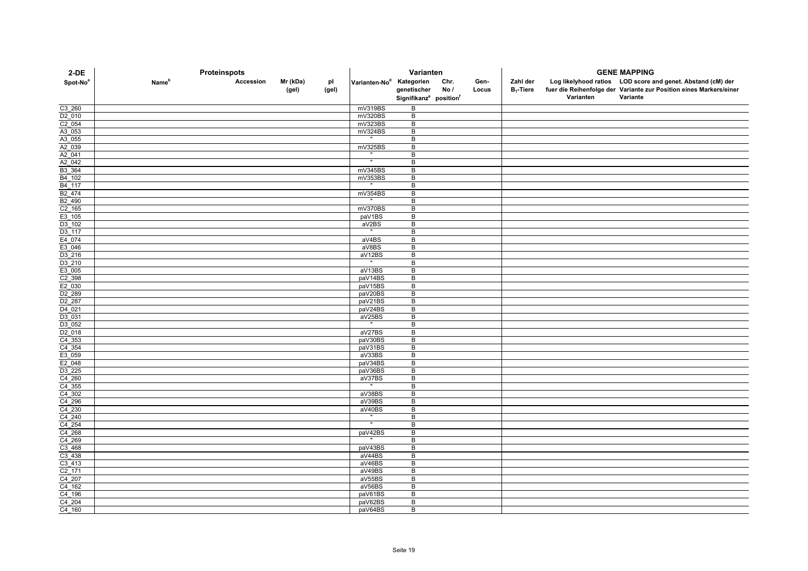| $2-DE$                      | Proteinspots             |           |                   |             | Varianten                            |                                                |             |               |                          | <b>GENE MAPPING</b> |                                                                                                                                   |  |  |
|-----------------------------|--------------------------|-----------|-------------------|-------------|--------------------------------------|------------------------------------------------|-------------|---------------|--------------------------|---------------------|-----------------------------------------------------------------------------------------------------------------------------------|--|--|
| Spot-No <sup>a</sup>        | <b>Name</b> <sup>p</sup> | Accession | Mr (kDa)<br>(gel) | pl<br>(gel) | Varianten-No <sup>d</sup> Kategorien | genetischer                                    | Chr.<br>No/ | Gen-<br>Locus | Zahl der<br>$B_1$ -Tiere |                     | Log likelyhood ratios LOD score and genet. Abstand (cM) der<br>fuer die Reihenfolge der Variante zur Position eines Markers/einer |  |  |
|                             |                          |           |                   |             |                                      | Signifikanz <sup>e</sup> position <sup>f</sup> |             |               |                          | Varianten           | Variante                                                                                                                          |  |  |
| C <sub>3</sub> _260         |                          |           |                   |             | mV319BS                              | B                                              |             |               |                          |                     |                                                                                                                                   |  |  |
| D2 010                      |                          |           |                   |             | mV320BS                              | B                                              |             |               |                          |                     |                                                                                                                                   |  |  |
| $C2_054$                    |                          |           |                   |             | mV323BS                              | $\overline{B}$                                 |             |               |                          |                     |                                                                                                                                   |  |  |
| A3_053                      |                          |           |                   |             | mV324BS                              | B                                              |             |               |                          |                     |                                                                                                                                   |  |  |
| A3_055<br>A2_039            |                          |           |                   |             | mV325BS                              | B<br>B                                         |             |               |                          |                     |                                                                                                                                   |  |  |
| A2_041                      |                          |           |                   |             |                                      | B                                              |             |               |                          |                     |                                                                                                                                   |  |  |
| A2_042                      |                          |           |                   |             |                                      | B                                              |             |               |                          |                     |                                                                                                                                   |  |  |
| B3_364                      |                          |           |                   |             | mV345BS                              | B                                              |             |               |                          |                     |                                                                                                                                   |  |  |
| $B4$ 102                    |                          |           |                   |             | mV353BS                              | $\overline{B}$                                 |             |               |                          |                     |                                                                                                                                   |  |  |
| $B4$ 117                    |                          |           |                   |             |                                      | B                                              |             |               |                          |                     |                                                                                                                                   |  |  |
| B <sub>2_474</sub>          |                          |           |                   |             | mV354BS                              | B                                              |             |               |                          |                     |                                                                                                                                   |  |  |
| B <sub>2_490</sub>          |                          |           |                   |             |                                      | B                                              |             |               |                          |                     |                                                                                                                                   |  |  |
| $C2$ 165                    |                          |           |                   |             | mV370BS                              | B                                              |             |               |                          |                     |                                                                                                                                   |  |  |
| E3_105                      |                          |           |                   |             | paV1BS                               | B                                              |             |               |                          |                     |                                                                                                                                   |  |  |
| D3_102                      |                          |           |                   |             | aV2BS<br>$\sim$                      | B                                              |             |               |                          |                     |                                                                                                                                   |  |  |
| D3_117                      |                          |           |                   |             |                                      | B                                              |             |               |                          |                     |                                                                                                                                   |  |  |
| E4_074<br>E3 046            |                          |           |                   |             | aV4BS<br>aV8BS                       | B<br>B                                         |             |               |                          |                     |                                                                                                                                   |  |  |
| $D3$ <sup>216</sup>         |                          |           |                   |             | aV12BS                               | В                                              |             |               |                          |                     |                                                                                                                                   |  |  |
| D3_210                      |                          |           |                   |             | $\mathbf{u}$                         | B                                              |             |               |                          |                     |                                                                                                                                   |  |  |
| E3_005                      |                          |           |                   |             | aV13BS                               | B                                              |             |               |                          |                     |                                                                                                                                   |  |  |
|                             |                          |           |                   |             | paV14BS                              | B                                              |             |               |                          |                     |                                                                                                                                   |  |  |
| $\frac{C2 - 398}{E2 - 030}$ |                          |           |                   |             | paV15BS                              | $\sf B$                                        |             |               |                          |                     |                                                                                                                                   |  |  |
| D <sub>2_289</sub>          |                          |           |                   |             | paV20BS                              | B                                              |             |               |                          |                     |                                                                                                                                   |  |  |
| D <sub>2_287</sub>          |                          |           |                   |             | paV21BS                              | B                                              |             |               |                          |                     |                                                                                                                                   |  |  |
| $D4_0$ 021                  |                          |           |                   |             | paV24BS                              | B                                              |             |               |                          |                     |                                                                                                                                   |  |  |
| D3_031                      |                          |           |                   |             | aV25BS                               | B                                              |             |               |                          |                     |                                                                                                                                   |  |  |
| D3 052                      |                          |           |                   |             |                                      | В                                              |             |               |                          |                     |                                                                                                                                   |  |  |
| D <sub>2</sub> 018          |                          |           |                   |             | aV27BS                               | $\overline{B}$                                 |             |               |                          |                     |                                                                                                                                   |  |  |
| $C4$ 353                    |                          |           |                   |             | paV30BS                              | B                                              |             |               |                          |                     |                                                                                                                                   |  |  |
| $C4$ 354<br>E3_059          |                          |           |                   |             | paV31BS<br>aV33BS                    | B<br>B                                         |             |               |                          |                     |                                                                                                                                   |  |  |
| E2_048                      |                          |           |                   |             | paV34BS                              | B                                              |             |               |                          |                     |                                                                                                                                   |  |  |
|                             |                          |           |                   |             | paV36BS                              | $\sf B$                                        |             |               |                          |                     |                                                                                                                                   |  |  |
| $\frac{D3 - 225}{C4 - 260}$ |                          |           |                   |             | aV37BS                               | B                                              |             |               |                          |                     |                                                                                                                                   |  |  |
| $C4$ 355                    |                          |           |                   |             |                                      | $\overline{B}$                                 |             |               |                          |                     |                                                                                                                                   |  |  |
| $C4$ 302                    |                          |           |                   |             | aV38BS                               | B                                              |             |               |                          |                     |                                                                                                                                   |  |  |
| $C4$ <sup>296</sup>         |                          |           |                   |             | aV39BS                               | B                                              |             |               |                          |                     |                                                                                                                                   |  |  |
| $C4$ 230                    |                          |           |                   |             | aV40BS                               | B                                              |             |               |                          |                     |                                                                                                                                   |  |  |
| C4 240                      |                          |           |                   |             | $\mathbf{u}$                         | B                                              |             |               |                          |                     |                                                                                                                                   |  |  |
| C4_254                      |                          |           |                   |             | Ŧ                                    | B                                              |             |               |                          |                     |                                                                                                                                   |  |  |
| $\frac{C4 - 268}{C4 - 269}$ |                          |           |                   |             | paV42BS                              | B                                              |             |               |                          |                     |                                                                                                                                   |  |  |
|                             |                          |           |                   |             |                                      | B                                              |             |               |                          |                     |                                                                                                                                   |  |  |
| $C3$ 468<br>C3 438          |                          |           |                   |             | paV43BS<br>aV44BS                    | B<br>B                                         |             |               |                          |                     |                                                                                                                                   |  |  |
| $C3$ _413                   |                          |           |                   |             | aV46BS                               | B                                              |             |               |                          |                     |                                                                                                                                   |  |  |
| $C2_171$                    |                          |           |                   |             | aV49BS                               | B                                              |             |               |                          |                     |                                                                                                                                   |  |  |
| $C4$ <sup>207</sup>         |                          |           |                   |             | aV55BS                               | B                                              |             |               |                          |                     |                                                                                                                                   |  |  |
|                             |                          |           |                   |             | aV56BS                               | B                                              |             |               |                          |                     |                                                                                                                                   |  |  |
| $\frac{C4 - 162}{C4 - 196}$ |                          |           |                   |             | paV61BS                              | B                                              |             |               |                          |                     |                                                                                                                                   |  |  |
| C4_204                      |                          |           |                   |             | paV62BS                              | B                                              |             |               |                          |                     |                                                                                                                                   |  |  |
| C4 160                      |                          |           |                   |             | paV64BS                              | B                                              |             |               |                          |                     |                                                                                                                                   |  |  |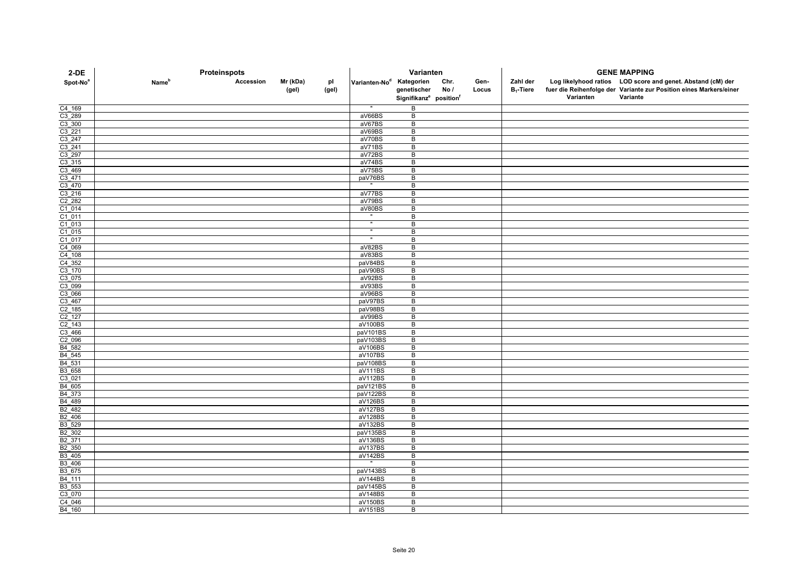| $2-DE$                      | Proteinspots             |           |                   |             | Varianten                            |                                                |             |               |                          | <b>GENE MAPPING</b> |                                                                                                                                   |  |  |
|-----------------------------|--------------------------|-----------|-------------------|-------------|--------------------------------------|------------------------------------------------|-------------|---------------|--------------------------|---------------------|-----------------------------------------------------------------------------------------------------------------------------------|--|--|
| Spot-No <sup>a</sup>        | <b>Name</b> <sup>p</sup> | Accession | Mr (kDa)<br>(gel) | pl<br>(gel) | Varianten-No <sup>d</sup> Kategorien | genetischer                                    | Chr.<br>No/ | Gen-<br>Locus | Zahl der<br>$B_1$ -Tiere |                     | Log likelyhood ratios LOD score and genet. Abstand (cM) der<br>fuer die Reihenfolge der Variante zur Position eines Markers/einer |  |  |
|                             |                          |           |                   |             |                                      | Signifikanz <sup>e</sup> position <sup>f</sup> |             |               |                          | Varianten           | Variante                                                                                                                          |  |  |
| C4_169                      |                          |           |                   |             |                                      | B                                              |             |               |                          |                     |                                                                                                                                   |  |  |
| C3 289                      |                          |           |                   |             | aV66BS                               | B                                              |             |               |                          |                     |                                                                                                                                   |  |  |
| $C3$ _300                   |                          |           |                   |             | aV67BS                               | $\overline{B}$                                 |             |               |                          |                     |                                                                                                                                   |  |  |
| $C3_{221}$                  |                          |           |                   |             | aV69BS                               | B                                              |             |               |                          |                     |                                                                                                                                   |  |  |
| $C3$ <sup>247</sup>         |                          |           |                   |             | aV70BS                               | B                                              |             |               |                          |                     |                                                                                                                                   |  |  |
| $\frac{C3 - 241}{C3 - 297}$ |                          |           |                   |             | aV71BS                               | B                                              |             |               |                          |                     |                                                                                                                                   |  |  |
|                             |                          |           |                   |             | aV72BS                               | B                                              |             |               |                          |                     |                                                                                                                                   |  |  |
| $C3_315$                    |                          |           |                   |             | aV74BS<br>aV75BS                     | B<br>B                                         |             |               |                          |                     |                                                                                                                                   |  |  |
| $C3$ 469<br>$C3 - 471$      |                          |           |                   |             | paV76BS                              | $\overline{B}$                                 |             |               |                          |                     |                                                                                                                                   |  |  |
| $C3$ 470                    |                          |           |                   |             |                                      | B                                              |             |               |                          |                     |                                                                                                                                   |  |  |
| $C3$ <sup>216</sup>         |                          |           |                   |             | aV77BS                               | B                                              |             |               |                          |                     |                                                                                                                                   |  |  |
| $C2$ 282                    |                          |           |                   |             | aV79BS                               | $\sf B$                                        |             |               |                          |                     |                                                                                                                                   |  |  |
| $C1$ 014                    |                          |           |                   |             | aV80BS                               | B                                              |             |               |                          |                     |                                                                                                                                   |  |  |
| $C1_011$                    |                          |           |                   |             |                                      | B                                              |             |               |                          |                     |                                                                                                                                   |  |  |
|                             |                          |           |                   |             | $\mathbf{H}$                         | B                                              |             |               |                          |                     |                                                                                                                                   |  |  |
| $\frac{C1_013}{C1_015}$     |                          |           |                   |             |                                      | B                                              |             |               |                          |                     |                                                                                                                                   |  |  |
| $C1_017$                    |                          |           |                   |             |                                      | B                                              |             |               |                          |                     |                                                                                                                                   |  |  |
| C4 069                      |                          |           |                   |             | aV82BS                               | B                                              |             |               |                          |                     |                                                                                                                                   |  |  |
| $C4$ 108                    |                          |           |                   |             | aV83BS                               | В                                              |             |               |                          |                     |                                                                                                                                   |  |  |
| C4_352                      |                          |           |                   |             | paV84BS                              | B                                              |             |               |                          |                     |                                                                                                                                   |  |  |
| $C3$ _170                   |                          |           |                   |             | paV90BS                              | B                                              |             |               |                          |                     |                                                                                                                                   |  |  |
| $C3$ 075                    |                          |           |                   |             | aV92BS                               | B                                              |             |               |                          |                     |                                                                                                                                   |  |  |
| C3 099                      |                          |           |                   |             | aV93BS                               | B                                              |             |               |                          |                     |                                                                                                                                   |  |  |
| C <sub>3_066</sub>          |                          |           |                   |             | aV96BS                               | B                                              |             |               |                          |                     |                                                                                                                                   |  |  |
| $\frac{C3 - 467}{C2 - 185}$ |                          |           |                   |             | paV97BS                              | B                                              |             |               |                          |                     |                                                                                                                                   |  |  |
| $C2$ _127                   |                          |           |                   |             | paV98BS                              | B                                              |             |               |                          |                     |                                                                                                                                   |  |  |
| $C2$ 143                    |                          |           |                   |             | aV99BS<br>aV100BS                    | B<br>B                                         |             |               |                          |                     |                                                                                                                                   |  |  |
| $C3$ 466                    |                          |           |                   |             | paV101BS                             | $\overline{B}$                                 |             |               |                          |                     |                                                                                                                                   |  |  |
| C2_096                      |                          |           |                   |             | paV103BS                             | B                                              |             |               |                          |                     |                                                                                                                                   |  |  |
| B4_582                      |                          |           |                   |             | aV106BS                              | B                                              |             |               |                          |                     |                                                                                                                                   |  |  |
| B4_545                      |                          |           |                   |             | aV107BS                              | B                                              |             |               |                          |                     |                                                                                                                                   |  |  |
| B4_531                      |                          |           |                   |             | paV108BS                             | B                                              |             |               |                          |                     |                                                                                                                                   |  |  |
| B3_658                      |                          |           |                   |             | aV111BS                              | $\sf B$                                        |             |               |                          |                     |                                                                                                                                   |  |  |
| $C3$ <sup>021</sup>         |                          |           |                   |             | aV112BS                              | B                                              |             |               |                          |                     |                                                                                                                                   |  |  |
| B4_605                      |                          |           |                   |             | paV121BS                             | $\overline{B}$                                 |             |               |                          |                     |                                                                                                                                   |  |  |
| B4_373                      |                          |           |                   |             | paV122BS                             | B                                              |             |               |                          |                     |                                                                                                                                   |  |  |
| B4 489                      |                          |           |                   |             | aV126BS                              | B                                              |             |               |                          |                     |                                                                                                                                   |  |  |
| B <sub>2_482</sub>          |                          |           |                   |             | aV127BS                              | B                                              |             |               |                          |                     |                                                                                                                                   |  |  |
| B <sub>2_406</sub>          |                          |           |                   |             | aV128BS                              | B                                              |             |               |                          |                     |                                                                                                                                   |  |  |
| B3_529                      |                          |           |                   |             | aV132BS                              | $\,$ B                                         |             |               |                          |                     |                                                                                                                                   |  |  |
| B <sub>2_302</sub>          |                          |           |                   |             | paV135BS                             | B                                              |             |               |                          |                     |                                                                                                                                   |  |  |
| B <sub>2_371</sub>          |                          |           |                   |             | aV136BS                              | B                                              |             |               |                          |                     |                                                                                                                                   |  |  |
| B <sub>2_350</sub>          |                          |           |                   |             | aV137BS                              | B                                              |             |               |                          |                     |                                                                                                                                   |  |  |
| B3 405                      |                          |           |                   |             | aV142BS                              | B                                              |             |               |                          |                     |                                                                                                                                   |  |  |
| B3_406                      |                          |           |                   |             |                                      | B                                              |             |               |                          |                     |                                                                                                                                   |  |  |
| B <sub>3_675</sub>          |                          |           |                   |             | paV143BS<br>aV144BS                  | B<br>B                                         |             |               |                          |                     |                                                                                                                                   |  |  |
| B4_111                      |                          |           |                   |             | paV145BS                             | B                                              |             |               |                          |                     |                                                                                                                                   |  |  |
| B3_553<br>C3 070            |                          |           |                   |             | aV148BS                              | B                                              |             |               |                          |                     |                                                                                                                                   |  |  |
| C4_046                      |                          |           |                   |             | aV150BS                              | B                                              |             |               |                          |                     |                                                                                                                                   |  |  |
| B4 160                      |                          |           |                   |             | aV151BS                              | B                                              |             |               |                          |                     |                                                                                                                                   |  |  |
|                             |                          |           |                   |             |                                      |                                                |             |               |                          |                     |                                                                                                                                   |  |  |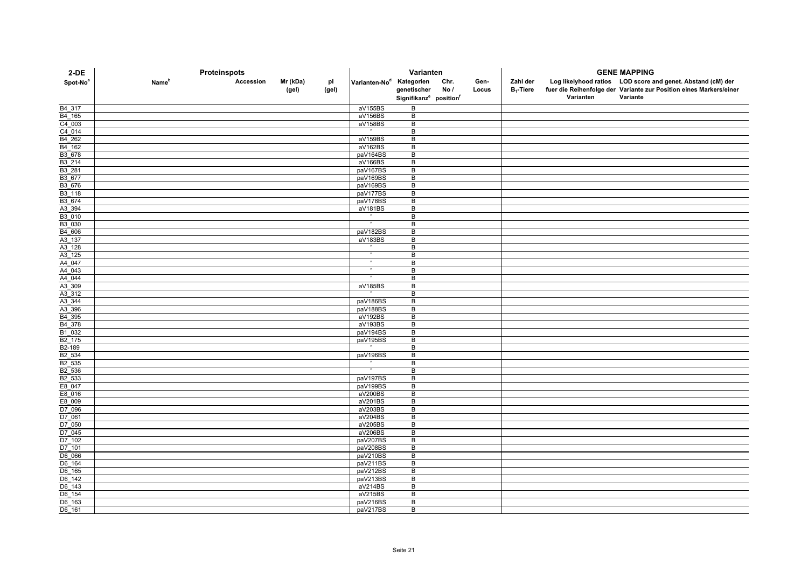| $2-DE$                        | Proteinspots             |           |          |       | Varianten                            |                                                |      |       |              | <b>GENE MAPPING</b> |                                                                    |  |  |
|-------------------------------|--------------------------|-----------|----------|-------|--------------------------------------|------------------------------------------------|------|-------|--------------|---------------------|--------------------------------------------------------------------|--|--|
| Spot-No <sup>a</sup>          | <b>Name</b> <sup>p</sup> | Accession | Mr (kDa) | pl    | Varianten-No <sup>d</sup> Kategorien |                                                | Chr. | Gen-  | Zahl der     |                     | Log likelyhood ratios LOD score and genet. Abstand (cM) der        |  |  |
|                               |                          |           | (gel)    | (gel) |                                      | genetischer                                    | No/  | Locus | $B_1$ -Tiere |                     | fuer die Reihenfolge der Variante zur Position eines Markers/einer |  |  |
|                               |                          |           |          |       |                                      | Signifikanz <sup>e</sup> position <sup>f</sup> |      |       |              | Varianten           | Variante                                                           |  |  |
| B <sub>4</sub> _317           |                          |           |          |       | aV155BS                              | B                                              |      |       |              |                     |                                                                    |  |  |
| B4 165                        |                          |           |          |       | aV156BS                              | B                                              |      |       |              |                     |                                                                    |  |  |
| $\frac{C4 - 003}{C4 - 014}$   |                          |           |          |       | aV158BS                              | $\sf B$                                        |      |       |              |                     |                                                                    |  |  |
|                               |                          |           |          |       |                                      | В                                              |      |       |              |                     |                                                                    |  |  |
| B <sub>4_262</sub>            |                          |           |          |       | aV159BS                              | B                                              |      |       |              |                     |                                                                    |  |  |
| $B4$ 162                      |                          |           |          |       | aV162BS                              | B                                              |      |       |              |                     |                                                                    |  |  |
| B3_678                        |                          |           |          |       | paV164BS                             | В<br>B                                         |      |       |              |                     |                                                                    |  |  |
| B3_214<br>B3_281              |                          |           |          |       | aV166BS<br>paV167BS                  | В                                              |      |       |              |                     |                                                                    |  |  |
| B3_677                        |                          |           |          |       | paV169BS                             | B                                              |      |       |              |                     |                                                                    |  |  |
| B3_676                        |                          |           |          |       | paV169BS                             | $\overline{B}$                                 |      |       |              |                     |                                                                    |  |  |
|                               |                          |           |          |       | paV177BS                             | B                                              |      |       |              |                     |                                                                    |  |  |
| B3_118<br>B3_674              |                          |           |          |       | paV178BS                             | B                                              |      |       |              |                     |                                                                    |  |  |
| $A3$ 394                      |                          |           |          |       | aV181BS                              | $\sf B$                                        |      |       |              |                     |                                                                    |  |  |
| B3_010<br>B3_030              |                          |           |          |       |                                      | B                                              |      |       |              |                     |                                                                    |  |  |
|                               |                          |           |          |       |                                      | B                                              |      |       |              |                     |                                                                    |  |  |
| B4_606                        |                          |           |          |       | paV182BS                             | $\overline{B}$                                 |      |       |              |                     |                                                                    |  |  |
| $A3$ 137                      |                          |           |          |       | aV183BS                              | B                                              |      |       |              |                     |                                                                    |  |  |
| A3 128                        |                          |           |          |       |                                      | B                                              |      |       |              |                     |                                                                    |  |  |
| $A3$ 125                      |                          |           |          |       |                                      | B                                              |      |       |              |                     |                                                                    |  |  |
| A4 047                        |                          |           |          |       | Ŧ                                    | B<br>B                                         |      |       |              |                     |                                                                    |  |  |
| A4_043<br>$A4$ <sup>044</sup> |                          |           |          |       | $\overline{ }$                       | B                                              |      |       |              |                     |                                                                    |  |  |
| A3_309                        |                          |           |          |       | aV185BS                              | В                                              |      |       |              |                     |                                                                    |  |  |
| A3_312                        |                          |           |          |       |                                      | B                                              |      |       |              |                     |                                                                    |  |  |
|                               |                          |           |          |       | paV186BS                             | B                                              |      |       |              |                     |                                                                    |  |  |
| A3_344<br>A3_396              |                          |           |          |       | paV188BS                             | B                                              |      |       |              |                     |                                                                    |  |  |
| B4_395                        |                          |           |          |       | aV192BS                              | B                                              |      |       |              |                     |                                                                    |  |  |
| B4_378                        |                          |           |          |       | aV193BS                              | B                                              |      |       |              |                     |                                                                    |  |  |
| B1_032<br>B2_175              |                          |           |          |       | paV194BS                             | $\sf B$                                        |      |       |              |                     |                                                                    |  |  |
|                               |                          |           |          |       | paV195BS                             | $\sf B$                                        |      |       |              |                     |                                                                    |  |  |
| B <sub>2</sub> -189           |                          |           |          |       |                                      | B                                              |      |       |              |                     |                                                                    |  |  |
| B <sub>2_534</sub>            |                          |           |          |       | paV196BS                             | B                                              |      |       |              |                     |                                                                    |  |  |
| B2_535                        |                          |           |          |       |                                      | B                                              |      |       |              |                     |                                                                    |  |  |
| B2_536<br>B2_533              |                          |           |          |       | paV197BS                             | В<br>B                                         |      |       |              |                     |                                                                    |  |  |
| E8_047                        |                          |           |          |       | paV199BS                             | $\overline{B}$                                 |      |       |              |                     |                                                                    |  |  |
| E8_016                        |                          |           |          |       | aV200BS                              | $\overline{B}$                                 |      |       |              |                     |                                                                    |  |  |
| E8_009                        |                          |           |          |       | aV201BS                              | B                                              |      |       |              |                     |                                                                    |  |  |
| D7_096                        |                          |           |          |       | aV203BS                              | B                                              |      |       |              |                     |                                                                    |  |  |
| D7_061                        |                          |           |          |       | aV204BS                              | $\sf B$                                        |      |       |              |                     |                                                                    |  |  |
| D7_050                        |                          |           |          |       | aV205BS                              | $\sf B$                                        |      |       |              |                     |                                                                    |  |  |
| D7 045                        |                          |           |          |       | aV206BS                              | $\,$ B                                         |      |       |              |                     |                                                                    |  |  |
| $D7_102$                      |                          |           |          |       | paV207BS                             | $\overline{B}$                                 |      |       |              |                     |                                                                    |  |  |
| D7_101                        |                          |           |          |       | paV208BS                             | B                                              |      |       |              |                     |                                                                    |  |  |
| D6 066                        |                          |           |          |       | paV210BS                             | B                                              |      |       |              |                     |                                                                    |  |  |
| D6_164                        |                          |           |          |       | paV211BS                             | В                                              |      |       |              |                     |                                                                    |  |  |
| D6 165                        |                          |           |          |       | paV212BS                             | B                                              |      |       |              |                     |                                                                    |  |  |
| D6_142<br>$D6$ 143            |                          |           |          |       | paV213BS                             | B                                              |      |       |              |                     |                                                                    |  |  |
| D6_154                        |                          |           |          |       | aV214BS<br>aV215BS                   | B<br>B                                         |      |       |              |                     |                                                                    |  |  |
| D6_163                        |                          |           |          |       | paV216BS                             | B                                              |      |       |              |                     |                                                                    |  |  |
| $\overline{D6}$ _161          |                          |           |          |       | paV217BS                             | B                                              |      |       |              |                     |                                                                    |  |  |
|                               |                          |           |          |       |                                      |                                                |      |       |              |                     |                                                                    |  |  |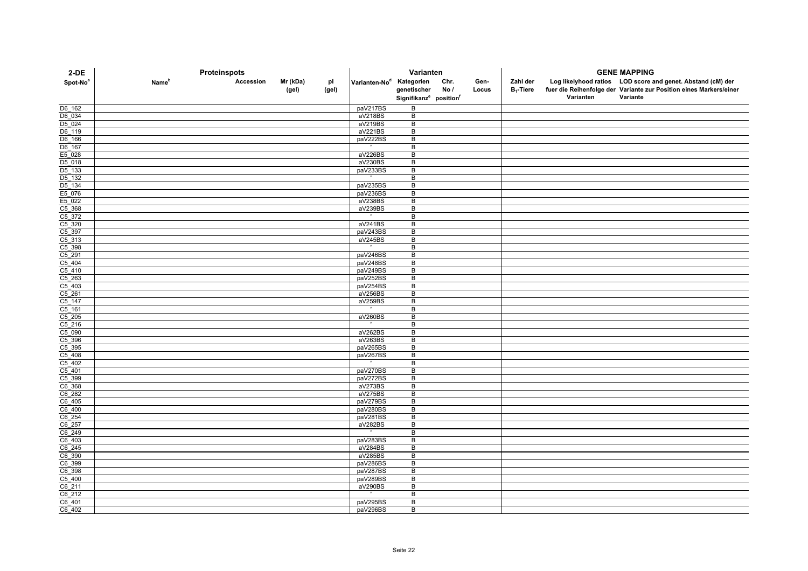| $2-DE$                      | Proteinspots             |           |                   |             | Varianten                            |                                                               |              |               |                          | <b>GENE MAPPING</b> |                                                                                                                                               |  |  |
|-----------------------------|--------------------------|-----------|-------------------|-------------|--------------------------------------|---------------------------------------------------------------|--------------|---------------|--------------------------|---------------------|-----------------------------------------------------------------------------------------------------------------------------------------------|--|--|
| Spot-No <sup>a</sup>        | <b>Name</b> <sup>p</sup> | Accession | Mr (kDa)<br>(gel) | рI<br>(gel) | Varianten-No <sup>d</sup> Kategorien | genetischer<br>Signifikanz <sup>e</sup> position <sup>f</sup> | Chr.<br>No / | Gen-<br>Locus | Zahl der<br>$B_1$ -Tiere | Varianten           | Log likelyhood ratios LOD score and genet. Abstand (cM) der<br>fuer die Reihenfolge der Variante zur Position eines Markers/einer<br>Variante |  |  |
|                             |                          |           |                   |             |                                      |                                                               |              |               |                          |                     |                                                                                                                                               |  |  |
| D6_162                      |                          |           |                   |             | paV217BS                             | B                                                             |              |               |                          |                     |                                                                                                                                               |  |  |
| D6 034                      |                          |           |                   |             | aV218BS                              | B                                                             |              |               |                          |                     |                                                                                                                                               |  |  |
| D <sub>5_024</sub>          |                          |           |                   |             | aV219BS                              | $\overline{B}$                                                |              |               |                          |                     |                                                                                                                                               |  |  |
| D6_119                      |                          |           |                   |             | aV221BS                              | B<br>B                                                        |              |               |                          |                     |                                                                                                                                               |  |  |
| D6_166<br>D6_166            |                          |           |                   |             | paV222BS                             | B                                                             |              |               |                          |                     |                                                                                                                                               |  |  |
| E5_028                      |                          |           |                   |             | aV226BS                              | B                                                             |              |               |                          |                     |                                                                                                                                               |  |  |
|                             |                          |           |                   |             | aV230BS                              | B                                                             |              |               |                          |                     |                                                                                                                                               |  |  |
| D5_018<br>D5_133<br>D5_132  |                          |           |                   |             | paV233BS                             | B                                                             |              |               |                          |                     |                                                                                                                                               |  |  |
|                             |                          |           |                   |             |                                      | $\overline{B}$                                                |              |               |                          |                     |                                                                                                                                               |  |  |
| D <sub>5_134</sub>          |                          |           |                   |             | paV235BS                             | B                                                             |              |               |                          |                     |                                                                                                                                               |  |  |
| E5_076                      |                          |           |                   |             | paV236BS                             | B                                                             |              |               |                          |                     |                                                                                                                                               |  |  |
| E5_022                      |                          |           |                   |             | aV238BS                              | $\, {\bf B}$                                                  |              |               |                          |                     |                                                                                                                                               |  |  |
| C5 368                      |                          |           |                   |             | aV239BS                              | B                                                             |              |               |                          |                     |                                                                                                                                               |  |  |
|                             |                          |           |                   |             |                                      | B                                                             |              |               |                          |                     |                                                                                                                                               |  |  |
| C5_372<br>C5_320<br>C5_397  |                          |           |                   |             | aV241BS                              | B                                                             |              |               |                          |                     |                                                                                                                                               |  |  |
|                             |                          |           |                   |             | paV243BS                             | B                                                             |              |               |                          |                     |                                                                                                                                               |  |  |
| $C5$ _313                   |                          |           |                   |             | aV245BS                              | B                                                             |              |               |                          |                     |                                                                                                                                               |  |  |
| $C5$ _398                   |                          |           |                   |             |                                      | B                                                             |              |               |                          |                     |                                                                                                                                               |  |  |
| $C5$ <sup>291</sup>         |                          |           |                   |             | paV246BS                             | $\overline{B}$                                                |              |               |                          |                     |                                                                                                                                               |  |  |
| $\frac{C5 - 404}{C5 - 410}$ |                          |           |                   |             | paV248BS                             | B                                                             |              |               |                          |                     |                                                                                                                                               |  |  |
|                             |                          |           |                   |             | paV249BS                             | B                                                             |              |               |                          |                     |                                                                                                                                               |  |  |
| $\frac{C5 - 263}{C5 - 403}$ |                          |           |                   |             | paV252BS                             | B                                                             |              |               |                          |                     |                                                                                                                                               |  |  |
|                             |                          |           |                   |             | paV254BS                             | B                                                             |              |               |                          |                     |                                                                                                                                               |  |  |
| C5_261                      |                          |           |                   |             | aV256BS<br>aV259BS                   | B<br>B                                                        |              |               |                          |                     |                                                                                                                                               |  |  |
| $\frac{C5 - 147}{C5 - 161}$ |                          |           |                   |             |                                      | B                                                             |              |               |                          |                     |                                                                                                                                               |  |  |
|                             |                          |           |                   |             | aV260BS                              | B                                                             |              |               |                          |                     |                                                                                                                                               |  |  |
| $\frac{C5}{C5}$ 205         |                          |           |                   |             |                                      | B                                                             |              |               |                          |                     |                                                                                                                                               |  |  |
| C5_090                      |                          |           |                   |             | aV262BS                              | $\overline{B}$                                                |              |               |                          |                     |                                                                                                                                               |  |  |
| C5_396                      |                          |           |                   |             | aV263BS                              | B                                                             |              |               |                          |                     |                                                                                                                                               |  |  |
| $C5$ _395                   |                          |           |                   |             | paV265BS                             | B                                                             |              |               |                          |                     |                                                                                                                                               |  |  |
| $C5$ _408                   |                          |           |                   |             | paV267BS                             | B                                                             |              |               |                          |                     |                                                                                                                                               |  |  |
| $C5$ 402                    |                          |           |                   |             |                                      | B                                                             |              |               |                          |                     |                                                                                                                                               |  |  |
| $\frac{C5 - 401}{C5 - 399}$ |                          |           |                   |             | paV270BS                             | B                                                             |              |               |                          |                     |                                                                                                                                               |  |  |
|                             |                          |           |                   |             | paV272BS                             | B                                                             |              |               |                          |                     |                                                                                                                                               |  |  |
| $C6$ _368                   |                          |           |                   |             | aV273BS                              | $\overline{B}$                                                |              |               |                          |                     |                                                                                                                                               |  |  |
| C6_282                      |                          |           |                   |             | aV275BS                              | B                                                             |              |               |                          |                     |                                                                                                                                               |  |  |
| $C6$ _405                   |                          |           |                   |             | paV279BS                             | B                                                             |              |               |                          |                     |                                                                                                                                               |  |  |
| $C6$ _400                   |                          |           |                   |             | paV280BS                             | B                                                             |              |               |                          |                     |                                                                                                                                               |  |  |
| C6_254                      |                          |           |                   |             | paV281BS                             | B                                                             |              |               |                          |                     |                                                                                                                                               |  |  |
| C6_257                      |                          |           |                   |             | aV282BS                              | B                                                             |              |               |                          |                     |                                                                                                                                               |  |  |
| $\frac{C6 - 249}{C6 - 403}$ |                          |           |                   |             |                                      | B                                                             |              |               |                          |                     |                                                                                                                                               |  |  |
|                             |                          |           |                   |             | paV283BS                             | B                                                             |              |               |                          |                     |                                                                                                                                               |  |  |
| $\frac{C6 - 245}{C6 - 390}$ |                          |           |                   |             | aV284BS                              | B                                                             |              |               |                          |                     |                                                                                                                                               |  |  |
|                             |                          |           |                   |             | aV285BS                              | B<br>B                                                        |              |               |                          |                     |                                                                                                                                               |  |  |
|                             |                          |           |                   |             | paV286BS<br>paV287BS                 | B                                                             |              |               |                          |                     |                                                                                                                                               |  |  |
| $\frac{C6 - 398}{C5 - 400}$ |                          |           |                   |             | paV289BS                             | B                                                             |              |               |                          |                     |                                                                                                                                               |  |  |
| C6_211                      |                          |           |                   |             | aV290BS                              | B                                                             |              |               |                          |                     |                                                                                                                                               |  |  |
| C6 212                      |                          |           |                   |             |                                      | В                                                             |              |               |                          |                     |                                                                                                                                               |  |  |
| C6_401                      |                          |           |                   |             | paV295BS                             | B                                                             |              |               |                          |                     |                                                                                                                                               |  |  |
| C6 402                      |                          |           |                   |             | paV296BS                             | B                                                             |              |               |                          |                     |                                                                                                                                               |  |  |
|                             |                          |           |                   |             |                                      |                                                               |              |               |                          |                     |                                                                                                                                               |  |  |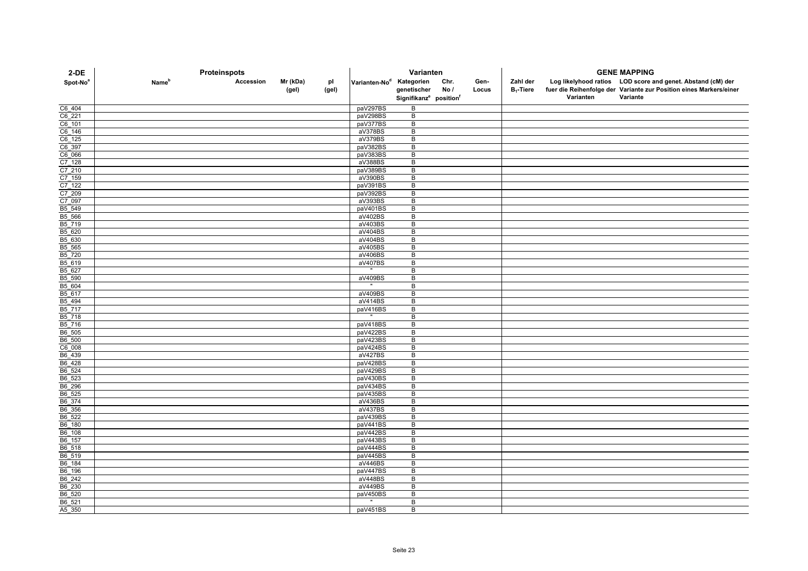| $2-DE$                     | Proteinspots             |           |                   |             | Varianten                            |                                                               |             |               |                          | <b>GENE MAPPING</b> |                                                                                                                                               |  |  |
|----------------------------|--------------------------|-----------|-------------------|-------------|--------------------------------------|---------------------------------------------------------------|-------------|---------------|--------------------------|---------------------|-----------------------------------------------------------------------------------------------------------------------------------------------|--|--|
| Spot-No <sup>a</sup>       | <b>Name</b> <sup>b</sup> | Accession | Mr (kDa)<br>(gel) | рI<br>(gel) | Varianten-No <sup>d</sup> Kategorien | genetischer<br>Signifikanz <sup>e</sup> position <sup>f</sup> | Chr.<br>No/ | Gen-<br>Locus | Zahl der<br>$B_1$ -Tiere | Varianten           | Log likelyhood ratios LOD score and genet. Abstand (cM) der<br>fuer die Reihenfolge der Variante zur Position eines Markers/einer<br>Variante |  |  |
|                            |                          |           |                   |             |                                      |                                                               |             |               |                          |                     |                                                                                                                                               |  |  |
| C6_404                     |                          |           |                   |             | paV297BS                             | B                                                             |             |               |                          |                     |                                                                                                                                               |  |  |
| C6 221                     |                          |           |                   |             | paV298BS                             | B<br>$\overline{B}$                                           |             |               |                          |                     |                                                                                                                                               |  |  |
| $C6$ 101                   |                          |           |                   |             | paV377BS<br>aV378BS                  | B                                                             |             |               |                          |                     |                                                                                                                                               |  |  |
| $C6_146$                   |                          |           |                   |             | aV379BS                              | B                                                             |             |               |                          |                     |                                                                                                                                               |  |  |
| C6_125<br>C6_397<br>C6_066 |                          |           |                   |             | paV382BS                             | B                                                             |             |               |                          |                     |                                                                                                                                               |  |  |
|                            |                          |           |                   |             | paV383BS                             | B                                                             |             |               |                          |                     |                                                                                                                                               |  |  |
|                            |                          |           |                   |             | aV388BS                              | B                                                             |             |               |                          |                     |                                                                                                                                               |  |  |
|                            |                          |           |                   |             | paV389BS                             | B                                                             |             |               |                          |                     |                                                                                                                                               |  |  |
| C7_128<br>C7_210<br>C7_159 |                          |           |                   |             | aV390BS                              | $\overline{B}$                                                |             |               |                          |                     |                                                                                                                                               |  |  |
| $C7$ <sup>122</sup>        |                          |           |                   |             | paV391BS                             | B                                                             |             |               |                          |                     |                                                                                                                                               |  |  |
| $C7$ <sup>209</sup>        |                          |           |                   |             | paV392BS                             | B                                                             |             |               |                          |                     |                                                                                                                                               |  |  |
| C7_097                     |                          |           |                   |             | aV393BS                              | $\, {\bf B}$                                                  |             |               |                          |                     |                                                                                                                                               |  |  |
| B5 549                     |                          |           |                   |             | paV401BS                             | B                                                             |             |               |                          |                     |                                                                                                                                               |  |  |
| B5_566                     |                          |           |                   |             | aV402BS                              | B                                                             |             |               |                          |                     |                                                                                                                                               |  |  |
| B5_719                     |                          |           |                   |             | aV403BS                              | B                                                             |             |               |                          |                     |                                                                                                                                               |  |  |
| B5 620                     |                          |           |                   |             | aV404BS                              | B                                                             |             |               |                          |                     |                                                                                                                                               |  |  |
| B5_630                     |                          |           |                   |             | aV404BS                              | B                                                             |             |               |                          |                     |                                                                                                                                               |  |  |
| B5 565<br>$B5$ 720         |                          |           |                   |             | aV405BS<br>aV406BS                   | B<br>$\overline{B}$                                           |             |               |                          |                     |                                                                                                                                               |  |  |
| B5_619                     |                          |           |                   |             | aV407BS                              | B                                                             |             |               |                          |                     |                                                                                                                                               |  |  |
| B5_627                     |                          |           |                   |             |                                      | B                                                             |             |               |                          |                     |                                                                                                                                               |  |  |
| B5_590                     |                          |           |                   |             | aV409BS                              | B                                                             |             |               |                          |                     |                                                                                                                                               |  |  |
| B5 604                     |                          |           |                   |             |                                      | В                                                             |             |               |                          |                     |                                                                                                                                               |  |  |
| B5_617                     |                          |           |                   |             | aV409BS                              | B                                                             |             |               |                          |                     |                                                                                                                                               |  |  |
|                            |                          |           |                   |             | aV414BS                              | B                                                             |             |               |                          |                     |                                                                                                                                               |  |  |
| B5_494<br>B5_717           |                          |           |                   |             | paV416BS                             | $\overline{B}$                                                |             |               |                          |                     |                                                                                                                                               |  |  |
| B5_718                     |                          |           |                   |             |                                      | B                                                             |             |               |                          |                     |                                                                                                                                               |  |  |
| B5 716                     |                          |           |                   |             | paV418BS                             | B                                                             |             |               |                          |                     |                                                                                                                                               |  |  |
| B6_505                     |                          |           |                   |             | paV422BS                             | $\overline{B}$                                                |             |               |                          |                     |                                                                                                                                               |  |  |
| B6_500                     |                          |           |                   |             | paV423BS                             | B                                                             |             |               |                          |                     |                                                                                                                                               |  |  |
| $rac{C6008}{B6439}$        |                          |           |                   |             | paV424BS                             | B                                                             |             |               |                          |                     |                                                                                                                                               |  |  |
|                            |                          |           |                   |             | aV427BS                              | B                                                             |             |               |                          |                     |                                                                                                                                               |  |  |
| B6 428                     |                          |           |                   |             | paV428BS                             | B                                                             |             |               |                          |                     |                                                                                                                                               |  |  |
| B6_524<br>B6_523           |                          |           |                   |             | paV429BS<br>paV430BS                 | B<br>B                                                        |             |               |                          |                     |                                                                                                                                               |  |  |
| B6_296                     |                          |           |                   |             | paV434BS                             | $\overline{B}$                                                |             |               |                          |                     |                                                                                                                                               |  |  |
| B6_525                     |                          |           |                   |             | paV435BS                             | B                                                             |             |               |                          |                     |                                                                                                                                               |  |  |
| B6 374                     |                          |           |                   |             | aV436BS                              | B                                                             |             |               |                          |                     |                                                                                                                                               |  |  |
| B6_356                     |                          |           |                   |             | aV437BS                              | B                                                             |             |               |                          |                     |                                                                                                                                               |  |  |
| B6_522                     |                          |           |                   |             | paV439BS                             | B                                                             |             |               |                          |                     |                                                                                                                                               |  |  |
| B6_180                     |                          |           |                   |             | paV441BS                             | B                                                             |             |               |                          |                     |                                                                                                                                               |  |  |
| B6_108                     |                          |           |                   |             | paV442BS                             | B                                                             |             |               |                          |                     |                                                                                                                                               |  |  |
| B6_157                     |                          |           |                   |             | paV443BS                             | B                                                             |             |               |                          |                     |                                                                                                                                               |  |  |
| B6_518                     |                          |           |                   |             | paV444BS                             | B                                                             |             |               |                          |                     |                                                                                                                                               |  |  |
| B6_519                     |                          |           |                   |             | paV445BS                             | B                                                             |             |               |                          |                     |                                                                                                                                               |  |  |
| B6_184                     |                          |           |                   |             | aV446BS                              | B                                                             |             |               |                          |                     |                                                                                                                                               |  |  |
| B6_196                     |                          |           |                   |             | paV447BS                             | B                                                             |             |               |                          |                     |                                                                                                                                               |  |  |
| B6_242                     |                          |           |                   |             | aV448BS                              | B                                                             |             |               |                          |                     |                                                                                                                                               |  |  |
| B6_230                     |                          |           |                   |             | aV449BS                              | B                                                             |             |               |                          |                     |                                                                                                                                               |  |  |
| B6 520                     |                          |           |                   |             | paV450BS                             | B                                                             |             |               |                          |                     |                                                                                                                                               |  |  |
| B6_521<br>A5_350           |                          |           |                   |             | paV451BS                             | B<br>B                                                        |             |               |                          |                     |                                                                                                                                               |  |  |
|                            |                          |           |                   |             |                                      |                                                               |             |               |                          |                     |                                                                                                                                               |  |  |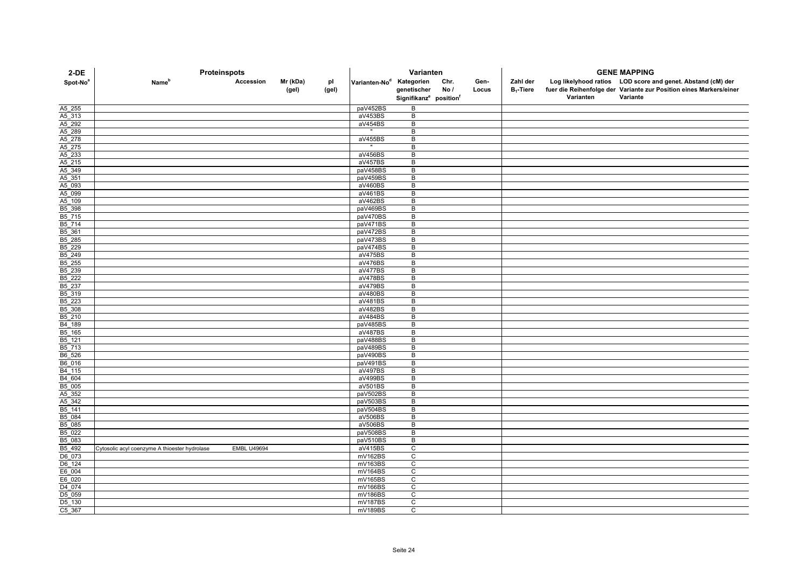| $2-DE$               | Proteinspots                                  |                    |          |       | Varianten                            |                                                |      |       |              | <b>GENE MAPPING</b> |                                                                    |  |  |
|----------------------|-----------------------------------------------|--------------------|----------|-------|--------------------------------------|------------------------------------------------|------|-------|--------------|---------------------|--------------------------------------------------------------------|--|--|
| Spot-No <sup>a</sup> | <b>Name</b> <sup>p</sup>                      | Accession          | Mr (kDa) | рI    | Varianten-No <sup>d</sup> Kategorien |                                                | Chr. | Gen-  | Zahl der     |                     | Log likelyhood ratios LOD score and genet. Abstand (cM) der        |  |  |
|                      |                                               |                    | (gel)    | (gel) |                                      | genetischer                                    | No/  | Locus | $B_1$ -Tiere |                     | fuer die Reihenfolge der Variante zur Position eines Markers/einer |  |  |
|                      |                                               |                    |          |       |                                      | Signifikanz <sup>e</sup> position <sup>f</sup> |      |       |              | Varianten           | Variante                                                           |  |  |
| A5_255               |                                               |                    |          |       | paV452BS                             | B                                              |      |       |              |                     |                                                                    |  |  |
| A5_313               |                                               |                    |          |       | aV453BS                              | B                                              |      |       |              |                     |                                                                    |  |  |
| A5_292               |                                               |                    |          |       | aV454BS                              | B                                              |      |       |              |                     |                                                                    |  |  |
| A5 289               |                                               |                    |          |       |                                      | B                                              |      |       |              |                     |                                                                    |  |  |
| A5_278               |                                               |                    |          |       | aV455BS                              | B                                              |      |       |              |                     |                                                                    |  |  |
| A5_275               |                                               |                    |          |       |                                      | B                                              |      |       |              |                     |                                                                    |  |  |
| A5_233<br>A5_215     |                                               |                    |          |       | aV456BS<br>aV457BS                   | B<br>B                                         |      |       |              |                     |                                                                    |  |  |
| A5_349               |                                               |                    |          |       | paV458BS                             | B                                              |      |       |              |                     |                                                                    |  |  |
| A5_351               |                                               |                    |          |       | paV459BS                             | B                                              |      |       |              |                     |                                                                    |  |  |
| A5_093               |                                               |                    |          |       | aV460BS                              | B                                              |      |       |              |                     |                                                                    |  |  |
| A5_099               |                                               |                    |          |       | aV461BS                              | B                                              |      |       |              |                     |                                                                    |  |  |
| A5_109               |                                               |                    |          |       | aV462BS                              | B                                              |      |       |              |                     |                                                                    |  |  |
| B5 398               |                                               |                    |          |       | paV469BS                             | B                                              |      |       |              |                     |                                                                    |  |  |
| B5_715               |                                               |                    |          |       | paV470BS                             | B                                              |      |       |              |                     |                                                                    |  |  |
| B5 714               |                                               |                    |          |       | paV471BS                             | B                                              |      |       |              |                     |                                                                    |  |  |
| B5_361               |                                               |                    |          |       | paV472BS                             | $\, {\bf B}$                                   |      |       |              |                     |                                                                    |  |  |
| $B5$ <sup>285</sup>  |                                               |                    |          |       | paV473BS                             | B                                              |      |       |              |                     |                                                                    |  |  |
| B5_229               |                                               |                    |          |       | paV474BS                             | B                                              |      |       |              |                     |                                                                    |  |  |
| B5_249<br>B5 255     |                                               |                    |          |       | aV475BS<br>aV476BS                   | B<br>B                                         |      |       |              |                     |                                                                    |  |  |
| B5_239               |                                               |                    |          |       | $\overline{aV477BS}$                 | B                                              |      |       |              |                     |                                                                    |  |  |
| $B5$ <sup>222</sup>  |                                               |                    |          |       | aV478BS                              | B                                              |      |       |              |                     |                                                                    |  |  |
| B5_237               |                                               |                    |          |       | aV479BS                              | B                                              |      |       |              |                     |                                                                    |  |  |
| B <sub>5</sub> _319  |                                               |                    |          |       | aV480BS                              | B                                              |      |       |              |                     |                                                                    |  |  |
| B5 223               |                                               |                    |          |       | aV481BS                              | B                                              |      |       |              |                     |                                                                    |  |  |
| B5_308               |                                               |                    |          |       | aV482BS                              | $\overline{B}$                                 |      |       |              |                     |                                                                    |  |  |
| B5_210               |                                               |                    |          |       | aV484BS                              | B                                              |      |       |              |                     |                                                                    |  |  |
| $B4$ 189             |                                               |                    |          |       | paV485BS                             | B                                              |      |       |              |                     |                                                                    |  |  |
| $B5$ 165             |                                               |                    |          |       | aV487BS                              | B                                              |      |       |              |                     |                                                                    |  |  |
| B5_121               |                                               |                    |          |       | paV488BS                             | B                                              |      |       |              |                     |                                                                    |  |  |
| B5_713               |                                               |                    |          |       | paV489BS                             | B                                              |      |       |              |                     |                                                                    |  |  |
| B6_526               |                                               |                    |          |       | paV490BS                             | B                                              |      |       |              |                     |                                                                    |  |  |
| B6_016               |                                               |                    |          |       | paV491BS<br>aV497BS                  | B<br>B                                         |      |       |              |                     |                                                                    |  |  |
| B4_115<br>B4_604     |                                               |                    |          |       | aV499BS                              | B                                              |      |       |              |                     |                                                                    |  |  |
| B5_005               |                                               |                    |          |       | aV501BS                              | B                                              |      |       |              |                     |                                                                    |  |  |
| A5 352               |                                               |                    |          |       | paV502BS                             | B                                              |      |       |              |                     |                                                                    |  |  |
| A5_342               |                                               |                    |          |       | paV503BS                             | B                                              |      |       |              |                     |                                                                    |  |  |
| B5_141               |                                               |                    |          |       | paV504BS                             | B                                              |      |       |              |                     |                                                                    |  |  |
| B5_084               |                                               |                    |          |       | aV506BS                              | B                                              |      |       |              |                     |                                                                    |  |  |
| B5_085               |                                               |                    |          |       | aV506BS                              | В                                              |      |       |              |                     |                                                                    |  |  |
| B5 022               |                                               |                    |          |       | paV508BS                             | B                                              |      |       |              |                     |                                                                    |  |  |
| B5_083               |                                               |                    |          |       | paV510BS                             | B                                              |      |       |              |                     |                                                                    |  |  |
| B5 492               | Cytosolic acyl coenzyme A thioester hydrolase | <b>EMBL U49694</b> |          |       | aV415BS                              | $\mathsf{C}$                                   |      |       |              |                     |                                                                    |  |  |
| D6_073               |                                               |                    |          |       | mV162BS                              | C                                              |      |       |              |                     |                                                                    |  |  |
| D6_124               |                                               |                    |          |       | mV163BS                              | $\mathsf C$                                    |      |       |              |                     |                                                                    |  |  |
| E6 004               |                                               |                    |          |       | mV164BS<br>mV165BS                   | $\mathsf C$<br>$\mathsf{C}$                    |      |       |              |                     |                                                                    |  |  |
| E6_020               |                                               |                    |          |       | mV166BS                              | C                                              |      |       |              |                     |                                                                    |  |  |
| D4_074<br>D5_059     |                                               |                    |          |       | mV186BS                              | C                                              |      |       |              |                     |                                                                    |  |  |
| D5_130               |                                               |                    |          |       | mV187BS                              | $\mathsf{C}$                                   |      |       |              |                     |                                                                    |  |  |
| C5_367               |                                               |                    |          |       | mV189BS                              | C                                              |      |       |              |                     |                                                                    |  |  |
|                      |                                               |                    |          |       |                                      |                                                |      |       |              |                     |                                                                    |  |  |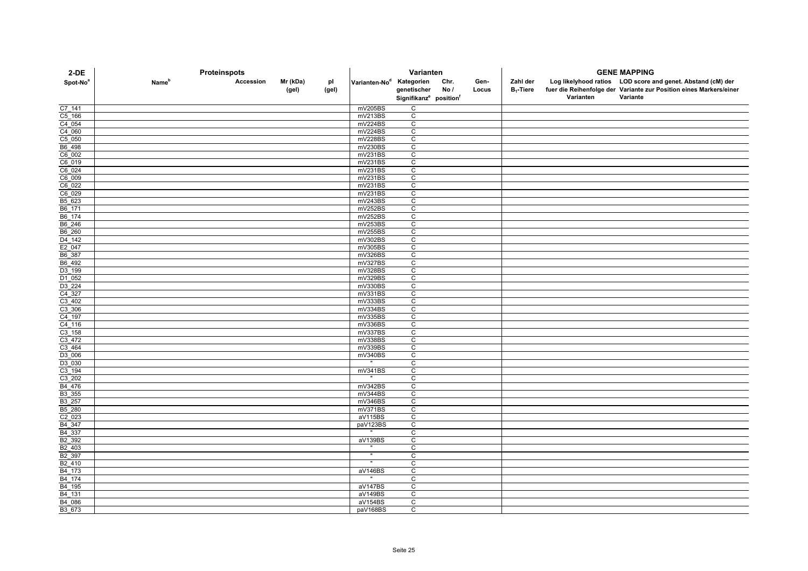| 2-DE                                       | Proteinspots      |           |                   |             |                                      | Varianten                                      |             |               | <b>GENE MAPPING</b>      |           |                                                                                                                                   |  |
|--------------------------------------------|-------------------|-----------|-------------------|-------------|--------------------------------------|------------------------------------------------|-------------|---------------|--------------------------|-----------|-----------------------------------------------------------------------------------------------------------------------------------|--|
| Spot-No <sup>a</sup>                       | Name <sup>n</sup> | Accession | Mr (kDa)<br>(gel) | pl<br>(gel) | Varianten-No <sup>d</sup> Kategorien | genetischer                                    | Chr.<br>No/ | Gen-<br>Locus | Zahl der<br>$B_1$ -Tiere |           | Log likelyhood ratios LOD score and genet. Abstand (cM) der<br>fuer die Reihenfolge der Variante zur Position eines Markers/einer |  |
|                                            |                   |           |                   |             |                                      | Signifikanz <sup>e</sup> position <sup>f</sup> |             |               |                          | Varianten | Variante                                                                                                                          |  |
| C7_141                                     |                   |           |                   |             | mV205BS                              | C                                              |             |               |                          |           |                                                                                                                                   |  |
| $C5$ 166                                   |                   |           |                   |             | mV213BS                              | C                                              |             |               |                          |           |                                                                                                                                   |  |
| $C4$ 054                                   |                   |           |                   |             | mV224BS                              | $\overline{c}$                                 |             |               |                          |           |                                                                                                                                   |  |
| C4_060                                     |                   |           |                   |             | mV224BS                              | C                                              |             |               |                          |           |                                                                                                                                   |  |
| C5_050                                     |                   |           |                   |             | mV228BS                              | $\mathsf{C}$                                   |             |               |                          |           |                                                                                                                                   |  |
| B6_498                                     |                   |           |                   |             | mV230BS                              | C                                              |             |               |                          |           |                                                                                                                                   |  |
| C6002                                      |                   |           |                   |             | mV231BS                              | C                                              |             |               |                          |           |                                                                                                                                   |  |
| C6_019                                     |                   |           |                   |             | mV231BS                              | C                                              |             |               |                          |           |                                                                                                                                   |  |
| $C6$ <sup>024</sup><br>$C6$ <sup>009</sup> |                   |           |                   |             | mV231BS<br>mV231BS                   | C<br>$\overline{c}$                            |             |               |                          |           |                                                                                                                                   |  |
| C6_022                                     |                   |           |                   |             | mV231BS                              | C                                              |             |               |                          |           |                                                                                                                                   |  |
| C6_029                                     |                   |           |                   |             | mV231BS                              | C                                              |             |               |                          |           |                                                                                                                                   |  |
| B5_623                                     |                   |           |                   |             | mV243BS                              | $\mathbf C$                                    |             |               |                          |           |                                                                                                                                   |  |
| B6 171                                     |                   |           |                   |             | mV252BS                              | C                                              |             |               |                          |           |                                                                                                                                   |  |
| B6_174                                     |                   |           |                   |             | mV252BS                              | C                                              |             |               |                          |           |                                                                                                                                   |  |
| B6_246                                     |                   |           |                   |             | mV253BS                              | C                                              |             |               |                          |           |                                                                                                                                   |  |
| B6 260                                     |                   |           |                   |             | mV255BS                              | $\overline{c}$                                 |             |               |                          |           |                                                                                                                                   |  |
| D <sub>4_142</sub>                         |                   |           |                   |             | mV302BS                              | C                                              |             |               |                          |           |                                                                                                                                   |  |
| E2_047                                     |                   |           |                   |             | mV305BS                              | C                                              |             |               |                          |           |                                                                                                                                   |  |
| B6_387                                     |                   |           |                   |             | mV326BS                              | $\overline{c}$                                 |             |               |                          |           |                                                                                                                                   |  |
| B6_492                                     |                   |           |                   |             | mV327BS                              | C                                              |             |               |                          |           |                                                                                                                                   |  |
| D3_199                                     |                   |           |                   |             | mV328BS                              | C                                              |             |               |                          |           |                                                                                                                                   |  |
| D1_052<br>D3 224                           |                   |           |                   |             | mV329BS<br>mV330BS                   | C<br>C                                         |             |               |                          |           |                                                                                                                                   |  |
| C4_327                                     |                   |           |                   |             | mV331BS                              | $\mathsf{C}$                                   |             |               |                          |           |                                                                                                                                   |  |
|                                            |                   |           |                   |             | mV333BS                              | C                                              |             |               |                          |           |                                                                                                                                   |  |
| $\frac{C3 - 402}{C3 - 306}$                |                   |           |                   |             | mV334BS                              | $\overline{c}$                                 |             |               |                          |           |                                                                                                                                   |  |
| $C4$ 197                                   |                   |           |                   |             | mV335BS                              | C                                              |             |               |                          |           |                                                                                                                                   |  |
| $C4$ 116                                   |                   |           |                   |             | mV336BS                              | C                                              |             |               |                          |           |                                                                                                                                   |  |
| $C3$ 158                                   |                   |           |                   |             | mV337BS                              | $\overline{c}$                                 |             |               |                          |           |                                                                                                                                   |  |
| C <sub>3_472</sub>                         |                   |           |                   |             | mV338BS                              | C                                              |             |               |                          |           |                                                                                                                                   |  |
| $C3$ 464                                   |                   |           |                   |             | mV339BS                              | $\mathsf{C}$                                   |             |               |                          |           |                                                                                                                                   |  |
| D3_006                                     |                   |           |                   |             | mV340BS                              | C                                              |             |               |                          |           |                                                                                                                                   |  |
| D3 030                                     |                   |           |                   |             |                                      | C                                              |             |               |                          |           |                                                                                                                                   |  |
| $C3 - 194$                                 |                   |           |                   |             | mV341BS                              | C                                              |             |               |                          |           |                                                                                                                                   |  |
| $C3$ 202<br>B4_476                         |                   |           |                   |             | mV342BS                              | C<br>$\overline{c}$                            |             |               |                          |           |                                                                                                                                   |  |
| B3_355                                     |                   |           |                   |             | mV344BS                              | C                                              |             |               |                          |           |                                                                                                                                   |  |
| B3 257                                     |                   |           |                   |             | mV346BS                              | C                                              |             |               |                          |           |                                                                                                                                   |  |
| B5_280                                     |                   |           |                   |             | mV371BS                              | C                                              |             |               |                          |           |                                                                                                                                   |  |
| $C2$ 023                                   |                   |           |                   |             | aV115BS                              | C                                              |             |               |                          |           |                                                                                                                                   |  |
|                                            |                   |           |                   |             | paV123BS                             | C                                              |             |               |                          |           |                                                                                                                                   |  |
| B4_347<br>B4_337                           |                   |           |                   |             |                                      | $\mathsf{C}$                                   |             |               |                          |           |                                                                                                                                   |  |
| B2_392                                     |                   |           |                   |             | aV139BS                              | C                                              |             |               |                          |           |                                                                                                                                   |  |
| B <sub>2_403</sub>                         |                   |           |                   |             |                                      | C                                              |             |               |                          |           |                                                                                                                                   |  |
| B2 397                                     |                   |           |                   |             |                                      | C                                              |             |               |                          |           |                                                                                                                                   |  |
| B <sub>2_410</sub>                         |                   |           |                   |             |                                      | C                                              |             |               |                          |           |                                                                                                                                   |  |
| B <sub>4_173</sub>                         |                   |           |                   |             | aV146BS                              | $\mathtt{C}$                                   |             |               |                          |           |                                                                                                                                   |  |
| B4_174                                     |                   |           |                   |             |                                      | $\mathsf{C}$                                   |             |               |                          |           |                                                                                                                                   |  |
| B <sub>4_195</sub><br>B4 131               |                   |           |                   |             | aV147BS<br>aV149BS                   | C<br>C                                         |             |               |                          |           |                                                                                                                                   |  |
| B4_086                                     |                   |           |                   |             | aV154BS                              | C                                              |             |               |                          |           |                                                                                                                                   |  |
| B3_673                                     |                   |           |                   |             | paV168BS                             | C                                              |             |               |                          |           |                                                                                                                                   |  |
|                                            |                   |           |                   |             |                                      |                                                |             |               |                          |           |                                                                                                                                   |  |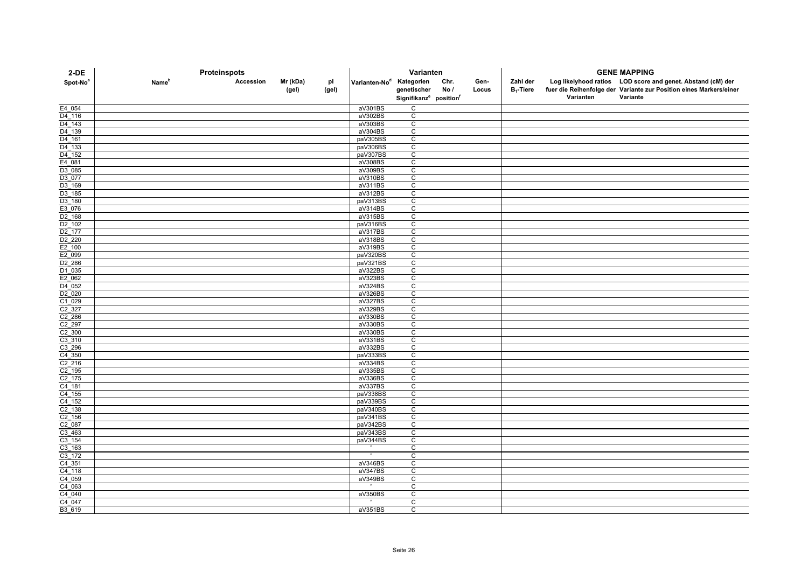| $2-DE$                                   | Proteinspots             |           |                   |             |                                      | Varianten                                      |             |               | <b>GENE MAPPING</b>      |           |                                                                                                                                               |  |
|------------------------------------------|--------------------------|-----------|-------------------|-------------|--------------------------------------|------------------------------------------------|-------------|---------------|--------------------------|-----------|-----------------------------------------------------------------------------------------------------------------------------------------------|--|
| Spot-No <sup>a</sup>                     | <b>Name</b> <sup>p</sup> | Accession | Mr (kDa)<br>(gel) | pl<br>(gel) | Varianten-No <sup>d</sup> Kategorien | genetischer                                    | Chr.<br>No/ | Gen-<br>Locus | Zahl der<br>$B_1$ -Tiere | Varianten | Log likelyhood ratios LOD score and genet. Abstand (cM) der<br>fuer die Reihenfolge der Variante zur Position eines Markers/einer<br>Variante |  |
|                                          |                          |           |                   |             |                                      | Signifikanz <sup>e</sup> position <sup>f</sup> |             |               |                          |           |                                                                                                                                               |  |
| E4_054                                   |                          |           |                   |             | aV301BS                              | C                                              |             |               |                          |           |                                                                                                                                               |  |
| D4 116                                   |                          |           |                   |             | aV302BS                              | С                                              |             |               |                          |           |                                                                                                                                               |  |
| $D4$ 143                                 |                          |           |                   |             | aV303BS                              | $\overline{c}$                                 |             |               |                          |           |                                                                                                                                               |  |
| D4_139                                   |                          |           |                   |             | aV304BS                              | C                                              |             |               |                          |           |                                                                                                                                               |  |
| D <sub>4_161</sub><br>D <sub>4_133</sub> |                          |           |                   |             | paV305BS<br>paV306BS                 | $\mathsf{C}$<br>C                              |             |               |                          |           |                                                                                                                                               |  |
| D4_152                                   |                          |           |                   |             | paV307BS                             | C                                              |             |               |                          |           |                                                                                                                                               |  |
| E4_081                                   |                          |           |                   |             | aV308BS                              | $\mathsf{C}$                                   |             |               |                          |           |                                                                                                                                               |  |
| D3 085                                   |                          |           |                   |             | aV309BS                              | C                                              |             |               |                          |           |                                                                                                                                               |  |
| D3_077                                   |                          |           |                   |             | aV310BS                              | $\overline{c}$                                 |             |               |                          |           |                                                                                                                                               |  |
| D3_169                                   |                          |           |                   |             | aV311BS                              | C                                              |             |               |                          |           |                                                                                                                                               |  |
| D3 185                                   |                          |           |                   |             | aV312BS                              | C                                              |             |               |                          |           |                                                                                                                                               |  |
| D3_180                                   |                          |           |                   |             | paV313BS                             | $\mathtt{C}$                                   |             |               |                          |           |                                                                                                                                               |  |
| E3_076                                   |                          |           |                   |             | aV314BS                              | C                                              |             |               |                          |           |                                                                                                                                               |  |
| D <sub>2_168</sub>                       |                          |           |                   |             | aV315BS                              | $\mathsf{C}$                                   |             |               |                          |           |                                                                                                                                               |  |
| D <sub>2_102</sub>                       |                          |           |                   |             | paV316BS                             | C                                              |             |               |                          |           |                                                                                                                                               |  |
| D <sub>2_177</sub>                       |                          |           |                   |             | aV317BS                              | C                                              |             |               |                          |           |                                                                                                                                               |  |
| $\frac{D2 - 220}{E2 - 100}$              |                          |           |                   |             | aV318BS                              | C                                              |             |               |                          |           |                                                                                                                                               |  |
|                                          |                          |           |                   |             | aV319BS                              | C                                              |             |               |                          |           |                                                                                                                                               |  |
| E2_099                                   |                          |           |                   |             | paV320BS                             | $\overline{c}$                                 |             |               |                          |           |                                                                                                                                               |  |
| D <sub>2_286</sub>                       |                          |           |                   |             | paV321BS                             | $\mathtt{C}$                                   |             |               |                          |           |                                                                                                                                               |  |
| D1_035                                   |                          |           |                   |             | aV322BS                              | C                                              |             |               |                          |           |                                                                                                                                               |  |
| E2_062                                   |                          |           |                   |             | aV323BS                              | C                                              |             |               |                          |           |                                                                                                                                               |  |
| D4 052                                   |                          |           |                   |             | aV324BS                              | C<br>$\mathsf{C}$                              |             |               |                          |           |                                                                                                                                               |  |
| D <sub>2_020</sub>                       |                          |           |                   |             | aV326BS<br>aV327BS                   | C                                              |             |               |                          |           |                                                                                                                                               |  |
| $\frac{C1 - 029}{C2 - 327}$              |                          |           |                   |             | aV329BS                              | $\overline{c}$                                 |             |               |                          |           |                                                                                                                                               |  |
| $C2_286$                                 |                          |           |                   |             | aV330BS                              | C                                              |             |               |                          |           |                                                                                                                                               |  |
| $C2$ 297                                 |                          |           |                   |             | aV330BS                              | C                                              |             |               |                          |           |                                                                                                                                               |  |
| $C2$ 300                                 |                          |           |                   |             | aV330BS                              | $\overline{c}$                                 |             |               |                          |           |                                                                                                                                               |  |
| $C3$ _310                                |                          |           |                   |             | aV331BS                              | C                                              |             |               |                          |           |                                                                                                                                               |  |
| $C3$ 296                                 |                          |           |                   |             | aV332BS                              | $\mathsf{C}$                                   |             |               |                          |           |                                                                                                                                               |  |
| $\frac{C4 - 350}{C2 - 216}$              |                          |           |                   |             | paV333BS                             | C                                              |             |               |                          |           |                                                                                                                                               |  |
|                                          |                          |           |                   |             | aV334BS                              | C                                              |             |               |                          |           |                                                                                                                                               |  |
| $\frac{C2 - 195}{C2 - 175}$              |                          |           |                   |             | aV335BS                              | C                                              |             |               |                          |           |                                                                                                                                               |  |
|                                          |                          |           |                   |             | aV336BS                              | C                                              |             |               |                          |           |                                                                                                                                               |  |
| $C4$ 181                                 |                          |           |                   |             | aV337BS                              | $\overline{c}$                                 |             |               |                          |           |                                                                                                                                               |  |
| $C4$ 155                                 |                          |           |                   |             | paV338BS                             | C                                              |             |               |                          |           |                                                                                                                                               |  |
| $C4$ 152                                 |                          |           |                   |             | paV339BS                             | C                                              |             |               |                          |           |                                                                                                                                               |  |
| $\frac{C2 - 138}{C2 - 156}$              |                          |           |                   |             | paV340BS                             | C                                              |             |               |                          |           |                                                                                                                                               |  |
|                                          |                          |           |                   |             | paV341BS                             | C                                              |             |               |                          |           |                                                                                                                                               |  |
| C2_087                                   |                          |           |                   |             | paV342BS                             | C                                              |             |               |                          |           |                                                                                                                                               |  |
| $\frac{C3 - 463}{C3 - 154}$              |                          |           |                   |             | paV343BS                             | C                                              |             |               |                          |           |                                                                                                                                               |  |
|                                          |                          |           |                   |             | paV344BS                             | $\overline{c}$                                 |             |               |                          |           |                                                                                                                                               |  |
| $C3$ 163<br>C3 172                       |                          |           |                   |             |                                      | С<br>C                                         |             |               |                          |           |                                                                                                                                               |  |
| $C4$ 351                                 |                          |           |                   |             | aV346BS                              | C                                              |             |               |                          |           |                                                                                                                                               |  |
| $C4$ 118                                 |                          |           |                   |             | aV347BS                              | $\mathtt{C}$                                   |             |               |                          |           |                                                                                                                                               |  |
| $C4$ <sup>059</sup>                      |                          |           |                   |             | aV349BS                              | C                                              |             |               |                          |           |                                                                                                                                               |  |
| $C4$ 063                                 |                          |           |                   |             | $\mathbf{u}$                         | C                                              |             |               |                          |           |                                                                                                                                               |  |
| C4 040                                   |                          |           |                   |             | aV350BS                              | C                                              |             |               |                          |           |                                                                                                                                               |  |
| C4_047                                   |                          |           |                   |             |                                      | C                                              |             |               |                          |           |                                                                                                                                               |  |
| B3 619                                   |                          |           |                   |             | aV351BS                              | $\mathsf{C}$                                   |             |               |                          |           |                                                                                                                                               |  |
|                                          |                          |           |                   |             |                                      |                                                |             |               |                          |           |                                                                                                                                               |  |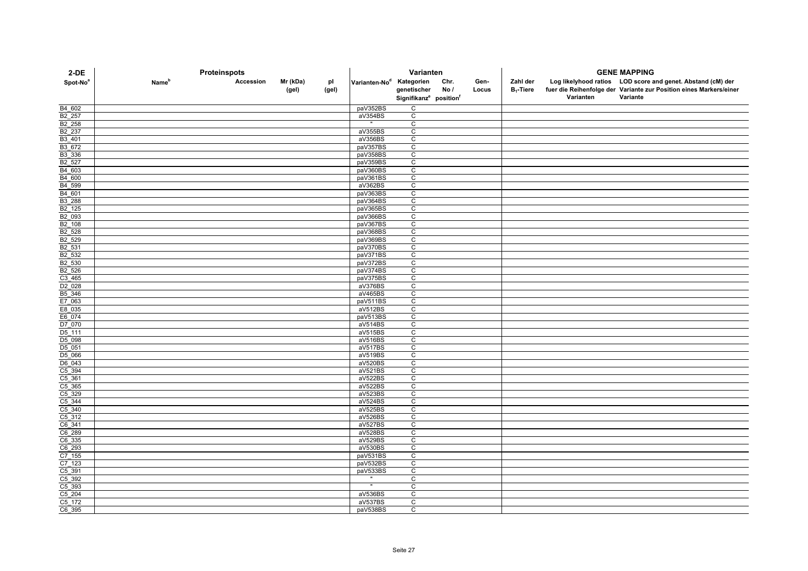| $2-DE$                      | Proteinspots             |           |                   |             |                                      | Varianten                                      |             |               | <b>GENE MAPPING</b>      |           |                                                                                                                                   |  |
|-----------------------------|--------------------------|-----------|-------------------|-------------|--------------------------------------|------------------------------------------------|-------------|---------------|--------------------------|-----------|-----------------------------------------------------------------------------------------------------------------------------------|--|
| Spot-No <sup>a</sup>        | <b>Name</b> <sup>p</sup> | Accession | Mr (kDa)<br>(gel) | рI<br>(gel) | Varianten-No <sup>d</sup> Kategorien | genetischer                                    | Chr.<br>No/ | Gen-<br>Locus | Zahl der<br>$B_1$ -Tiere |           | Log likelyhood ratios LOD score and genet. Abstand (cM) der<br>fuer die Reihenfolge der Variante zur Position eines Markers/einer |  |
|                             |                          |           |                   |             |                                      | Signifikanz <sup>e</sup> position <sup>f</sup> |             |               |                          | Varianten | Variante                                                                                                                          |  |
| B4 602                      |                          |           |                   |             | paV352BS                             | $\mathsf{C}$                                   |             |               |                          |           |                                                                                                                                   |  |
| B2 257                      |                          |           |                   |             | aV354BS                              | C                                              |             |               |                          |           |                                                                                                                                   |  |
| B2_258                      |                          |           |                   |             | $\mathbf{m}$ .                       | $\mathtt{C}$                                   |             |               |                          |           |                                                                                                                                   |  |
| B2_237                      |                          |           |                   |             | aV355BS                              | $\mathsf C$                                    |             |               |                          |           |                                                                                                                                   |  |
| B3_401                      |                          |           |                   |             | aV356BS                              | $\mathsf{C}$                                   |             |               |                          |           |                                                                                                                                   |  |
| B3_672                      |                          |           |                   |             | paV357BS                             | $\mathsf{C}$                                   |             |               |                          |           |                                                                                                                                   |  |
| B3_336                      |                          |           |                   |             | paV358BS                             | $\mathtt{C}$                                   |             |               |                          |           |                                                                                                                                   |  |
| B <sub>2_527</sub>          |                          |           |                   |             | paV359BS                             | $\mathsf{C}$                                   |             |               |                          |           |                                                                                                                                   |  |
| B <sub>4</sub> _603         |                          |           |                   |             | paV360BS                             | C                                              |             |               |                          |           |                                                                                                                                   |  |
| B4_600<br>B4_599            |                          |           |                   |             | paV361BS                             | $\overline{c}$                                 |             |               |                          |           |                                                                                                                                   |  |
|                             |                          |           |                   |             | aV362BS                              | $\overline{c}$                                 |             |               |                          |           |                                                                                                                                   |  |
| B4_601<br>B3_288            |                          |           |                   |             | paV363BS<br>paV364BS                 | C                                              |             |               |                          |           |                                                                                                                                   |  |
| B2 125                      |                          |           |                   |             | paV365BS                             | C<br>$\mathsf C$                               |             |               |                          |           |                                                                                                                                   |  |
| B <sub>2_093</sub>          |                          |           |                   |             | paV366BS                             | $\mathsf C$                                    |             |               |                          |           |                                                                                                                                   |  |
| $B2$ 108                    |                          |           |                   |             | paV367BS                             | C                                              |             |               |                          |           |                                                                                                                                   |  |
| B <sub>2_528</sub>          |                          |           |                   |             | paV368BS                             | $\overline{c}$                                 |             |               |                          |           |                                                                                                                                   |  |
| B2_529                      |                          |           |                   |             | paV369BS                             | $\mathsf{C}$                                   |             |               |                          |           |                                                                                                                                   |  |
| B2 531                      |                          |           |                   |             | paV370BS                             | $\mathsf{C}$                                   |             |               |                          |           |                                                                                                                                   |  |
| B2_532                      |                          |           |                   |             | paV371BS                             | $\overline{c}$                                 |             |               |                          |           |                                                                                                                                   |  |
| B <sub>2_530</sub>          |                          |           |                   |             | paV372BS                             | $\mathsf{C}$                                   |             |               |                          |           |                                                                                                                                   |  |
| B <sub>2_526</sub>          |                          |           |                   |             | paV374BS                             | C                                              |             |               |                          |           |                                                                                                                                   |  |
| $\frac{C3 - 465}{D2 - 028}$ |                          |           |                   |             | paV375BS                             | C                                              |             |               |                          |           |                                                                                                                                   |  |
|                             |                          |           |                   |             | aV376BS                              | $\mathsf C$                                    |             |               |                          |           |                                                                                                                                   |  |
| B5_346                      |                          |           |                   |             | aV465BS                              | $\mathsf{C}$                                   |             |               |                          |           |                                                                                                                                   |  |
| E7_063                      |                          |           |                   |             | paV511BS                             | C                                              |             |               |                          |           |                                                                                                                                   |  |
| E8_035                      |                          |           |                   |             | aV512BS                              | $\overline{c}$                                 |             |               |                          |           |                                                                                                                                   |  |
| E6_074<br>D7_070            |                          |           |                   |             | paV513BS                             | $\mathtt{C}$                                   |             |               |                          |           |                                                                                                                                   |  |
|                             |                          |           |                   |             | aV514BS                              | C                                              |             |               |                          |           |                                                                                                                                   |  |
| D <sub>5_111</sub>          |                          |           |                   |             | aV515BS                              | $\mathsf C$                                    |             |               |                          |           |                                                                                                                                   |  |
| D5 098                      |                          |           |                   |             | aV516BS                              | $\mathsf C$                                    |             |               |                          |           |                                                                                                                                   |  |
| D <sub>5_051</sub>          |                          |           |                   |             | aV517BS                              | $\mathsf{C}$                                   |             |               |                          |           |                                                                                                                                   |  |
| D5_066<br>$D6$ 043          |                          |           |                   |             | aV519BS                              | C<br>$\overline{c}$                            |             |               |                          |           |                                                                                                                                   |  |
|                             |                          |           |                   |             | aV520BS<br>aV521BS                   | C                                              |             |               |                          |           |                                                                                                                                   |  |
| C5_394<br>C5_361            |                          |           |                   |             | aV522BS                              | C                                              |             |               |                          |           |                                                                                                                                   |  |
|                             |                          |           |                   |             | aV522BS                              | $\overline{c}$                                 |             |               |                          |           |                                                                                                                                   |  |
| $\frac{C5 - 365}{C5 - 329}$ |                          |           |                   |             | aV523BS                              | $\overline{C}$                                 |             |               |                          |           |                                                                                                                                   |  |
| $C5$ _344                   |                          |           |                   |             | aV524BS                              | $\mathsf{C}$                                   |             |               |                          |           |                                                                                                                                   |  |
| $\frac{C5 - 340}{C5 - 312}$ |                          |           |                   |             | aV525BS                              | C                                              |             |               |                          |           |                                                                                                                                   |  |
|                             |                          |           |                   |             | aV526BS                              | $\mathsf C$                                    |             |               |                          |           |                                                                                                                                   |  |
| C6_341                      |                          |           |                   |             | aV527BS                              | $\mathsf C$                                    |             |               |                          |           |                                                                                                                                   |  |
| $rac{C6 - 289}{C6 - 335}$   |                          |           |                   |             | aV528BS                              | $\mathsf{C}$                                   |             |               |                          |           |                                                                                                                                   |  |
|                             |                          |           |                   |             | aV529BS                              | $\overline{c}$                                 |             |               |                          |           |                                                                                                                                   |  |
| C6_293                      |                          |           |                   |             | aV530BS                              | $\mathsf{C}$                                   |             |               |                          |           |                                                                                                                                   |  |
| $C7$ 155                    |                          |           |                   |             | paV531BS                             | C                                              |             |               |                          |           |                                                                                                                                   |  |
| $\frac{C7 - 123}{C5 - 391}$ |                          |           |                   |             | paV532BS                             | C                                              |             |               |                          |           |                                                                                                                                   |  |
|                             |                          |           |                   |             | paV533BS                             | C                                              |             |               |                          |           |                                                                                                                                   |  |
| C5_392                      |                          |           |                   |             |                                      | $\mathsf{C}$                                   |             |               |                          |           |                                                                                                                                   |  |
| $\frac{C5 - 393}{C5 - 204}$ |                          |           |                   |             | $\mathbf{u}$                         | C                                              |             |               |                          |           |                                                                                                                                   |  |
|                             |                          |           |                   |             | aV536BS                              | C                                              |             |               |                          |           |                                                                                                                                   |  |
| $C5$ 172                    |                          |           |                   |             | aV537BS                              | $\mathtt{C}$                                   |             |               |                          |           |                                                                                                                                   |  |
| $C6$ 395                    |                          |           |                   |             | paV538BS                             | C                                              |             |               |                          |           |                                                                                                                                   |  |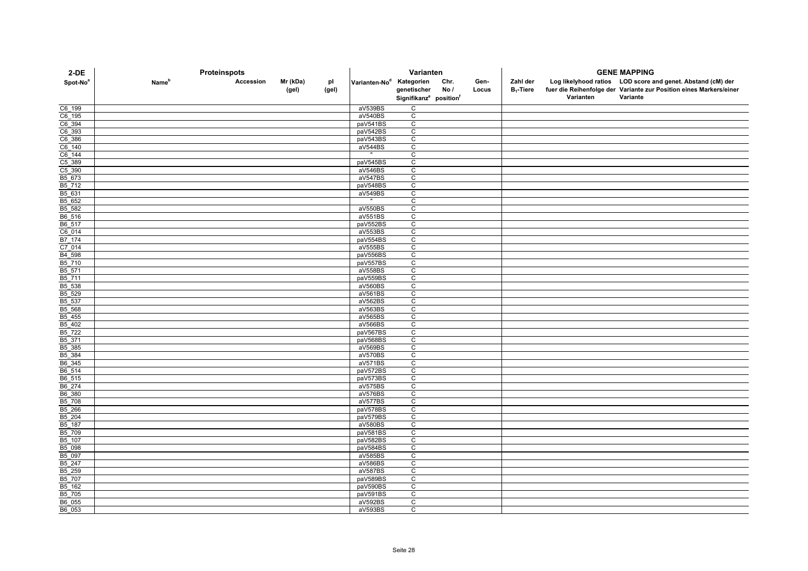| $2-DE$                      | Proteinspots             |           |                   |             |                                      | Varianten                                                     |             |               | <b>GENE MAPPING</b>      |           |                                                                                                                                               |  |
|-----------------------------|--------------------------|-----------|-------------------|-------------|--------------------------------------|---------------------------------------------------------------|-------------|---------------|--------------------------|-----------|-----------------------------------------------------------------------------------------------------------------------------------------------|--|
| Spot-No <sup>a</sup>        | <b>Name</b> <sup>p</sup> | Accession | Mr (kDa)<br>(gel) | рI<br>(gel) | Varianten-No <sup>d</sup> Kategorien | genetischer<br>Signifikanz <sup>e</sup> position <sup>f</sup> | Chr.<br>No/ | Gen-<br>Locus | Zahl der<br>$B_1$ -Tiere | Varianten | Log likelyhood ratios LOD score and genet. Abstand (cM) der<br>fuer die Reihenfolge der Variante zur Position eines Markers/einer<br>Variante |  |
|                             |                          |           |                   |             |                                      | C                                                             |             |               |                          |           |                                                                                                                                               |  |
| C6_199<br>C6 195            |                          |           |                   |             | aV539BS<br>aV540BS                   | C                                                             |             |               |                          |           |                                                                                                                                               |  |
| C6_394                      |                          |           |                   |             | paV541BS                             | $\mathsf C$                                                   |             |               |                          |           |                                                                                                                                               |  |
| C6_393                      |                          |           |                   |             | paV542BS                             | C                                                             |             |               |                          |           |                                                                                                                                               |  |
|                             |                          |           |                   |             | paV543BS                             | $\mathsf C$                                                   |             |               |                          |           |                                                                                                                                               |  |
| $\frac{C6 - 386}{C6 - 140}$ |                          |           |                   |             | aV544BS                              | C                                                             |             |               |                          |           |                                                                                                                                               |  |
| $C6$ 144                    |                          |           |                   |             |                                      | C                                                             |             |               |                          |           |                                                                                                                                               |  |
|                             |                          |           |                   |             | paV545BS                             | $\mathsf C$                                                   |             |               |                          |           |                                                                                                                                               |  |
| $\frac{C5 - 389}{C5 - 390}$ |                          |           |                   |             | aV546BS                              | C                                                             |             |               |                          |           |                                                                                                                                               |  |
| B5_673                      |                          |           |                   |             | aV547BS                              | C                                                             |             |               |                          |           |                                                                                                                                               |  |
| B5_712                      |                          |           |                   |             | paV548BS                             | C                                                             |             |               |                          |           |                                                                                                                                               |  |
| B5_631                      |                          |           |                   |             | aV549BS                              | $\mathsf C$                                                   |             |               |                          |           |                                                                                                                                               |  |
| B5_652                      |                          |           |                   |             |                                      | C                                                             |             |               |                          |           |                                                                                                                                               |  |
| B5 582                      |                          |           |                   |             | aV550BS                              | C                                                             |             |               |                          |           |                                                                                                                                               |  |
| B6_516                      |                          |           |                   |             | aV551BS                              | C                                                             |             |               |                          |           |                                                                                                                                               |  |
| B6_517                      |                          |           |                   |             | paV552BS                             | $\mathsf{C}$                                                  |             |               |                          |           |                                                                                                                                               |  |
| $C6$ <sup>014</sup>         |                          |           |                   |             | aV553BS                              | $\overline{c}$                                                |             |               |                          |           |                                                                                                                                               |  |
| B7_174                      |                          |           |                   |             | paV554BS                             | C                                                             |             |               |                          |           |                                                                                                                                               |  |
| $C7$ <sup>014</sup>         |                          |           |                   |             | aV555BS                              | C                                                             |             |               |                          |           |                                                                                                                                               |  |
| B4_598                      |                          |           |                   |             | paV556BS                             | $\overline{c}$                                                |             |               |                          |           |                                                                                                                                               |  |
| B5_710                      |                          |           |                   |             | paV557BS                             | $\mathsf{C}$                                                  |             |               |                          |           |                                                                                                                                               |  |
| B5_571                      |                          |           |                   |             | aV558BS                              | C                                                             |             |               |                          |           |                                                                                                                                               |  |
| B5_711<br>B5_538            |                          |           |                   |             | paV559BS<br>aV560BS                  | $\mathsf C$<br>$\mathsf C$                                    |             |               |                          |           |                                                                                                                                               |  |
| B5_529                      |                          |           |                   |             | aV561BS                              | $\mathtt{C}$                                                  |             |               |                          |           |                                                                                                                                               |  |
| B5 537                      |                          |           |                   |             | aV562BS                              | C                                                             |             |               |                          |           |                                                                                                                                               |  |
| B5_568                      |                          |           |                   |             | aV563BS                              | $\overline{c}$                                                |             |               |                          |           |                                                                                                                                               |  |
| B5_455                      |                          |           |                   |             | aV565BS                              | $\overline{c}$                                                |             |               |                          |           |                                                                                                                                               |  |
| $B5 - 402$                  |                          |           |                   |             | aV566BS                              | C                                                             |             |               |                          |           |                                                                                                                                               |  |
| B5_722                      |                          |           |                   |             | paV567BS                             | C                                                             |             |               |                          |           |                                                                                                                                               |  |
| B5 371                      |                          |           |                   |             | paV568BS                             | $\mathtt{C}$                                                  |             |               |                          |           |                                                                                                                                               |  |
| B5_385                      |                          |           |                   |             | aV569BS                              | C                                                             |             |               |                          |           |                                                                                                                                               |  |
| B5_384<br>B6_345            |                          |           |                   |             | aV570BS                              | $\mathsf{C}$                                                  |             |               |                          |           |                                                                                                                                               |  |
|                             |                          |           |                   |             | aV571BS                              | C                                                             |             |               |                          |           |                                                                                                                                               |  |
| B6_514                      |                          |           |                   |             | paV572BS                             | C                                                             |             |               |                          |           |                                                                                                                                               |  |
| B6_515                      |                          |           |                   |             | paV573BS                             | C                                                             |             |               |                          |           |                                                                                                                                               |  |
| B6_274                      |                          |           |                   |             | aV575BS                              | $\mathsf C$                                                   |             |               |                          |           |                                                                                                                                               |  |
| B6_380                      |                          |           |                   |             | aV576BS                              | C                                                             |             |               |                          |           |                                                                                                                                               |  |
| B5_708                      |                          |           |                   |             | aV577BS                              | $\overline{c}$                                                |             |               |                          |           |                                                                                                                                               |  |
| B5_266                      |                          |           |                   |             | paV578BS                             | $\mathsf{C}$                                                  |             |               |                          |           |                                                                                                                                               |  |
| B5 204                      |                          |           |                   |             | paV579BS                             | C                                                             |             |               |                          |           |                                                                                                                                               |  |
| B5_187                      |                          |           |                   |             | aV580BS                              | $\mathsf{C}$                                                  |             |               |                          |           |                                                                                                                                               |  |
| B5 709                      |                          |           |                   |             | paV581BS                             | C                                                             |             |               |                          |           |                                                                                                                                               |  |
| B5_107                      |                          |           |                   |             | paV582BS<br>paV584BS                 | $\mathsf C$<br>$\overline{c}$                                 |             |               |                          |           |                                                                                                                                               |  |
| B5_098<br>B5_097            |                          |           |                   |             | aV585BS                              | C                                                             |             |               |                          |           |                                                                                                                                               |  |
| B5_247                      |                          |           |                   |             | aV586BS                              | C                                                             |             |               |                          |           |                                                                                                                                               |  |
| B5 259                      |                          |           |                   |             | aV587BS                              | $\mathsf C$                                                   |             |               |                          |           |                                                                                                                                               |  |
| B5_707                      |                          |           |                   |             | paV589BS                             | $\mathsf C$                                                   |             |               |                          |           |                                                                                                                                               |  |
| B <sub>5_162</sub>          |                          |           |                   |             | paV590BS                             | $\mathsf{C}$                                                  |             |               |                          |           |                                                                                                                                               |  |
| B5_705                      |                          |           |                   |             | paV591BS                             | $\overline{C}$                                                |             |               |                          |           |                                                                                                                                               |  |
| B6_055                      |                          |           |                   |             | aV592BS                              | $\mathbf{C}$                                                  |             |               |                          |           |                                                                                                                                               |  |
| B6_053                      |                          |           |                   |             | aV593BS                              | C                                                             |             |               |                          |           |                                                                                                                                               |  |
|                             |                          |           |                   |             |                                      |                                                               |             |               |                          |           |                                                                                                                                               |  |